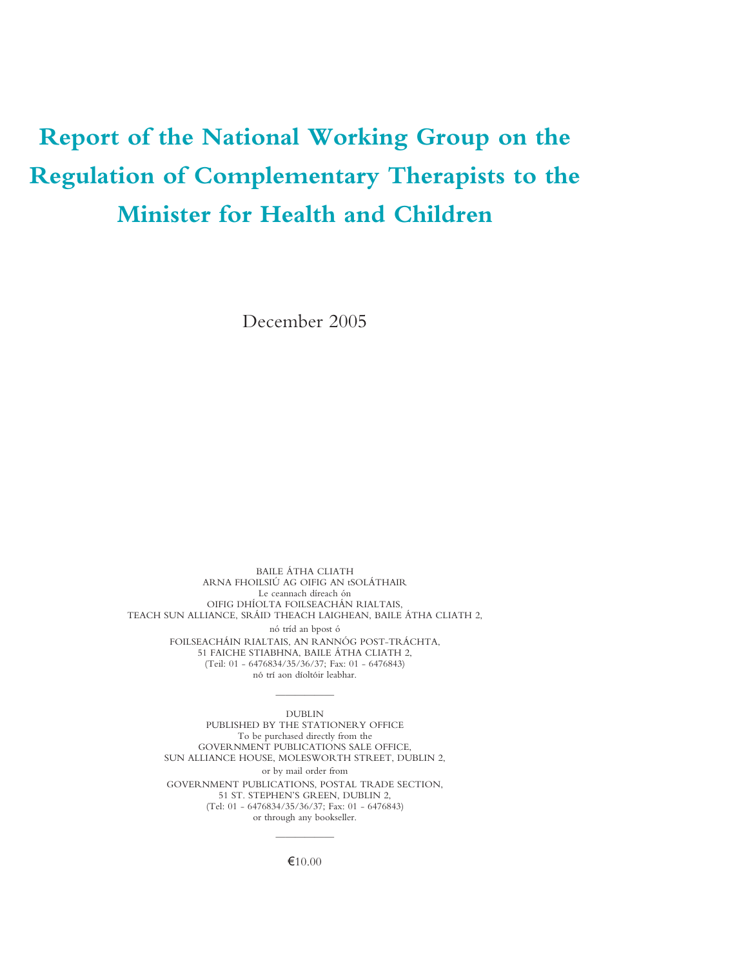# **Report of the National Working Group on the Regulation of Complementary Therapists to the Minister for Health and Children**

December 2005

BAILE ÁTHA CLIATH ARNA FHOILSIÚ AG OIFIG AN tSOLÁTHAIR Le ceannach díreach ón OIFIG DHÍOLTA FOILSEACHÁN RIALTAIS, TEACH SUN ALLIANCE, SRÁID THEACH LAIGHEAN, BAILE ÁTHA CLIATH 2, nó tríd an bpost ó FOILSEACHÁIN RIALTAIS, AN RANNÓG POST-TRÁCHTA, 51 FAICHE STIABHNA, BAILE ÁTHA CLIATH 2, (Teil: 01 - 6476834/35/36/37; Fax: 01 - 6476843) nó trí aon díoltóir leabhar.

——————

DUBLIN PUBLISHED BY THE STATIONERY OFFICE To be purchased directly from the GOVERNMENT PUBLICATIONS SALE OFFICE, SUN ALLIANCE HOUSE, MOLESWORTH STREET, DUBLIN 2, or by mail order from GOVERNMENT PUBLICATIONS, POSTAL TRADE SECTION, 51 ST. STEPHEN'S GREEN, DUBLIN 2, (Tel: 01 - 6476834/35/36/37; Fax: 01 - 6476843) or through any bookseller.

> ——————  $€10.00$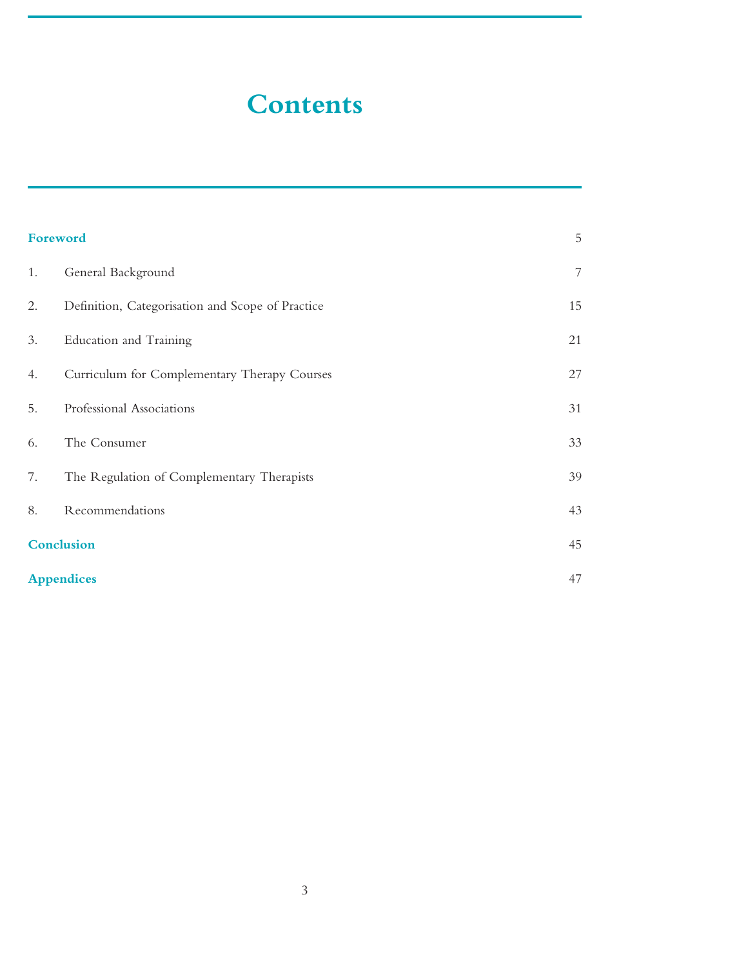# **Contents**

| Foreword |                                                  | $\mathbf 5$              |
|----------|--------------------------------------------------|--------------------------|
| 1.       | General Background                               | $\overline{\phantom{a}}$ |
| 2.       | Definition, Categorisation and Scope of Practice | 15                       |
| 3.       | Education and Training                           | 21                       |
| 4.       | Curriculum for Complementary Therapy Courses     | $27\,$                   |
| 5.       | Professional Associations                        | 31                       |
| 6.       | The Consumer                                     | 33                       |
| 7.       | The Regulation of Complementary Therapists       | 39                       |
| 8.       | Recommendations                                  | 43                       |
|          | <b>Conclusion</b>                                |                          |
|          | <b>Appendices</b>                                |                          |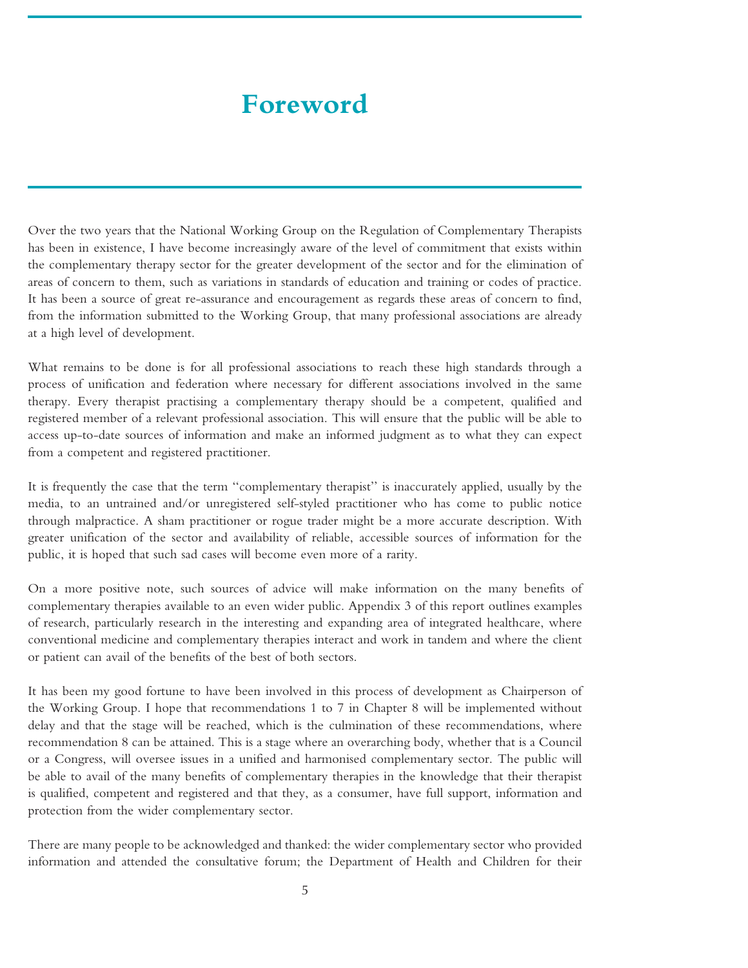# **Foreword**

<span id="page-4-0"></span>Over the two years that the National Working Group on the Regulation of Complementary Therapists has been in existence, I have become increasingly aware of the level of commitment that exists within the complementary therapy sector for the greater development of the sector and for the elimination of areas of concern to them, such as variations in standards of education and training or codes of practice. It has been a source of great re-assurance and encouragement as regards these areas of concern to find, from the information submitted to the Working Group, that many professional associations are already at a high level of development.

What remains to be done is for all professional associations to reach these high standards through a process of unification and federation where necessary for different associations involved in the same therapy. Every therapist practising a complementary therapy should be a competent, qualified and registered member of a relevant professional association. This will ensure that the public will be able to access up-to-date sources of information and make an informed judgment as to what they can expect from a competent and registered practitioner.

It is frequently the case that the term ''complementary therapist'' is inaccurately applied, usually by the media, to an untrained and/or unregistered self-styled practitioner who has come to public notice through malpractice. A sham practitioner or rogue trader might be a more accurate description. With greater unification of the sector and availability of reliable, accessible sources of information for the public, it is hoped that such sad cases will become even more of a rarity.

On a more positive note, such sources of advice will make information on the many benefits of complementary therapies available to an even wider public. Appendix 3 of this report outlines examples of research, particularly research in the interesting and expanding area of integrated healthcare, where conventional medicine and complementary therapies interact and work in tandem and where the client or patient can avail of the benefits of the best of both sectors.

It has been my good fortune to have been involved in this process of development as Chairperson of the Working Group. I hope that recommendations 1 to 7 in Chapter 8 will be implemented without delay and that the stage will be reached, which is the culmination of these recommendations, where recommendation 8 can be attained. This is a stage where an overarching body, whether that is a Council or a Congress, will oversee issues in a unified and harmonised complementary sector. The public will be able to avail of the many benefits of complementary therapies in the knowledge that their therapist is qualified, competent and registered and that they, as a consumer, have full support, information and protection from the wider complementary sector.

There are many people to be acknowledged and thanked: the wider complementary sector who provided information and attended the consultative forum; the Department of Health and Children for their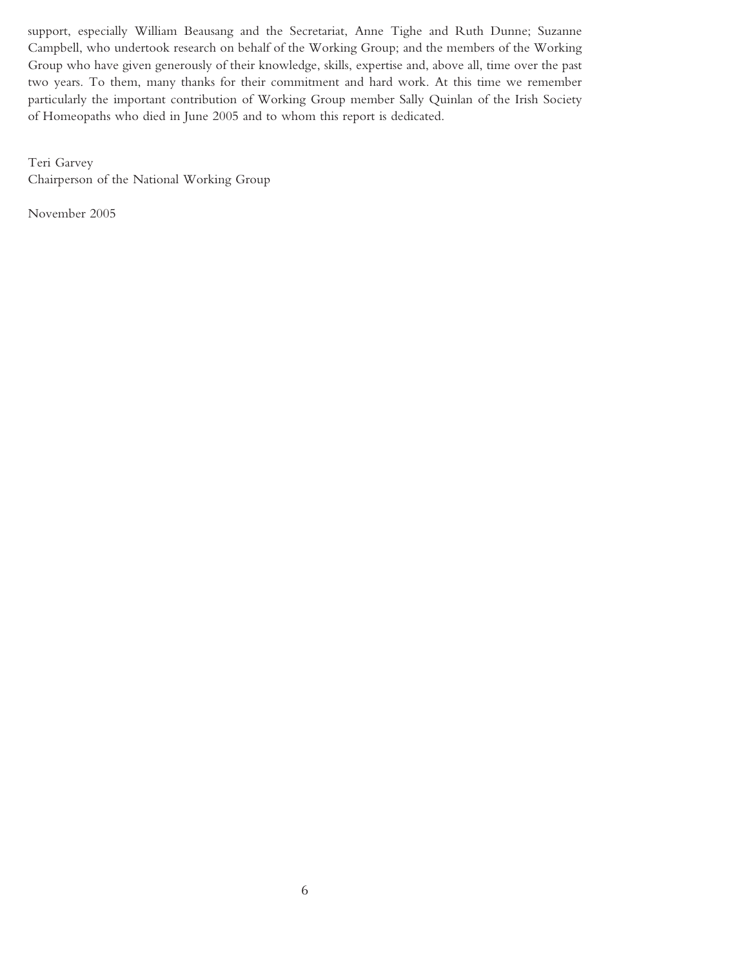support, especially William Beausang and the Secretariat, Anne Tighe and Ruth Dunne; Suzanne Campbell, who undertook research on behalf of the Working Group; and the members of the Working Group who have given generously of their knowledge, skills, expertise and, above all, time over the past two years. To them, many thanks for their commitment and hard work. At this time we remember particularly the important contribution of Working Group member Sally Quinlan of the Irish Society of Homeopaths who died in June 2005 and to whom this report is dedicated.

Teri Garvey Chairperson of the National Working Group

November 2005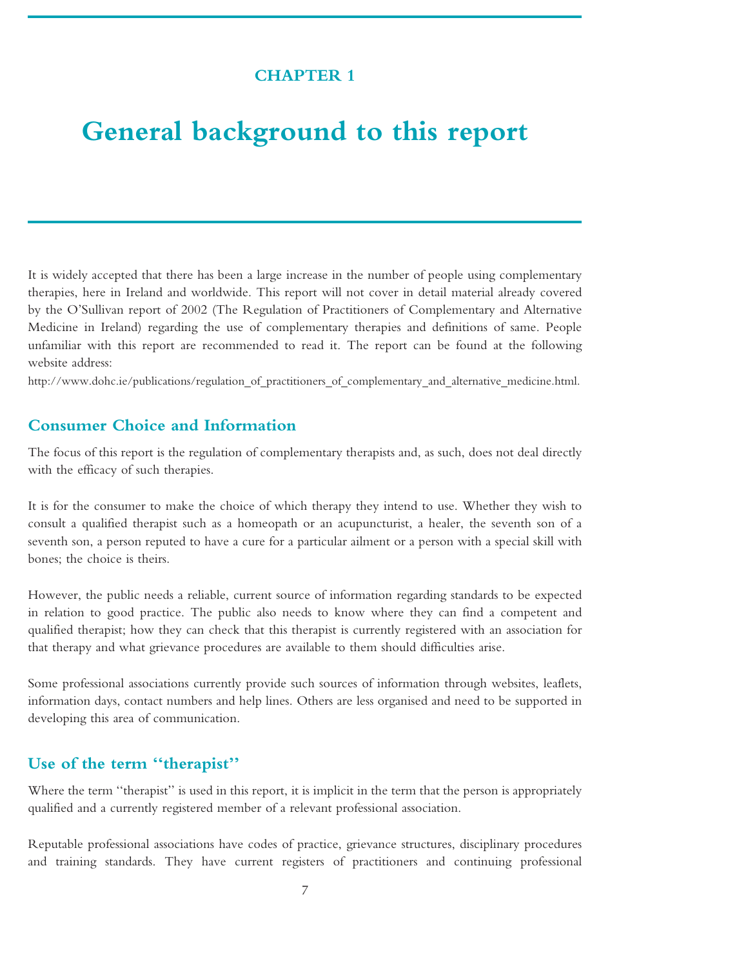# **CHAPTER 1**

# <span id="page-6-0"></span>**General background to this report**

It is widely accepted that there has been a large increase in the number of people using complementary therapies, here in Ireland and worldwide. This report will not cover in detail material already covered by the O'Sullivan report of 2002 (The Regulation of Practitioners of Complementary and Alternative Medicine in Ireland) regarding the use of complementary therapies and definitions of same. People unfamiliar with this report are recommended to read it. The report can be found at the following website address:

http://www.dohc.ie/publications/regulation of practitioners of complementary and alternative medicine.html.

# **Consumer Choice and Information**

The focus of this report is the regulation of complementary therapists and, as such, does not deal directly with the efficacy of such therapies.

It is for the consumer to make the choice of which therapy they intend to use. Whether they wish to consult a qualified therapist such as a homeopath or an acupuncturist, a healer, the seventh son of a seventh son, a person reputed to have a cure for a particular ailment or a person with a special skill with bones; the choice is theirs.

However, the public needs a reliable, current source of information regarding standards to be expected in relation to good practice. The public also needs to know where they can find a competent and qualified therapist; how they can check that this therapist is currently registered with an association for that therapy and what grievance procedures are available to them should difficulties arise.

Some professional associations currently provide such sources of information through websites, leaflets, information days, contact numbers and help lines. Others are less organised and need to be supported in developing this area of communication.

### **Use of the term ''therapist''**

Where the term "therapist" is used in this report, it is implicit in the term that the person is appropriately qualified and a currently registered member of a relevant professional association.

Reputable professional associations have codes of practice, grievance structures, disciplinary procedures and training standards. They have current registers of practitioners and continuing professional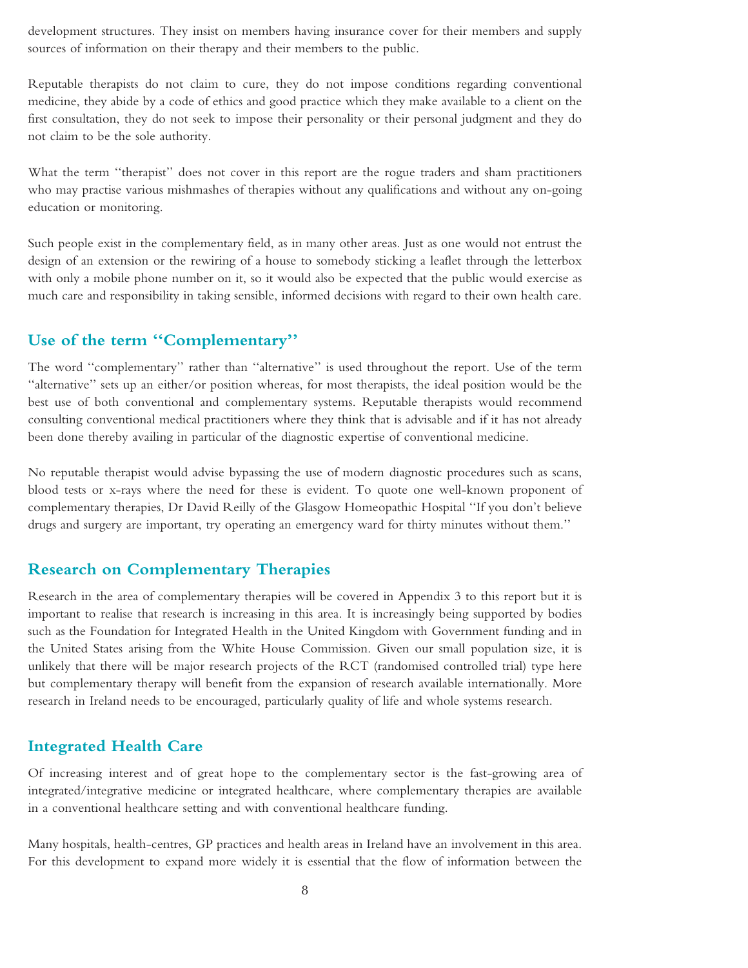development structures. They insist on members having insurance cover for their members and supply sources of information on their therapy and their members to the public.

Reputable therapists do not claim to cure, they do not impose conditions regarding conventional medicine, they abide by a code of ethics and good practice which they make available to a client on the first consultation, they do not seek to impose their personality or their personal judgment and they do not claim to be the sole authority.

What the term ''therapist'' does not cover in this report are the rogue traders and sham practitioners who may practise various mishmashes of therapies without any qualifications and without any on-going education or monitoring.

Such people exist in the complementary field, as in many other areas. Just as one would not entrust the design of an extension or the rewiring of a house to somebody sticking a leaflet through the letterbox with only a mobile phone number on it, so it would also be expected that the public would exercise as much care and responsibility in taking sensible, informed decisions with regard to their own health care.

## **Use of the term ''Complementary''**

The word ''complementary'' rather than ''alternative'' is used throughout the report. Use of the term ''alternative'' sets up an either/or position whereas, for most therapists, the ideal position would be the best use of both conventional and complementary systems. Reputable therapists would recommend consulting conventional medical practitioners where they think that is advisable and if it has not already been done thereby availing in particular of the diagnostic expertise of conventional medicine.

No reputable therapist would advise bypassing the use of modern diagnostic procedures such as scans, blood tests or x-rays where the need for these is evident. To quote one well-known proponent of complementary therapies, Dr David Reilly of the Glasgow Homeopathic Hospital ''If you don't believe drugs and surgery are important, try operating an emergency ward for thirty minutes without them.''

#### **Research on Complementary Therapies**

Research in the area of complementary therapies will be covered in Appendix 3 to this report but it is important to realise that research is increasing in this area. It is increasingly being supported by bodies such as the Foundation for Integrated Health in the United Kingdom with Government funding and in the United States arising from the White House Commission. Given our small population size, it is unlikely that there will be major research projects of the RCT (randomised controlled trial) type here but complementary therapy will benefit from the expansion of research available internationally. More research in Ireland needs to be encouraged, particularly quality of life and whole systems research.

#### **Integrated Health Care**

Of increasing interest and of great hope to the complementary sector is the fast-growing area of integrated/integrative medicine or integrated healthcare, where complementary therapies are available in a conventional healthcare setting and with conventional healthcare funding.

Many hospitals, health-centres, GP practices and health areas in Ireland have an involvement in this area. For this development to expand more widely it is essential that the flow of information between the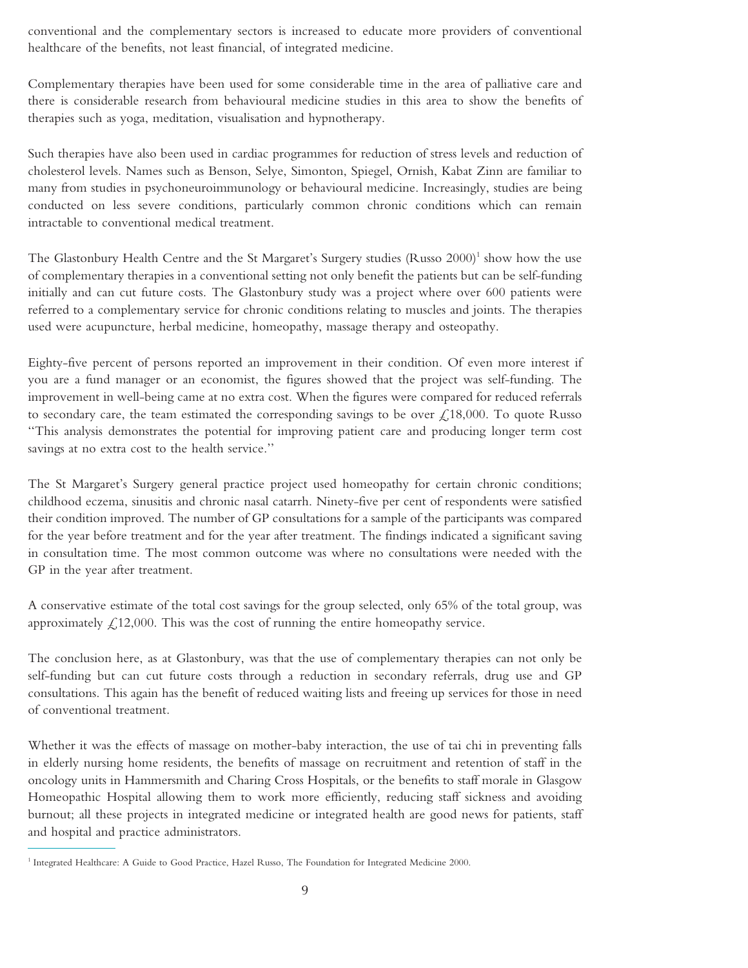conventional and the complementary sectors is increased to educate more providers of conventional healthcare of the benefits, not least financial, of integrated medicine.

Complementary therapies have been used for some considerable time in the area of palliative care and there is considerable research from behavioural medicine studies in this area to show the benefits of therapies such as yoga, meditation, visualisation and hypnotherapy.

Such therapies have also been used in cardiac programmes for reduction of stress levels and reduction of cholesterol levels. Names such as Benson, Selye, Simonton, Spiegel, Ornish, Kabat Zinn are familiar to many from studies in psychoneuroimmunology or behavioural medicine. Increasingly, studies are being conducted on less severe conditions, particularly common chronic conditions which can remain intractable to conventional medical treatment.

The Glastonbury Health Centre and the St Margaret's Surgery studies  $(Russo 2000)^{1}$  show how the use of complementary therapies in a conventional setting not only benefit the patients but can be self-funding initially and can cut future costs. The Glastonbury study was a project where over 600 patients were referred to a complementary service for chronic conditions relating to muscles and joints. The therapies used were acupuncture, herbal medicine, homeopathy, massage therapy and osteopathy.

Eighty-five percent of persons reported an improvement in their condition. Of even more interest if you are a fund manager or an economist, the figures showed that the project was self-funding. The improvement in well-being came at no extra cost. When the figures were compared for reduced referrals to secondary care, the team estimated the corresponding savings to be over  $\mathcal{L}$ ,18,000. To quote Russo ''This analysis demonstrates the potential for improving patient care and producing longer term cost savings at no extra cost to the health service.''

The St Margaret's Surgery general practice project used homeopathy for certain chronic conditions; childhood eczema, sinusitis and chronic nasal catarrh. Ninety-five per cent of respondents were satisfied their condition improved. The number of GP consultations for a sample of the participants was compared for the year before treatment and for the year after treatment. The findings indicated a significant saving in consultation time. The most common outcome was where no consultations were needed with the GP in the year after treatment.

A conservative estimate of the total cost savings for the group selected, only 65% of the total group, was approximately  $\mathcal{L}$ , 12,000. This was the cost of running the entire homeopathy service.

The conclusion here, as at Glastonbury, was that the use of complementary therapies can not only be self-funding but can cut future costs through a reduction in secondary referrals, drug use and GP consultations. This again has the benefit of reduced waiting lists and freeing up services for those in need of conventional treatment.

Whether it was the effects of massage on mother-baby interaction, the use of tai chi in preventing falls in elderly nursing home residents, the benefits of massage on recruitment and retention of staff in the oncology units in Hammersmith and Charing Cross Hospitals, or the benefits to staff morale in Glasgow Homeopathic Hospital allowing them to work more efficiently, reducing staff sickness and avoiding burnout; all these projects in integrated medicine or integrated health are good news for patients, staff and hospital and practice administrators.

<sup>&</sup>lt;sup>1</sup> Integrated Healthcare: A Guide to Good Practice, Hazel Russo, The Foundation for Integrated Medicine 2000.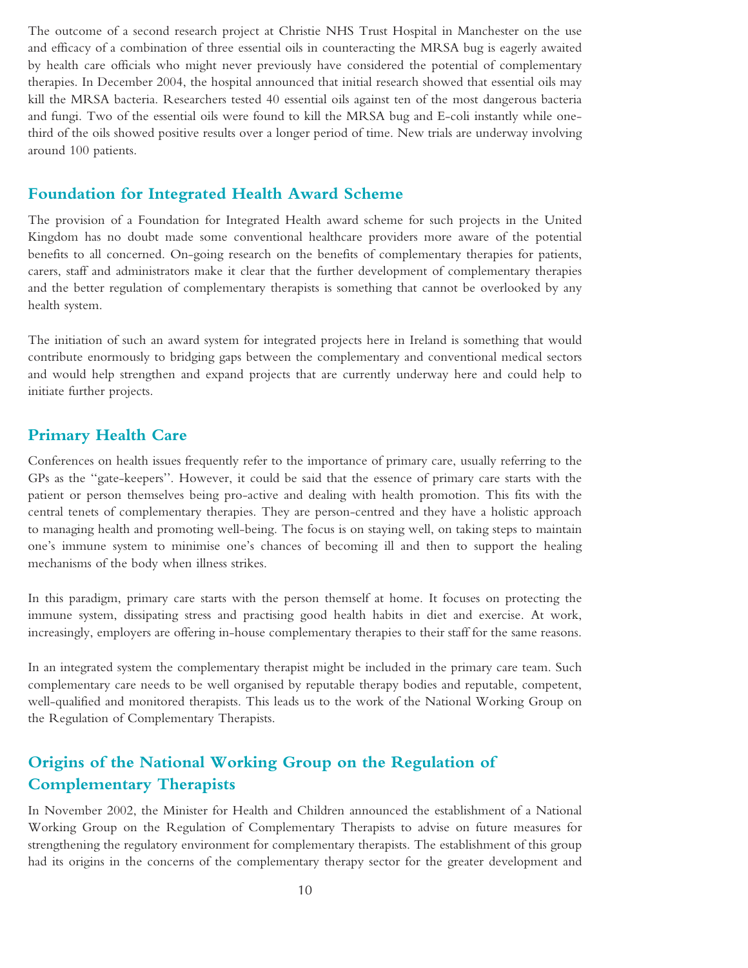The outcome of a second research project at Christie NHS Trust Hospital in Manchester on the use and efficacy of a combination of three essential oils in counteracting the MRSA bug is eagerly awaited by health care officials who might never previously have considered the potential of complementary therapies. In December 2004, the hospital announced that initial research showed that essential oils may kill the MRSA bacteria. Researchers tested 40 essential oils against ten of the most dangerous bacteria and fungi. Two of the essential oils were found to kill the MRSA bug and E-coli instantly while onethird of the oils showed positive results over a longer period of time. New trials are underway involving around 100 patients.

### **Foundation for Integrated Health Award Scheme**

The provision of a Foundation for Integrated Health award scheme for such projects in the United Kingdom has no doubt made some conventional healthcare providers more aware of the potential benefits to all concerned. On-going research on the benefits of complementary therapies for patients, carers, staff and administrators make it clear that the further development of complementary therapies and the better regulation of complementary therapists is something that cannot be overlooked by any health system.

The initiation of such an award system for integrated projects here in Ireland is something that would contribute enormously to bridging gaps between the complementary and conventional medical sectors and would help strengthen and expand projects that are currently underway here and could help to initiate further projects.

#### **Primary Health Care**

Conferences on health issues frequently refer to the importance of primary care, usually referring to the GPs as the ''gate-keepers''. However, it could be said that the essence of primary care starts with the patient or person themselves being pro-active and dealing with health promotion. This fits with the central tenets of complementary therapies. They are person-centred and they have a holistic approach to managing health and promoting well-being. The focus is on staying well, on taking steps to maintain one's immune system to minimise one's chances of becoming ill and then to support the healing mechanisms of the body when illness strikes.

In this paradigm, primary care starts with the person themself at home. It focuses on protecting the immune system, dissipating stress and practising good health habits in diet and exercise. At work, increasingly, employers are offering in-house complementary therapies to their staff for the same reasons.

In an integrated system the complementary therapist might be included in the primary care team. Such complementary care needs to be well organised by reputable therapy bodies and reputable, competent, well-qualified and monitored therapists. This leads us to the work of the National Working Group on the Regulation of Complementary Therapists.

# **Origins of the National Working Group on the Regulation of Complementary Therapists**

In November 2002, the Minister for Health and Children announced the establishment of a National Working Group on the Regulation of Complementary Therapists to advise on future measures for strengthening the regulatory environment for complementary therapists. The establishment of this group had its origins in the concerns of the complementary therapy sector for the greater development and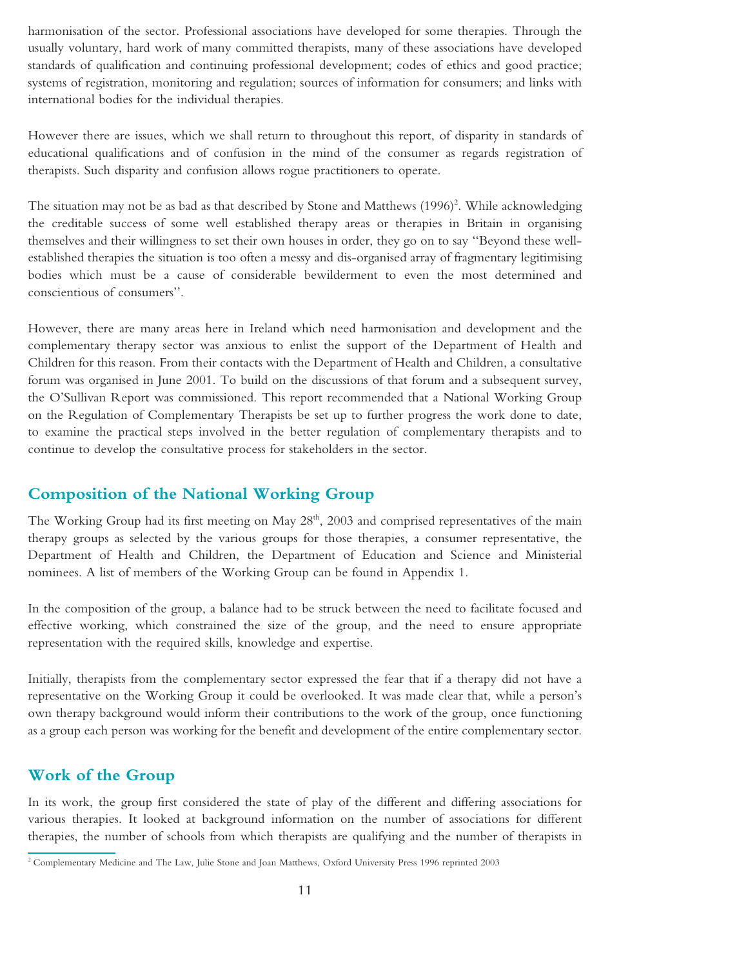harmonisation of the sector. Professional associations have developed for some therapies. Through the usually voluntary, hard work of many committed therapists, many of these associations have developed standards of qualification and continuing professional development; codes of ethics and good practice; systems of registration, monitoring and regulation; sources of information for consumers; and links with international bodies for the individual therapies.

However there are issues, which we shall return to throughout this report, of disparity in standards of educational qualifications and of confusion in the mind of the consumer as regards registration of therapists. Such disparity and confusion allows rogue practitioners to operate.

The situation may not be as bad as that described by Stone and Matthews (1996)<sup>2</sup>. While acknowledging the creditable success of some well established therapy areas or therapies in Britain in organising themselves and their willingness to set their own houses in order, they go on to say ''Beyond these wellestablished therapies the situation is too often a messy and dis-organised array of fragmentary legitimising bodies which must be a cause of considerable bewilderment to even the most determined and conscientious of consumers''.

However, there are many areas here in Ireland which need harmonisation and development and the complementary therapy sector was anxious to enlist the support of the Department of Health and Children for this reason. From their contacts with the Department of Health and Children, a consultative forum was organised in June 2001. To build on the discussions of that forum and a subsequent survey, the O'Sullivan Report was commissioned. This report recommended that a National Working Group on the Regulation of Complementary Therapists be set up to further progress the work done to date, to examine the practical steps involved in the better regulation of complementary therapists and to continue to develop the consultative process for stakeholders in the sector.

### **Composition of the National Working Group**

The Working Group had its first meeting on May  $28<sup>th</sup>$ , 2003 and comprised representatives of the main therapy groups as selected by the various groups for those therapies, a consumer representative, the Department of Health and Children, the Department of Education and Science and Ministerial nominees. A list of members of the Working Group can be found in Appendix 1.

In the composition of the group, a balance had to be struck between the need to facilitate focused and effective working, which constrained the size of the group, and the need to ensure appropriate representation with the required skills, knowledge and expertise.

Initially, therapists from the complementary sector expressed the fear that if a therapy did not have a representative on the Working Group it could be overlooked. It was made clear that, while a person's own therapy background would inform their contributions to the work of the group, once functioning as a group each person was working for the benefit and development of the entire complementary sector.

#### **Work of the Group**

In its work, the group first considered the state of play of the different and differing associations for various therapies. It looked at background information on the number of associations for different therapies, the number of schools from which therapists are qualifying and the number of therapists in

<sup>&</sup>lt;sup>2</sup> Complementary Medicine and The Law, Julie Stone and Joan Matthews, Oxford University Press 1996 reprinted 2003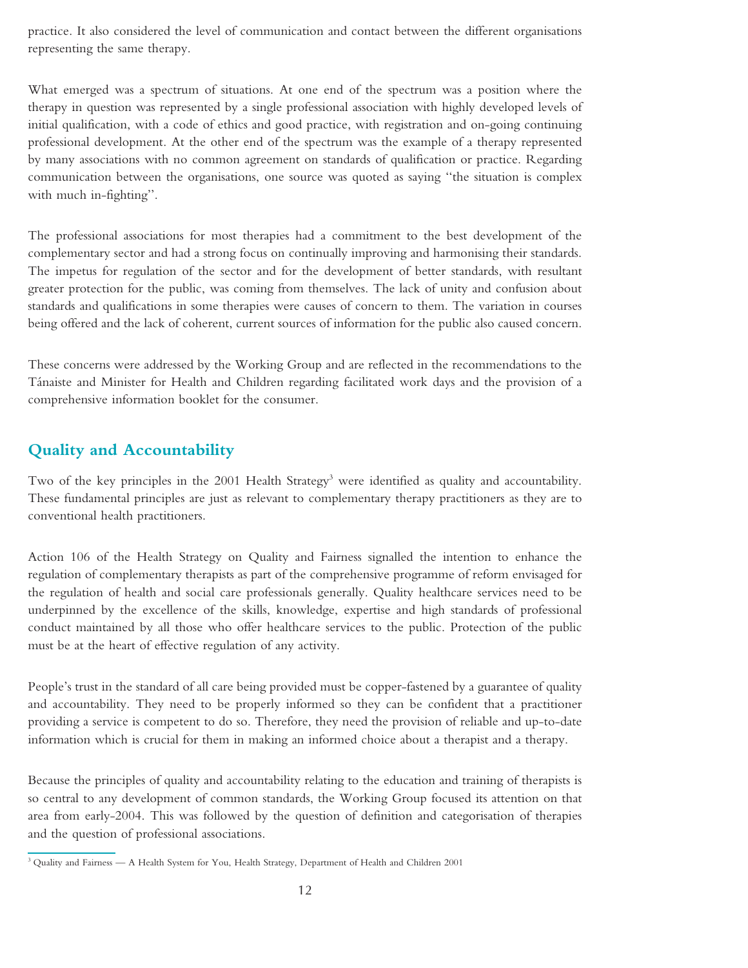practice. It also considered the level of communication and contact between the different organisations representing the same therapy.

What emerged was a spectrum of situations. At one end of the spectrum was a position where the therapy in question was represented by a single professional association with highly developed levels of initial qualification, with a code of ethics and good practice, with registration and on-going continuing professional development. At the other end of the spectrum was the example of a therapy represented by many associations with no common agreement on standards of qualification or practice. Regarding communication between the organisations, one source was quoted as saying ''the situation is complex with much in-fighting''.

The professional associations for most therapies had a commitment to the best development of the complementary sector and had a strong focus on continually improving and harmonising their standards. The impetus for regulation of the sector and for the development of better standards, with resultant greater protection for the public, was coming from themselves. The lack of unity and confusion about standards and qualifications in some therapies were causes of concern to them. The variation in courses being offered and the lack of coherent, current sources of information for the public also caused concern.

These concerns were addressed by the Working Group and are reflected in the recommendations to the Ta´naiste and Minister for Health and Children regarding facilitated work days and the provision of a comprehensive information booklet for the consumer.

# **Quality and Accountability**

Two of the key principles in the  $2001$  Health Strategy<sup>3</sup> were identified as quality and accountability. These fundamental principles are just as relevant to complementary therapy practitioners as they are to conventional health practitioners.

Action 106 of the Health Strategy on Quality and Fairness signalled the intention to enhance the regulation of complementary therapists as part of the comprehensive programme of reform envisaged for the regulation of health and social care professionals generally. Quality healthcare services need to be underpinned by the excellence of the skills, knowledge, expertise and high standards of professional conduct maintained by all those who offer healthcare services to the public. Protection of the public must be at the heart of effective regulation of any activity.

People's trust in the standard of all care being provided must be copper-fastened by a guarantee of quality and accountability. They need to be properly informed so they can be confident that a practitioner providing a service is competent to do so. Therefore, they need the provision of reliable and up-to-date information which is crucial for them in making an informed choice about a therapist and a therapy.

Because the principles of quality and accountability relating to the education and training of therapists is so central to any development of common standards, the Working Group focused its attention on that area from early-2004. This was followed by the question of definition and categorisation of therapies and the question of professional associations.

<sup>3</sup> Quality and Fairness — A Health System for You, Health Strategy, Department of Health and Children 2001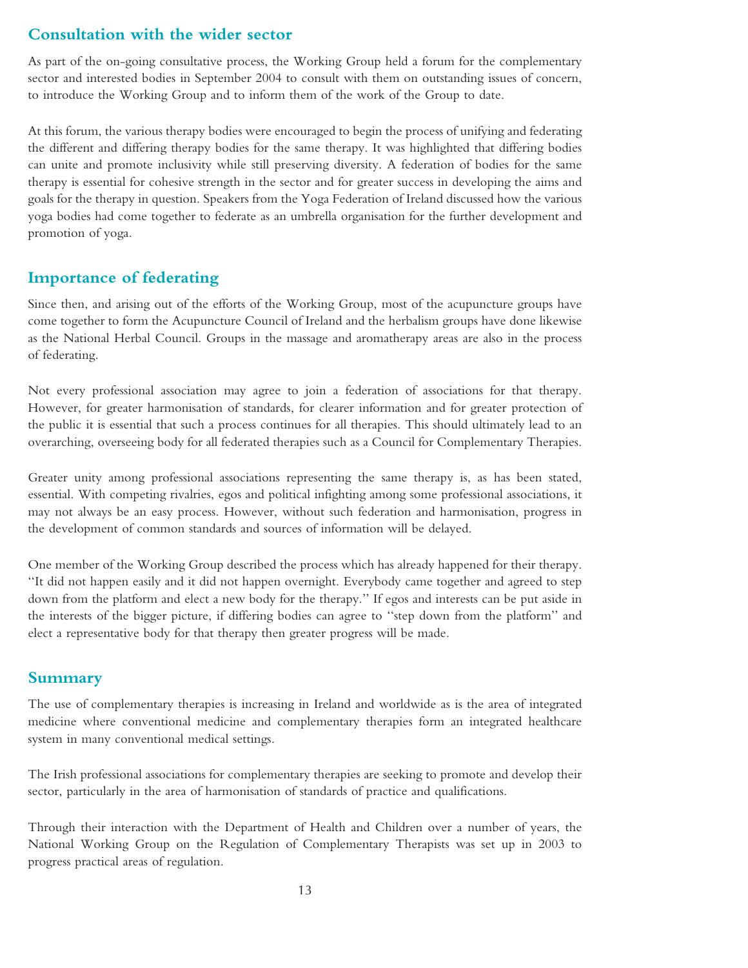### **Consultation with the wider sector**

As part of the on-going consultative process, the Working Group held a forum for the complementary sector and interested bodies in September 2004 to consult with them on outstanding issues of concern, to introduce the Working Group and to inform them of the work of the Group to date.

At this forum, the various therapy bodies were encouraged to begin the process of unifying and federating the different and differing therapy bodies for the same therapy. It was highlighted that differing bodies can unite and promote inclusivity while still preserving diversity. A federation of bodies for the same therapy is essential for cohesive strength in the sector and for greater success in developing the aims and goals for the therapy in question. Speakers from the Yoga Federation of Ireland discussed how the various yoga bodies had come together to federate as an umbrella organisation for the further development and promotion of yoga.

### **Importance of federating**

Since then, and arising out of the efforts of the Working Group, most of the acupuncture groups have come together to form the Acupuncture Council of Ireland and the herbalism groups have done likewise as the National Herbal Council. Groups in the massage and aromatherapy areas are also in the process of federating.

Not every professional association may agree to join a federation of associations for that therapy. However, for greater harmonisation of standards, for clearer information and for greater protection of the public it is essential that such a process continues for all therapies. This should ultimately lead to an overarching, overseeing body for all federated therapies such as a Council for Complementary Therapies.

Greater unity among professional associations representing the same therapy is, as has been stated, essential. With competing rivalries, egos and political infighting among some professional associations, it may not always be an easy process. However, without such federation and harmonisation, progress in the development of common standards and sources of information will be delayed.

One member of the Working Group described the process which has already happened for their therapy. ''It did not happen easily and it did not happen overnight. Everybody came together and agreed to step down from the platform and elect a new body for the therapy.'' If egos and interests can be put aside in the interests of the bigger picture, if differing bodies can agree to ''step down from the platform'' and elect a representative body for that therapy then greater progress will be made.

### **Summary**

The use of complementary therapies is increasing in Ireland and worldwide as is the area of integrated medicine where conventional medicine and complementary therapies form an integrated healthcare system in many conventional medical settings.

The Irish professional associations for complementary therapies are seeking to promote and develop their sector, particularly in the area of harmonisation of standards of practice and qualifications.

Through their interaction with the Department of Health and Children over a number of years, the National Working Group on the Regulation of Complementary Therapists was set up in 2003 to progress practical areas of regulation.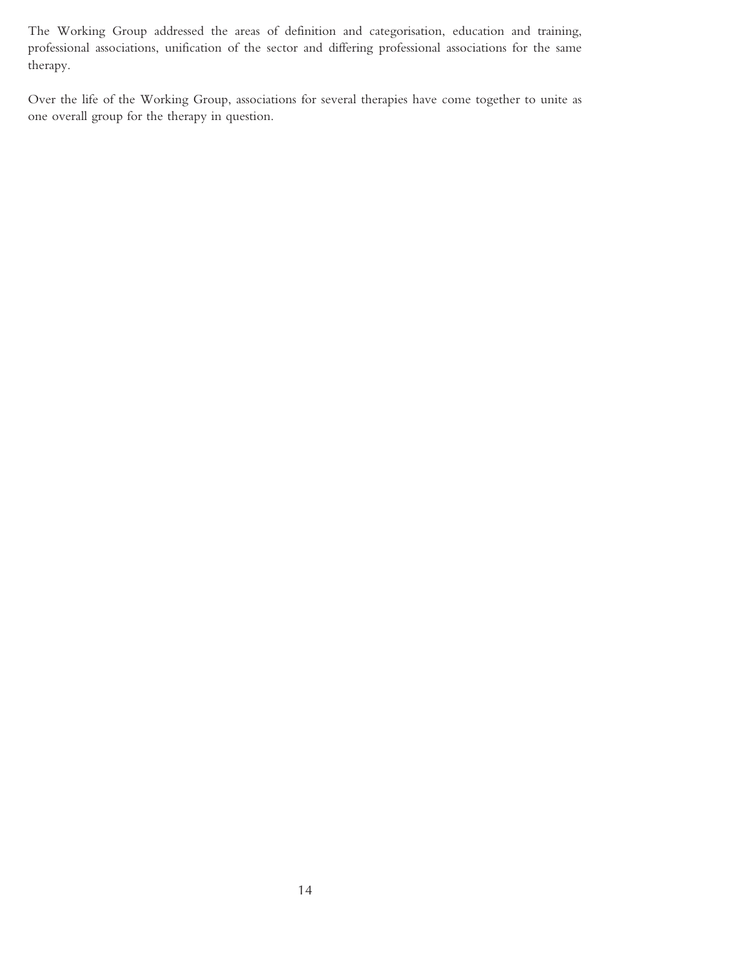The Working Group addressed the areas of definition and categorisation, education and training, professional associations, unification of the sector and differing professional associations for the same therapy.

Over the life of the Working Group, associations for several therapies have come together to unite as one overall group for the therapy in question.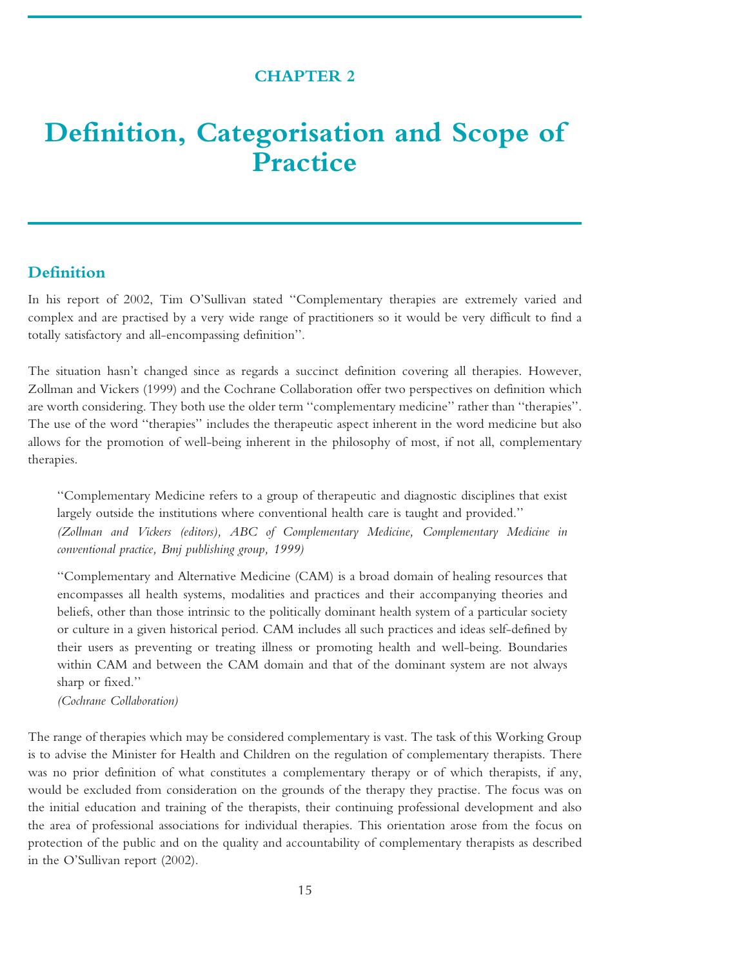### **CHAPTER 2**

# <span id="page-14-0"></span>**Definition, Categorisation and Scope of Practice**

### **Definition**

In his report of 2002, Tim O'Sullivan stated ''Complementary therapies are extremely varied and complex and are practised by a very wide range of practitioners so it would be very difficult to find a totally satisfactory and all-encompassing definition''.

The situation hasn't changed since as regards a succinct definition covering all therapies. However, Zollman and Vickers (1999) and the Cochrane Collaboration offer two perspectives on definition which are worth considering. They both use the older term ''complementary medicine'' rather than ''therapies''. The use of the word ''therapies'' includes the therapeutic aspect inherent in the word medicine but also allows for the promotion of well-being inherent in the philosophy of most, if not all, complementary therapies.

''Complementary Medicine refers to a group of therapeutic and diagnostic disciplines that exist largely outside the institutions where conventional health care is taught and provided.'' *(Zollman and Vickers (editors), ABC of Complementary Medicine, Complementary Medicine in conventional practice, Bmj publishing group, 1999)*

''Complementary and Alternative Medicine (CAM) is a broad domain of healing resources that encompasses all health systems, modalities and practices and their accompanying theories and beliefs, other than those intrinsic to the politically dominant health system of a particular society or culture in a given historical period. CAM includes all such practices and ideas self-defined by their users as preventing or treating illness or promoting health and well-being. Boundaries within CAM and between the CAM domain and that of the dominant system are not always sharp or fixed.''

*(Cochrane Collaboration)*

The range of therapies which may be considered complementary is vast. The task of this Working Group is to advise the Minister for Health and Children on the regulation of complementary therapists. There was no prior definition of what constitutes a complementary therapy or of which therapists, if any, would be excluded from consideration on the grounds of the therapy they practise. The focus was on the initial education and training of the therapists, their continuing professional development and also the area of professional associations for individual therapies. This orientation arose from the focus on protection of the public and on the quality and accountability of complementary therapists as described in the O'Sullivan report (2002).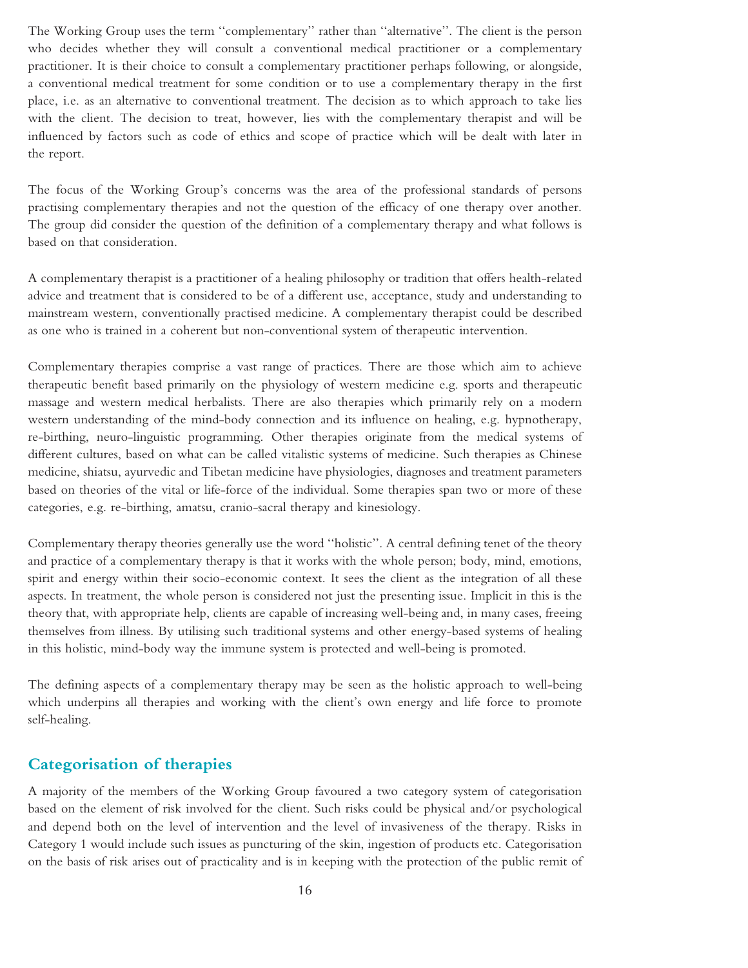The Working Group uses the term ''complementary'' rather than ''alternative''. The client is the person who decides whether they will consult a conventional medical practitioner or a complementary practitioner. It is their choice to consult a complementary practitioner perhaps following, or alongside, a conventional medical treatment for some condition or to use a complementary therapy in the first place, i.e. as an alternative to conventional treatment. The decision as to which approach to take lies with the client. The decision to treat, however, lies with the complementary therapist and will be influenced by factors such as code of ethics and scope of practice which will be dealt with later in the report.

The focus of the Working Group's concerns was the area of the professional standards of persons practising complementary therapies and not the question of the efficacy of one therapy over another. The group did consider the question of the definition of a complementary therapy and what follows is based on that consideration.

A complementary therapist is a practitioner of a healing philosophy or tradition that offers health-related advice and treatment that is considered to be of a different use, acceptance, study and understanding to mainstream western, conventionally practised medicine. A complementary therapist could be described as one who is trained in a coherent but non-conventional system of therapeutic intervention.

Complementary therapies comprise a vast range of practices. There are those which aim to achieve therapeutic benefit based primarily on the physiology of western medicine e.g. sports and therapeutic massage and western medical herbalists. There are also therapies which primarily rely on a modern western understanding of the mind-body connection and its influence on healing, e.g. hypnotherapy, re-birthing, neuro-linguistic programming. Other therapies originate from the medical systems of different cultures, based on what can be called vitalistic systems of medicine. Such therapies as Chinese medicine, shiatsu, ayurvedic and Tibetan medicine have physiologies, diagnoses and treatment parameters based on theories of the vital or life-force of the individual. Some therapies span two or more of these categories, e.g. re-birthing, amatsu, cranio-sacral therapy and kinesiology.

Complementary therapy theories generally use the word ''holistic''. A central defining tenet of the theory and practice of a complementary therapy is that it works with the whole person; body, mind, emotions, spirit and energy within their socio-economic context. It sees the client as the integration of all these aspects. In treatment, the whole person is considered not just the presenting issue. Implicit in this is the theory that, with appropriate help, clients are capable of increasing well-being and, in many cases, freeing themselves from illness. By utilising such traditional systems and other energy-based systems of healing in this holistic, mind-body way the immune system is protected and well-being is promoted.

The defining aspects of a complementary therapy may be seen as the holistic approach to well-being which underpins all therapies and working with the client's own energy and life force to promote self-healing.

## **Categorisation of therapies**

A majority of the members of the Working Group favoured a two category system of categorisation based on the element of risk involved for the client. Such risks could be physical and/or psychological and depend both on the level of intervention and the level of invasiveness of the therapy. Risks in Category 1 would include such issues as puncturing of the skin, ingestion of products etc. Categorisation on the basis of risk arises out of practicality and is in keeping with the protection of the public remit of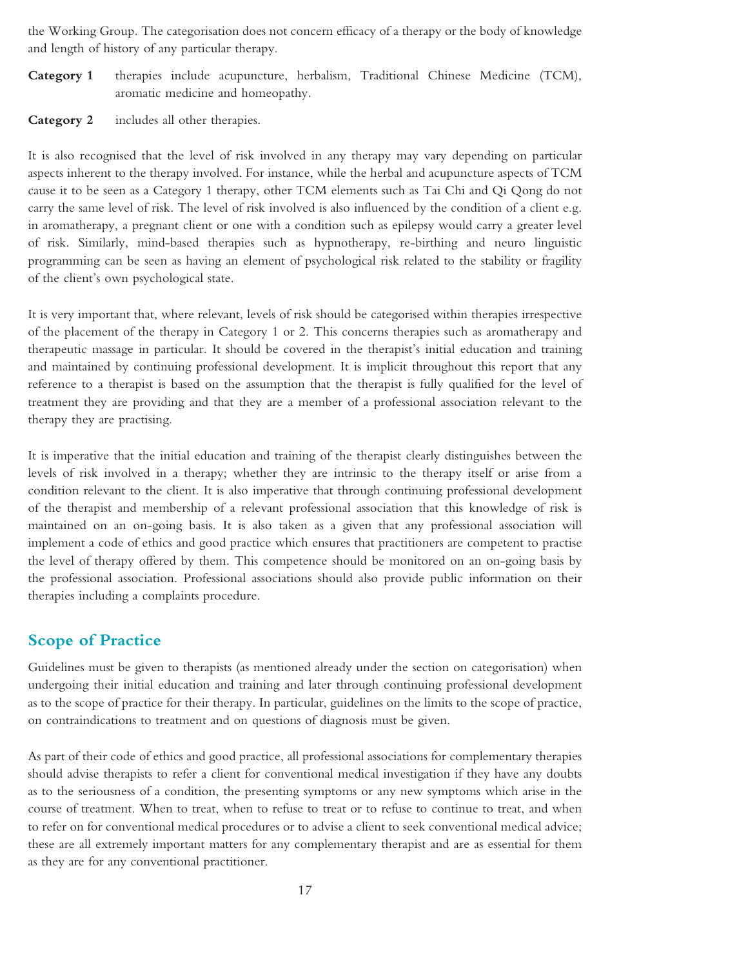the Working Group. The categorisation does not concern efficacy of a therapy or the body of knowledge and length of history of any particular therapy.

- **Category 1** therapies include acupuncture, herbalism, Traditional Chinese Medicine (TCM), aromatic medicine and homeopathy.
- **Category 2** includes all other therapies.

It is also recognised that the level of risk involved in any therapy may vary depending on particular aspects inherent to the therapy involved. For instance, while the herbal and acupuncture aspects of TCM cause it to be seen as a Category 1 therapy, other TCM elements such as Tai Chi and Qi Qong do not carry the same level of risk. The level of risk involved is also influenced by the condition of a client e.g. in aromatherapy, a pregnant client or one with a condition such as epilepsy would carry a greater level of risk. Similarly, mind-based therapies such as hypnotherapy, re-birthing and neuro linguistic programming can be seen as having an element of psychological risk related to the stability or fragility of the client's own psychological state.

It is very important that, where relevant, levels of risk should be categorised within therapies irrespective of the placement of the therapy in Category 1 or 2. This concerns therapies such as aromatherapy and therapeutic massage in particular. It should be covered in the therapist's initial education and training and maintained by continuing professional development. It is implicit throughout this report that any reference to a therapist is based on the assumption that the therapist is fully qualified for the level of treatment they are providing and that they are a member of a professional association relevant to the therapy they are practising.

It is imperative that the initial education and training of the therapist clearly distinguishes between the levels of risk involved in a therapy; whether they are intrinsic to the therapy itself or arise from a condition relevant to the client. It is also imperative that through continuing professional development of the therapist and membership of a relevant professional association that this knowledge of risk is maintained on an on-going basis. It is also taken as a given that any professional association will implement a code of ethics and good practice which ensures that practitioners are competent to practise the level of therapy offered by them. This competence should be monitored on an on-going basis by the professional association. Professional associations should also provide public information on their therapies including a complaints procedure.

### **Scope of Practice**

Guidelines must be given to therapists (as mentioned already under the section on categorisation) when undergoing their initial education and training and later through continuing professional development as to the scope of practice for their therapy. In particular, guidelines on the limits to the scope of practice, on contraindications to treatment and on questions of diagnosis must be given.

As part of their code of ethics and good practice, all professional associations for complementary therapies should advise therapists to refer a client for conventional medical investigation if they have any doubts as to the seriousness of a condition, the presenting symptoms or any new symptoms which arise in the course of treatment. When to treat, when to refuse to treat or to refuse to continue to treat, and when to refer on for conventional medical procedures or to advise a client to seek conventional medical advice; these are all extremely important matters for any complementary therapist and are as essential for them as they are for any conventional practitioner.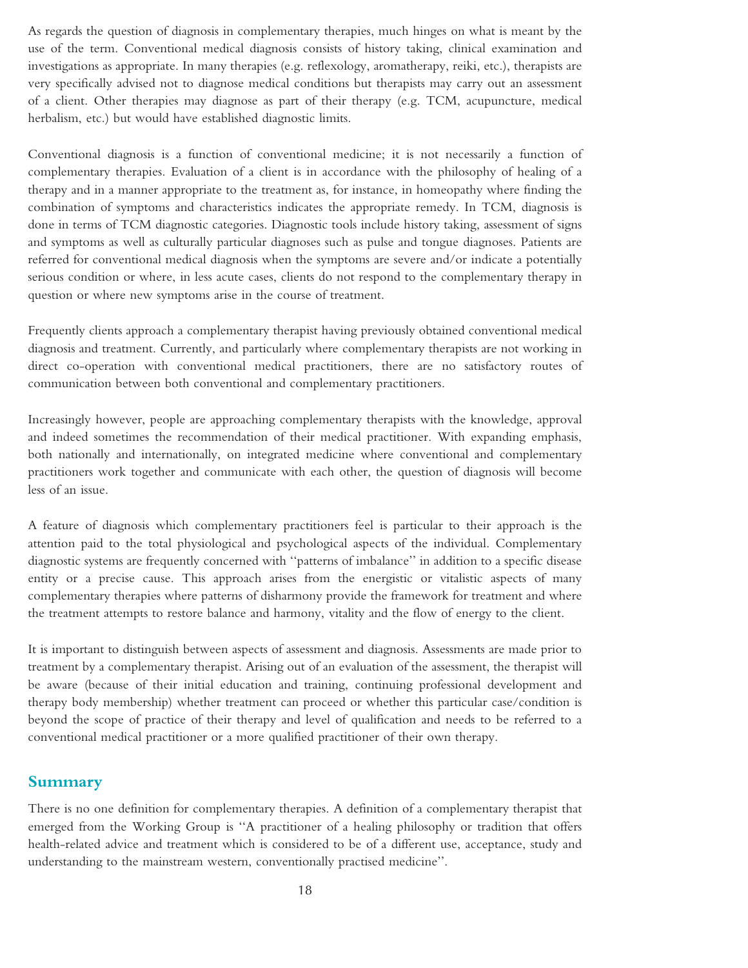As regards the question of diagnosis in complementary therapies, much hinges on what is meant by the use of the term. Conventional medical diagnosis consists of history taking, clinical examination and investigations as appropriate. In many therapies (e.g. reflexology, aromatherapy, reiki, etc.), therapists are very specifically advised not to diagnose medical conditions but therapists may carry out an assessment of a client. Other therapies may diagnose as part of their therapy (e.g. TCM, acupuncture, medical herbalism, etc.) but would have established diagnostic limits.

Conventional diagnosis is a function of conventional medicine; it is not necessarily a function of complementary therapies. Evaluation of a client is in accordance with the philosophy of healing of a therapy and in a manner appropriate to the treatment as, for instance, in homeopathy where finding the combination of symptoms and characteristics indicates the appropriate remedy. In TCM, diagnosis is done in terms of TCM diagnostic categories. Diagnostic tools include history taking, assessment of signs and symptoms as well as culturally particular diagnoses such as pulse and tongue diagnoses. Patients are referred for conventional medical diagnosis when the symptoms are severe and/or indicate a potentially serious condition or where, in less acute cases, clients do not respond to the complementary therapy in question or where new symptoms arise in the course of treatment.

Frequently clients approach a complementary therapist having previously obtained conventional medical diagnosis and treatment. Currently, and particularly where complementary therapists are not working in direct co-operation with conventional medical practitioners, there are no satisfactory routes of communication between both conventional and complementary practitioners.

Increasingly however, people are approaching complementary therapists with the knowledge, approval and indeed sometimes the recommendation of their medical practitioner. With expanding emphasis, both nationally and internationally, on integrated medicine where conventional and complementary practitioners work together and communicate with each other, the question of diagnosis will become less of an issue.

A feature of diagnosis which complementary practitioners feel is particular to their approach is the attention paid to the total physiological and psychological aspects of the individual. Complementary diagnostic systems are frequently concerned with ''patterns of imbalance'' in addition to a specific disease entity or a precise cause. This approach arises from the energistic or vitalistic aspects of many complementary therapies where patterns of disharmony provide the framework for treatment and where the treatment attempts to restore balance and harmony, vitality and the flow of energy to the client.

It is important to distinguish between aspects of assessment and diagnosis. Assessments are made prior to treatment by a complementary therapist. Arising out of an evaluation of the assessment, the therapist will be aware (because of their initial education and training, continuing professional development and therapy body membership) whether treatment can proceed or whether this particular case/condition is beyond the scope of practice of their therapy and level of qualification and needs to be referred to a conventional medical practitioner or a more qualified practitioner of their own therapy.

#### **Summary**

There is no one definition for complementary therapies. A definition of a complementary therapist that emerged from the Working Group is ''A practitioner of a healing philosophy or tradition that offers health-related advice and treatment which is considered to be of a different use, acceptance, study and understanding to the mainstream western, conventionally practised medicine''.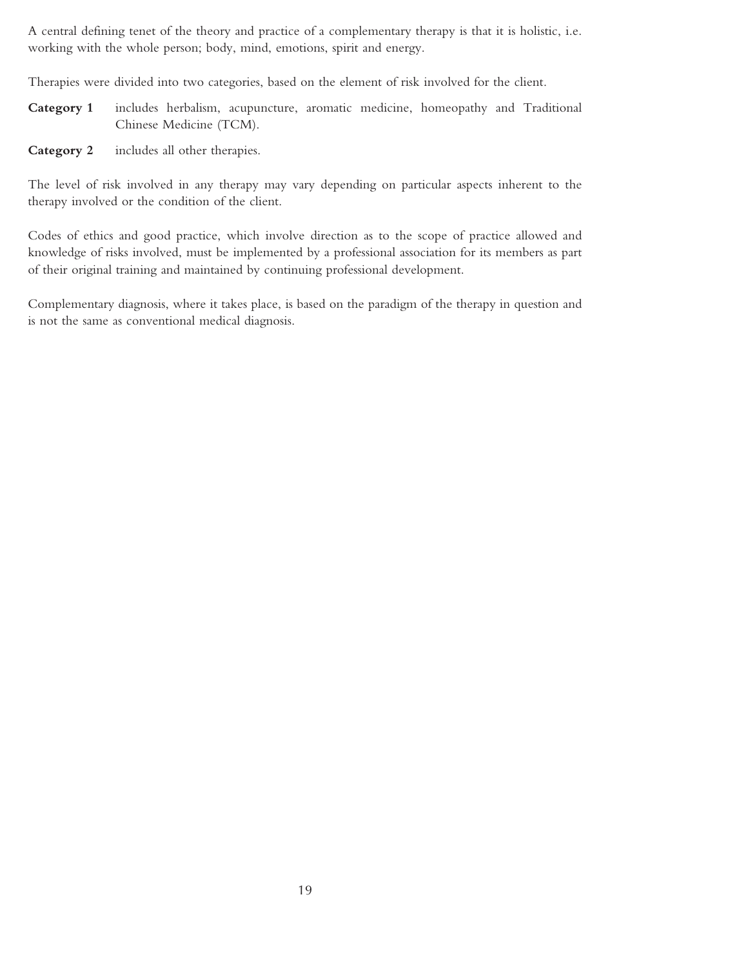A central defining tenet of the theory and practice of a complementary therapy is that it is holistic, i.e. working with the whole person; body, mind, emotions, spirit and energy.

Therapies were divided into two categories, based on the element of risk involved for the client.

- **Category 1** includes herbalism, acupuncture, aromatic medicine, homeopathy and Traditional Chinese Medicine (TCM).
- **Category 2** includes all other therapies.

The level of risk involved in any therapy may vary depending on particular aspects inherent to the therapy involved or the condition of the client.

Codes of ethics and good practice, which involve direction as to the scope of practice allowed and knowledge of risks involved, must be implemented by a professional association for its members as part of their original training and maintained by continuing professional development.

Complementary diagnosis, where it takes place, is based on the paradigm of the therapy in question and is not the same as conventional medical diagnosis.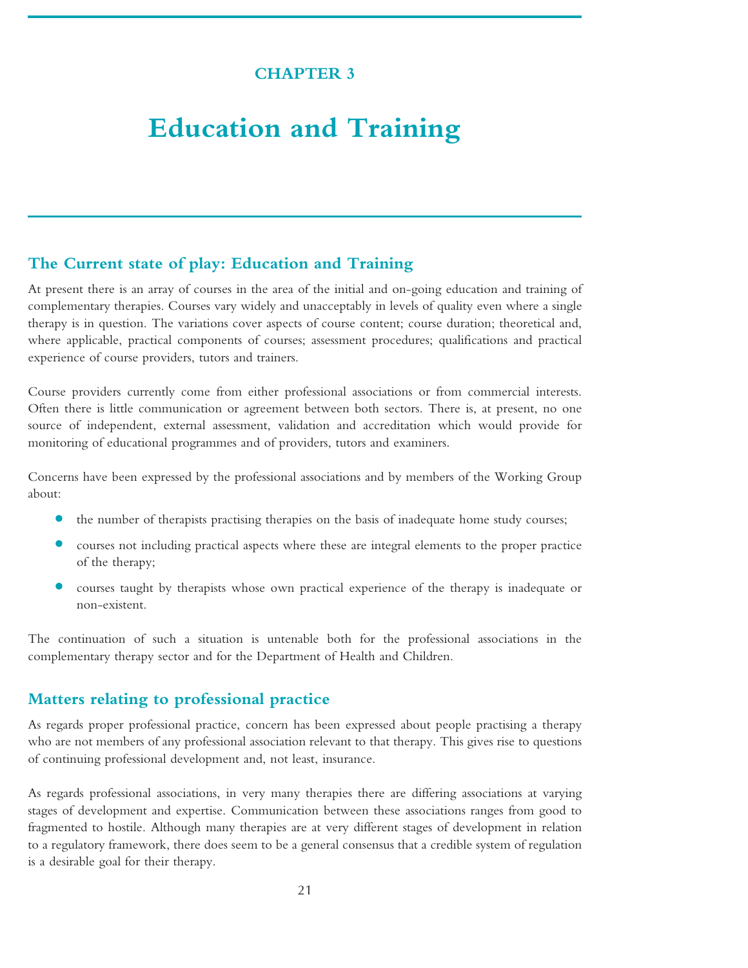## **CHAPTER 3**

# <span id="page-20-0"></span>**Education and Training**

### **The Current state of play: Education and Training**

At present there is an array of courses in the area of the initial and on-going education and training of complementary therapies. Courses vary widely and unacceptably in levels of quality even where a single therapy is in question. The variations cover aspects of course content; course duration; theoretical and, where applicable, practical components of courses; assessment procedures; qualifications and practical experience of course providers, tutors and trainers.

Course providers currently come from either professional associations or from commercial interests. Often there is little communication or agreement between both sectors. There is, at present, no one source of independent, external assessment, validation and accreditation which would provide for monitoring of educational programmes and of providers, tutors and examiners.

Concerns have been expressed by the professional associations and by members of the Working Group about:

- **•** the number of therapists practising therapies on the basis of inadequate home study courses;
- courses not including practical aspects where these are integral elements to the proper practice of the therapy;
- **•** courses taught by therapists whose own practical experience of the therapy is inadequate or non-existent.

The continuation of such a situation is untenable both for the professional associations in the complementary therapy sector and for the Department of Health and Children.

### **Matters relating to professional practice**

As regards proper professional practice, concern has been expressed about people practising a therapy who are not members of any professional association relevant to that therapy. This gives rise to questions of continuing professional development and, not least, insurance.

As regards professional associations, in very many therapies there are differing associations at varying stages of development and expertise. Communication between these associations ranges from good to fragmented to hostile. Although many therapies are at very different stages of development in relation to a regulatory framework, there does seem to be a general consensus that a credible system of regulation is a desirable goal for their therapy.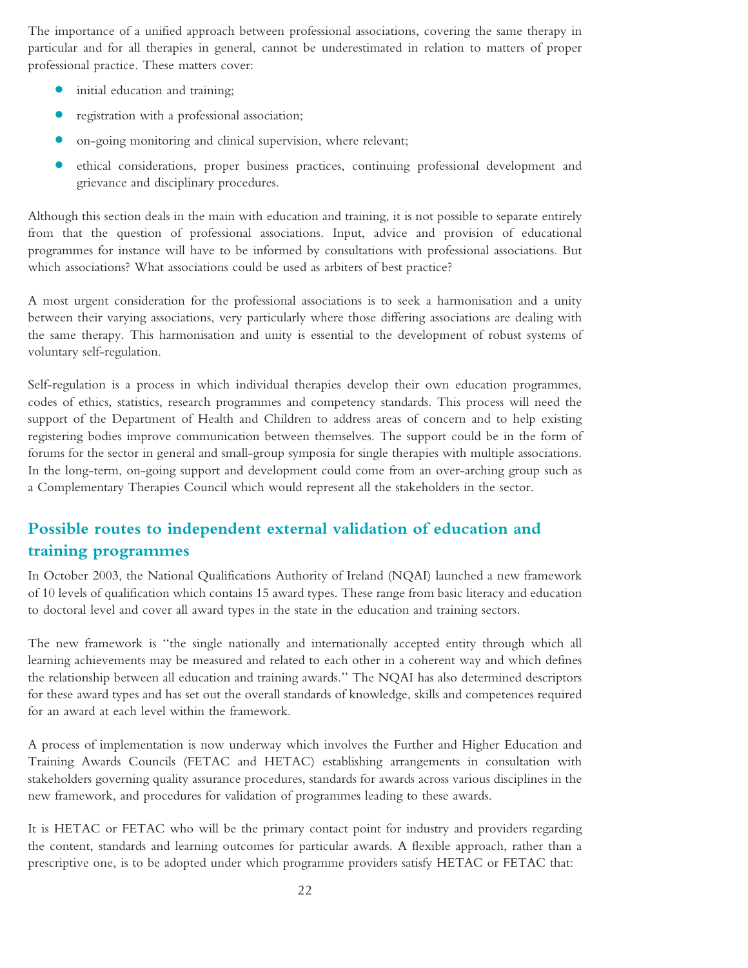The importance of a unified approach between professional associations, covering the same therapy in particular and for all therapies in general, cannot be underestimated in relation to matters of proper professional practice. These matters cover:

- **•** initial education and training;
- **•** registration with <sup>a</sup> professional association;
- **•** on-going monitoring and clinical supervision, where relevant;
- **•** ethical considerations, proper business practices, continuing professional development and grievance and disciplinary procedures.

Although this section deals in the main with education and training, it is not possible to separate entirely from that the question of professional associations. Input, advice and provision of educational programmes for instance will have to be informed by consultations with professional associations. But which associations? What associations could be used as arbiters of best practice?

A most urgent consideration for the professional associations is to seek a harmonisation and a unity between their varying associations, very particularly where those differing associations are dealing with the same therapy. This harmonisation and unity is essential to the development of robust systems of voluntary self-regulation.

Self-regulation is a process in which individual therapies develop their own education programmes, codes of ethics, statistics, research programmes and competency standards. This process will need the support of the Department of Health and Children to address areas of concern and to help existing registering bodies improve communication between themselves. The support could be in the form of forums for the sector in general and small-group symposia for single therapies with multiple associations. In the long-term, on-going support and development could come from an over-arching group such as a Complementary Therapies Council which would represent all the stakeholders in the sector.

# **Possible routes to independent external validation of education and training programmes**

In October 2003, the National Qualifications Authority of Ireland (NQAI) launched a new framework of 10 levels of qualification which contains 15 award types. These range from basic literacy and education to doctoral level and cover all award types in the state in the education and training sectors.

The new framework is ''the single nationally and internationally accepted entity through which all learning achievements may be measured and related to each other in a coherent way and which defines the relationship between all education and training awards.'' The NQAI has also determined descriptors for these award types and has set out the overall standards of knowledge, skills and competences required for an award at each level within the framework.

A process of implementation is now underway which involves the Further and Higher Education and Training Awards Councils (FETAC and HETAC) establishing arrangements in consultation with stakeholders governing quality assurance procedures, standards for awards across various disciplines in the new framework, and procedures for validation of programmes leading to these awards.

It is HETAC or FETAC who will be the primary contact point for industry and providers regarding the content, standards and learning outcomes for particular awards. A flexible approach, rather than a prescriptive one, is to be adopted under which programme providers satisfy HETAC or FETAC that: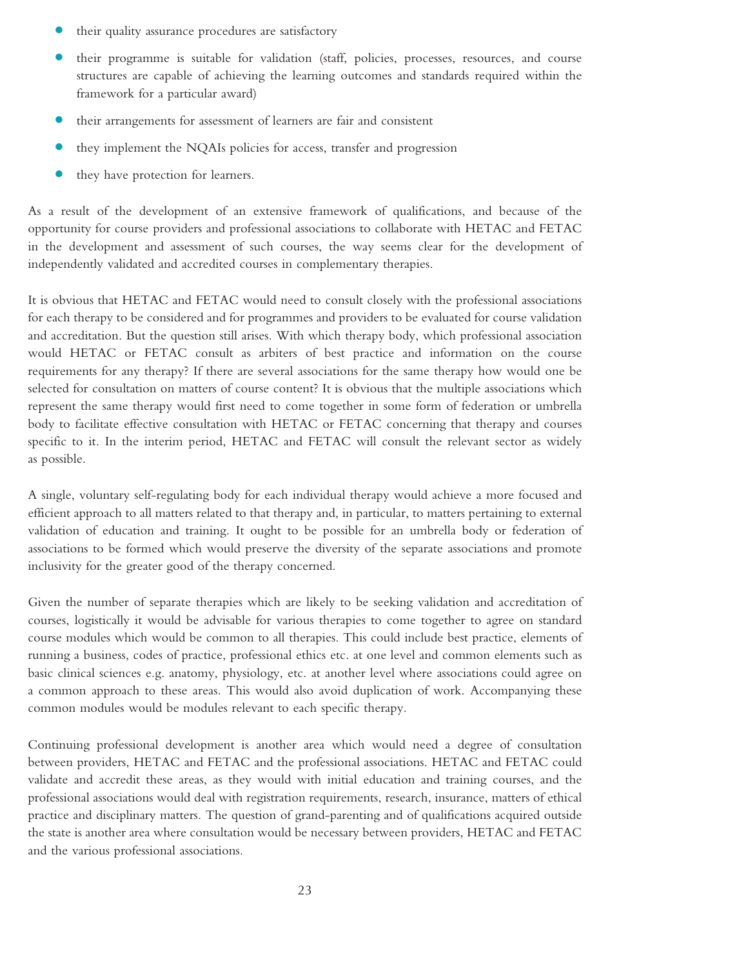- **•** their quality assurance procedures are satisfactory
- **•** their programme is suitable for validation (staff, policies, processes, resources, and course structures are capable of achieving the learning outcomes and standards required within the framework for a particular award)
- **•** their arrangements for assessment of learners are fair and consistent
- **•** they implement the NQAIs policies for access, transfer and progression
- **•** they have protection for learners.

As a result of the development of an extensive framework of qualifications, and because of the opportunity for course providers and professional associations to collaborate with HETAC and FETAC in the development and assessment of such courses, the way seems clear for the development of independently validated and accredited courses in complementary therapies.

It is obvious that HETAC and FETAC would need to consult closely with the professional associations for each therapy to be considered and for programmes and providers to be evaluated for course validation and accreditation. But the question still arises. With which therapy body, which professional association would HETAC or FETAC consult as arbiters of best practice and information on the course requirements for any therapy? If there are several associations for the same therapy how would one be selected for consultation on matters of course content? It is obvious that the multiple associations which represent the same therapy would first need to come together in some form of federation or umbrella body to facilitate effective consultation with HETAC or FETAC concerning that therapy and courses specific to it. In the interim period, HETAC and FETAC will consult the relevant sector as widely as possible.

A single, voluntary self-regulating body for each individual therapy would achieve a more focused and efficient approach to all matters related to that therapy and, in particular, to matters pertaining to external validation of education and training. It ought to be possible for an umbrella body or federation of associations to be formed which would preserve the diversity of the separate associations and promote inclusivity for the greater good of the therapy concerned.

Given the number of separate therapies which are likely to be seeking validation and accreditation of courses, logistically it would be advisable for various therapies to come together to agree on standard course modules which would be common to all therapies. This could include best practice, elements of running a business, codes of practice, professional ethics etc. at one level and common elements such as basic clinical sciences e.g. anatomy, physiology, etc. at another level where associations could agree on a common approach to these areas. This would also avoid duplication of work. Accompanying these common modules would be modules relevant to each specific therapy.

Continuing professional development is another area which would need a degree of consultation between providers, HETAC and FETAC and the professional associations. HETAC and FETAC could validate and accredit these areas, as they would with initial education and training courses, and the professional associations would deal with registration requirements, research, insurance, matters of ethical practice and disciplinary matters. The question of grand-parenting and of qualifications acquired outside the state is another area where consultation would be necessary between providers, HETAC and FETAC and the various professional associations.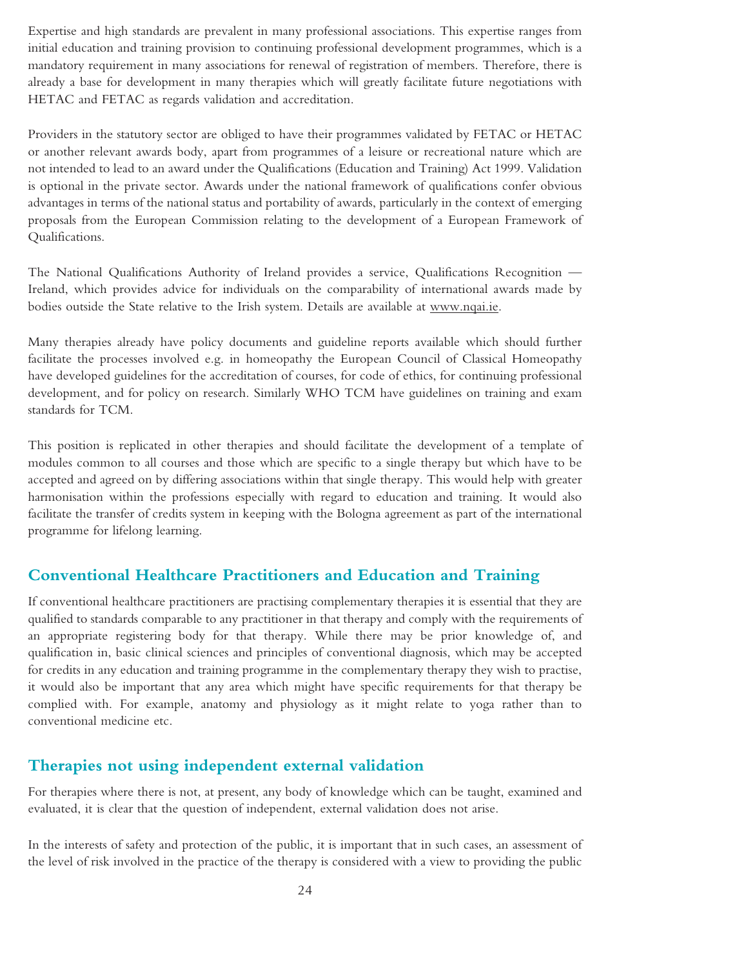Expertise and high standards are prevalent in many professional associations. This expertise ranges from initial education and training provision to continuing professional development programmes, which is a mandatory requirement in many associations for renewal of registration of members. Therefore, there is already a base for development in many therapies which will greatly facilitate future negotiations with HETAC and FETAC as regards validation and accreditation.

Providers in the statutory sector are obliged to have their programmes validated by FETAC or HETAC or another relevant awards body, apart from programmes of a leisure or recreational nature which are not intended to lead to an award under the Qualifications (Education and Training) Act 1999. Validation is optional in the private sector. Awards under the national framework of qualifications confer obvious advantages in terms of the national status and portability of awards, particularly in the context of emerging proposals from the European Commission relating to the development of a European Framework of Qualifications.

The National Qualifications Authority of Ireland provides a service, Qualifications Recognition — Ireland, which provides advice for individuals on the comparability of international awards made by bodies outside the State relative to the Irish system. Details are available at www.nqai.ie.

Many therapies already have policy documents and guideline reports available which should further facilitate the processes involved e.g. in homeopathy the European Council of Classical Homeopathy have developed guidelines for the accreditation of courses, for code of ethics, for continuing professional development, and for policy on research. Similarly WHO TCM have guidelines on training and exam standards for TCM.

This position is replicated in other therapies and should facilitate the development of a template of modules common to all courses and those which are specific to a single therapy but which have to be accepted and agreed on by differing associations within that single therapy. This would help with greater harmonisation within the professions especially with regard to education and training. It would also facilitate the transfer of credits system in keeping with the Bologna agreement as part of the international programme for lifelong learning.

## **Conventional Healthcare Practitioners and Education and Training**

If conventional healthcare practitioners are practising complementary therapies it is essential that they are qualified to standards comparable to any practitioner in that therapy and comply with the requirements of an appropriate registering body for that therapy. While there may be prior knowledge of, and qualification in, basic clinical sciences and principles of conventional diagnosis, which may be accepted for credits in any education and training programme in the complementary therapy they wish to practise, it would also be important that any area which might have specific requirements for that therapy be complied with. For example, anatomy and physiology as it might relate to yoga rather than to conventional medicine etc.

## **Therapies not using independent external validation**

For therapies where there is not, at present, any body of knowledge which can be taught, examined and evaluated, it is clear that the question of independent, external validation does not arise.

In the interests of safety and protection of the public, it is important that in such cases, an assessment of the level of risk involved in the practice of the therapy is considered with a view to providing the public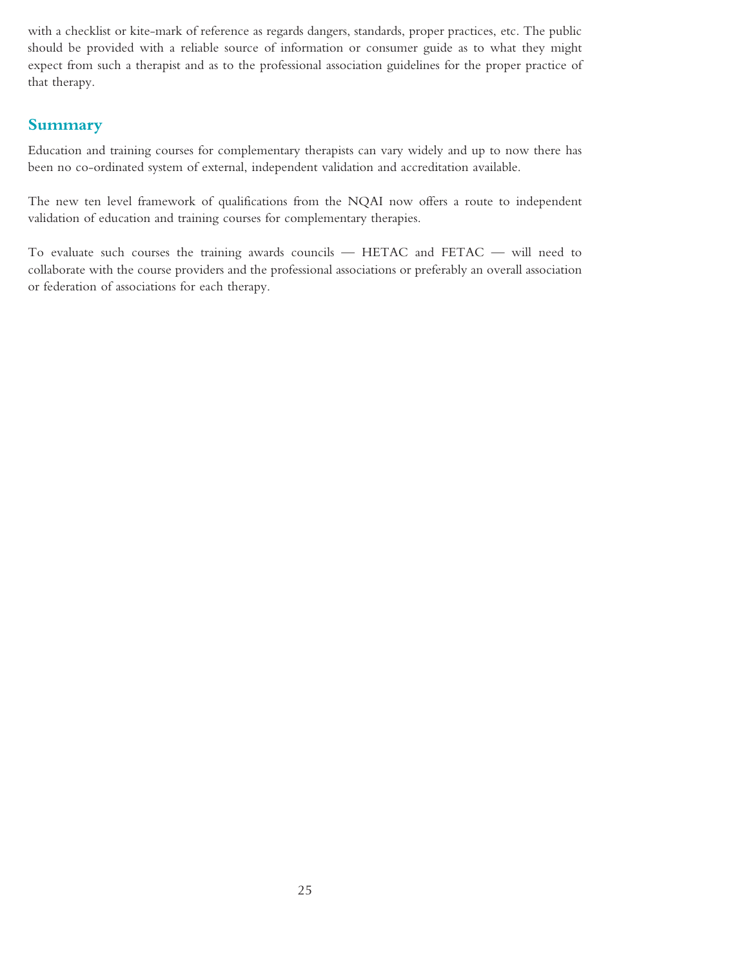with a checklist or kite-mark of reference as regards dangers, standards, proper practices, etc. The public should be provided with a reliable source of information or consumer guide as to what they might expect from such a therapist and as to the professional association guidelines for the proper practice of that therapy.

## **Summary**

Education and training courses for complementary therapists can vary widely and up to now there has been no co-ordinated system of external, independent validation and accreditation available.

The new ten level framework of qualifications from the NQAI now offers a route to independent validation of education and training courses for complementary therapies.

To evaluate such courses the training awards councils — HETAC and FETAC — will need to collaborate with the course providers and the professional associations or preferably an overall association or federation of associations for each therapy.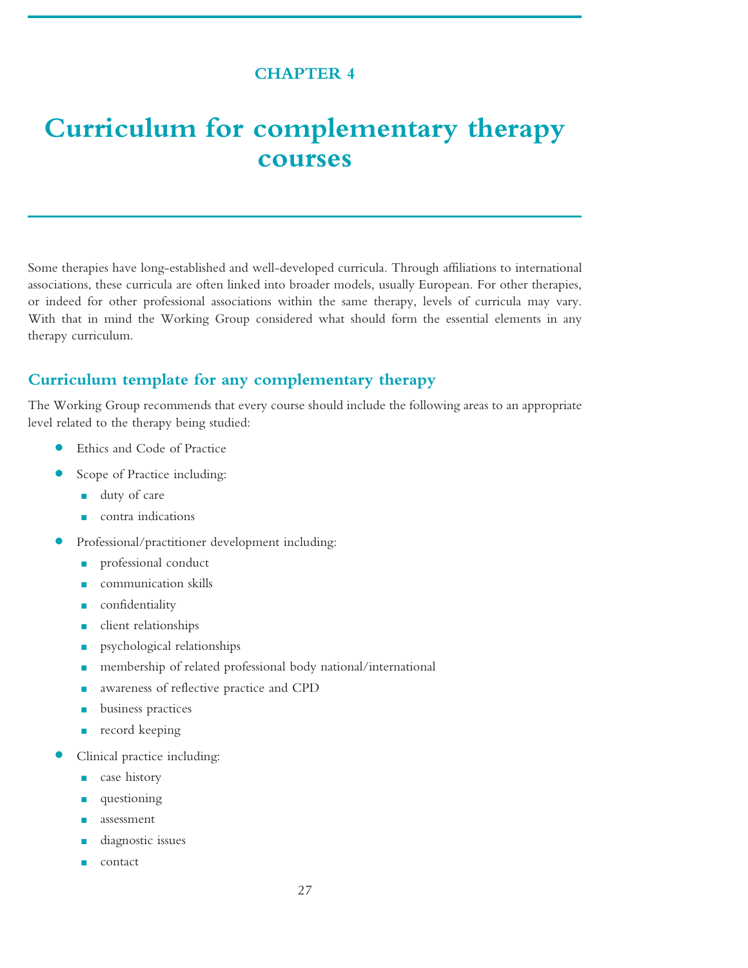## **CHAPTER 4**

# <span id="page-26-0"></span>**Curriculum for complementary therapy courses**

Some therapies have long-established and well-developed curricula. Through affiliations to international associations, these curricula are often linked into broader models, usually European. For other therapies, or indeed for other professional associations within the same therapy, levels of curricula may vary. With that in mind the Working Group considered what should form the essential elements in any therapy curriculum.

### **Curriculum template for any complementary therapy**

The Working Group recommends that every course should include the following areas to an appropriate level related to the therapy being studied:

- **•** Ethics and Code of Practice
- **•** Scope of Practice including:
	- duty of care
	- contra indications
- **•** Professional/practitioner development including:
	- professional conduct
	- communication skills
	- confidentiality
	- client relationships
	- psychological relationships
	- membership of related professional body national/international
	- awareness of reflective practice and CPD
	- business practices
	- record keeping
- **•** Clinical practice including:
	- case history
	- questioning
	- assessment
	- diagnostic issues
	- contact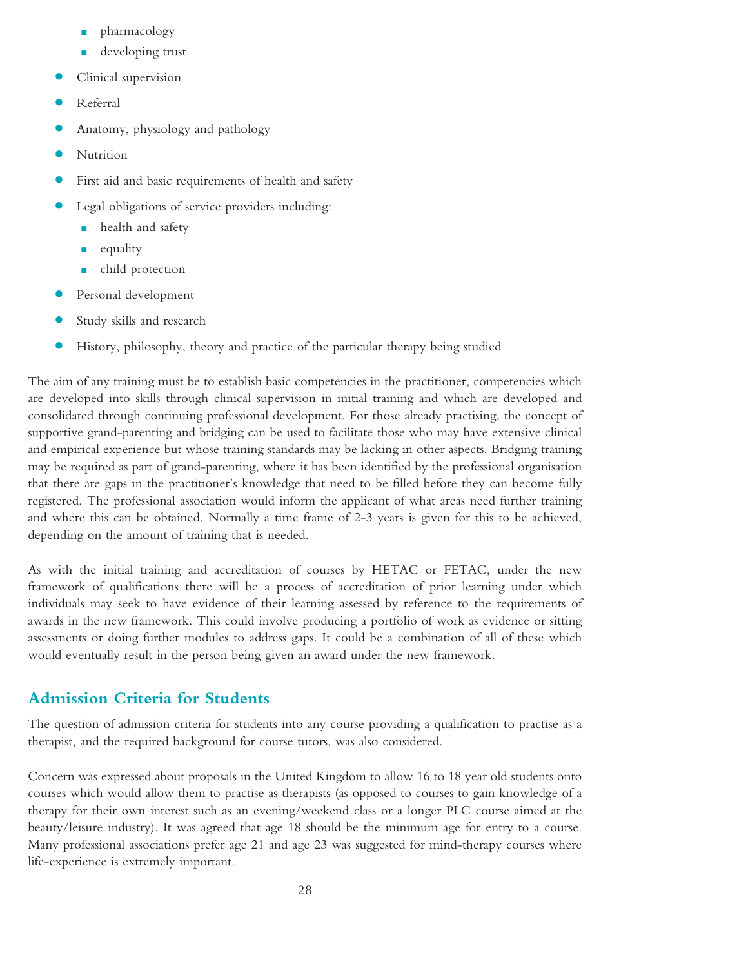- pharmacology
- developing trust
- **•** Clinical supervision
- **•** Referral
- **•** Anatomy, physiology and pathology
- **•** Nutrition
- **•** First aid and basic requirements of health and safety
- **•** Legal obligations of service providers including:
	- health and safety
	- equality
	- child protection
- **•** Personal development
- **•** Study skills and research
- **•** History, philosophy, theory and practice of the particular therapy being studied

The aim of any training must be to establish basic competencies in the practitioner, competencies which are developed into skills through clinical supervision in initial training and which are developed and consolidated through continuing professional development. For those already practising, the concept of supportive grand-parenting and bridging can be used to facilitate those who may have extensive clinical and empirical experience but whose training standards may be lacking in other aspects. Bridging training may be required as part of grand-parenting, where it has been identified by the professional organisation that there are gaps in the practitioner's knowledge that need to be filled before they can become fully registered. The professional association would inform the applicant of what areas need further training and where this can be obtained. Normally a time frame of 2-3 years is given for this to be achieved, depending on the amount of training that is needed.

As with the initial training and accreditation of courses by HETAC or FETAC, under the new framework of qualifications there will be a process of accreditation of prior learning under which individuals may seek to have evidence of their learning assessed by reference to the requirements of awards in the new framework. This could involve producing a portfolio of work as evidence or sitting assessments or doing further modules to address gaps. It could be a combination of all of these which would eventually result in the person being given an award under the new framework.

### **Admission Criteria for Students**

The question of admission criteria for students into any course providing a qualification to practise as a therapist, and the required background for course tutors, was also considered.

Concern was expressed about proposals in the United Kingdom to allow 16 to 18 year old students onto courses which would allow them to practise as therapists (as opposed to courses to gain knowledge of a therapy for their own interest such as an evening/weekend class or a longer PLC course aimed at the beauty/leisure industry). It was agreed that age 18 should be the minimum age for entry to a course. Many professional associations prefer age 21 and age 23 was suggested for mind-therapy courses where life-experience is extremely important.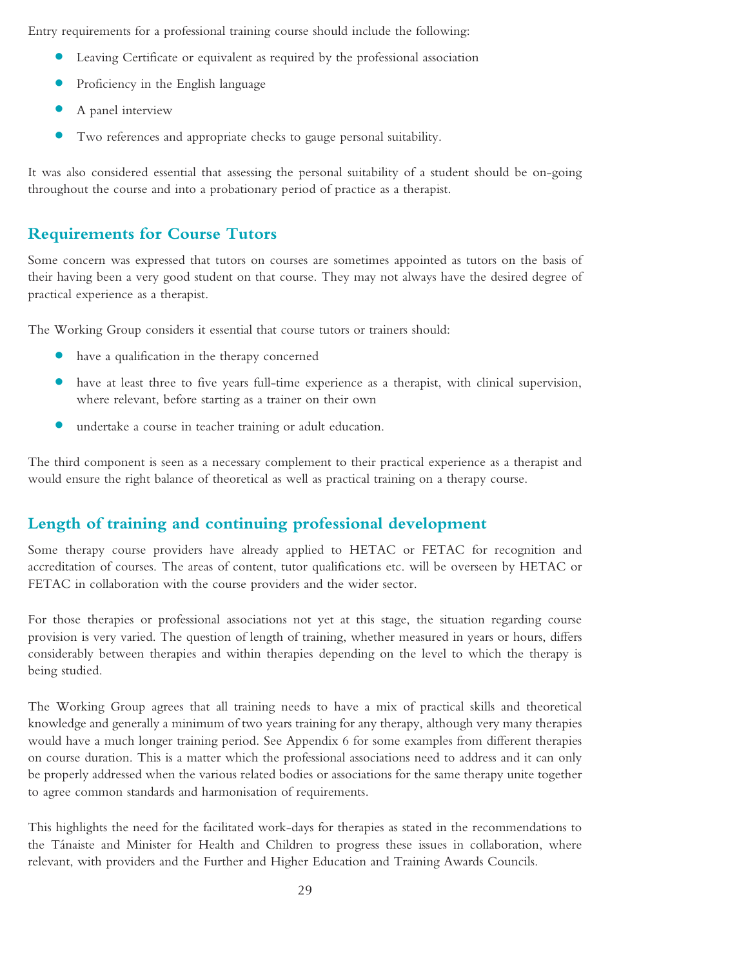Entry requirements for a professional training course should include the following:

- **•** Leaving Certificate or equivalent as required by the professional association
- **•** Proficiency in the English language
- **•** <sup>A</sup> panel interview
- **•** Two references and appropriate checks to gauge personal suitability.

It was also considered essential that assessing the personal suitability of a student should be on-going throughout the course and into a probationary period of practice as a therapist.

# **Requirements for Course Tutors**

Some concern was expressed that tutors on courses are sometimes appointed as tutors on the basis of their having been a very good student on that course. They may not always have the desired degree of practical experience as a therapist.

The Working Group considers it essential that course tutors or trainers should:

- **•** have <sup>a</sup> qualification in the therapy concerned
- **•** have at least three to five years full-time experience as <sup>a</sup> therapist, with clinical supervision, where relevant, before starting as a trainer on their own
- **•** undertake <sup>a</sup> course in teacher training or adult education.

The third component is seen as a necessary complement to their practical experience as a therapist and would ensure the right balance of theoretical as well as practical training on a therapy course.

# **Length of training and continuing professional development**

Some therapy course providers have already applied to HETAC or FETAC for recognition and accreditation of courses. The areas of content, tutor qualifications etc. will be overseen by HETAC or FETAC in collaboration with the course providers and the wider sector.

For those therapies or professional associations not yet at this stage, the situation regarding course provision is very varied. The question of length of training, whether measured in years or hours, differs considerably between therapies and within therapies depending on the level to which the therapy is being studied.

The Working Group agrees that all training needs to have a mix of practical skills and theoretical knowledge and generally a minimum of two years training for any therapy, although very many therapies would have a much longer training period. See Appendix 6 for some examples from different therapies on course duration. This is a matter which the professional associations need to address and it can only be properly addressed when the various related bodies or associations for the same therapy unite together to agree common standards and harmonisation of requirements.

This highlights the need for the facilitated work-days for therapies as stated in the recommendations to the Tánaiste and Minister for Health and Children to progress these issues in collaboration, where relevant, with providers and the Further and Higher Education and Training Awards Councils.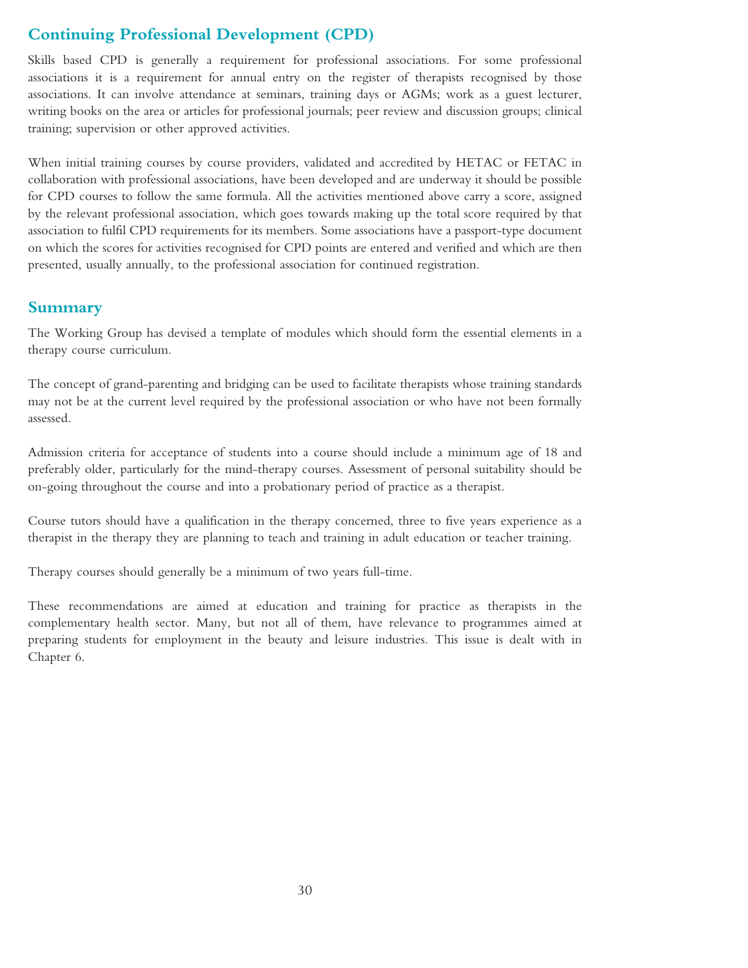# **Continuing Professional Development (CPD)**

Skills based CPD is generally a requirement for professional associations. For some professional associations it is a requirement for annual entry on the register of therapists recognised by those associations. It can involve attendance at seminars, training days or AGMs; work as a guest lecturer, writing books on the area or articles for professional journals; peer review and discussion groups; clinical training; supervision or other approved activities.

When initial training courses by course providers, validated and accredited by HETAC or FETAC in collaboration with professional associations, have been developed and are underway it should be possible for CPD courses to follow the same formula. All the activities mentioned above carry a score, assigned by the relevant professional association, which goes towards making up the total score required by that association to fulfil CPD requirements for its members. Some associations have a passport-type document on which the scores for activities recognised for CPD points are entered and verified and which are then presented, usually annually, to the professional association for continued registration.

### **Summary**

The Working Group has devised a template of modules which should form the essential elements in a therapy course curriculum.

The concept of grand-parenting and bridging can be used to facilitate therapists whose training standards may not be at the current level required by the professional association or who have not been formally assessed.

Admission criteria for acceptance of students into a course should include a minimum age of 18 and preferably older, particularly for the mind-therapy courses. Assessment of personal suitability should be on-going throughout the course and into a probationary period of practice as a therapist.

Course tutors should have a qualification in the therapy concerned, three to five years experience as a therapist in the therapy they are planning to teach and training in adult education or teacher training.

Therapy courses should generally be a minimum of two years full-time.

These recommendations are aimed at education and training for practice as therapists in the complementary health sector. Many, but not all of them, have relevance to programmes aimed at preparing students for employment in the beauty and leisure industries. This issue is dealt with in Chapter 6.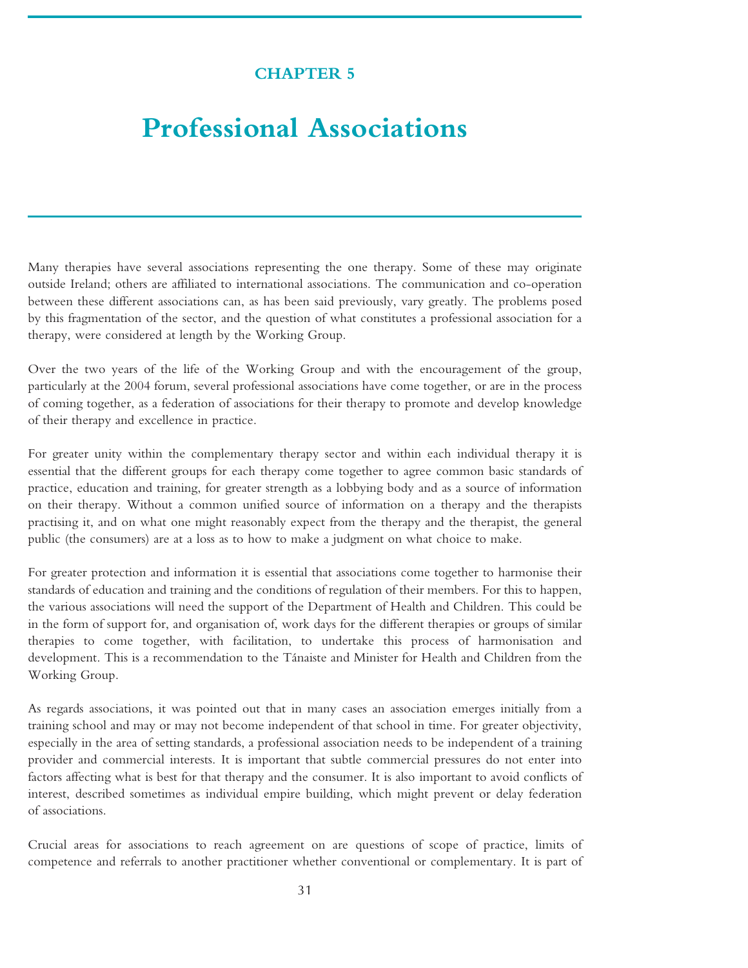# **CHAPTER 5**

# <span id="page-30-0"></span>**Professional Associations**

Many therapies have several associations representing the one therapy. Some of these may originate outside Ireland; others are affiliated to international associations. The communication and co-operation between these different associations can, as has been said previously, vary greatly. The problems posed by this fragmentation of the sector, and the question of what constitutes a professional association for a therapy, were considered at length by the Working Group.

Over the two years of the life of the Working Group and with the encouragement of the group, particularly at the 2004 forum, several professional associations have come together, or are in the process of coming together, as a federation of associations for their therapy to promote and develop knowledge of their therapy and excellence in practice.

For greater unity within the complementary therapy sector and within each individual therapy it is essential that the different groups for each therapy come together to agree common basic standards of practice, education and training, for greater strength as a lobbying body and as a source of information on their therapy. Without a common unified source of information on a therapy and the therapists practising it, and on what one might reasonably expect from the therapy and the therapist, the general public (the consumers) are at a loss as to how to make a judgment on what choice to make.

For greater protection and information it is essential that associations come together to harmonise their standards of education and training and the conditions of regulation of their members. For this to happen, the various associations will need the support of the Department of Health and Children. This could be in the form of support for, and organisation of, work days for the different therapies or groups of similar therapies to come together, with facilitation, to undertake this process of harmonisation and development. This is a recommendation to the Tánaiste and Minister for Health and Children from the Working Group.

As regards associations, it was pointed out that in many cases an association emerges initially from a training school and may or may not become independent of that school in time. For greater objectivity, especially in the area of setting standards, a professional association needs to be independent of a training provider and commercial interests. It is important that subtle commercial pressures do not enter into factors affecting what is best for that therapy and the consumer. It is also important to avoid conflicts of interest, described sometimes as individual empire building, which might prevent or delay federation of associations.

Crucial areas for associations to reach agreement on are questions of scope of practice, limits of competence and referrals to another practitioner whether conventional or complementary. It is part of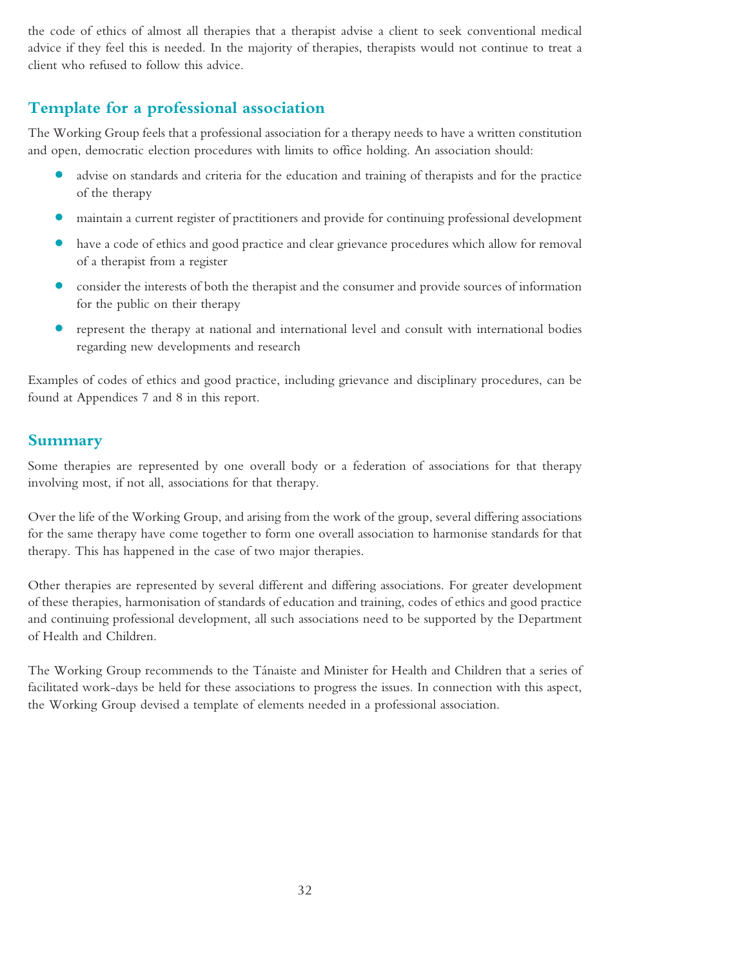the code of ethics of almost all therapies that a therapist advise a client to seek conventional medical advice if they feel this is needed. In the majority of therapies, therapists would not continue to treat a client who refused to follow this advice.

# **Template for a professional association**

The Working Group feels that a professional association for a therapy needs to have a written constitution and open, democratic election procedures with limits to office holding. An association should:

- **•** advise on standards and criteria for the education and training of therapists and for the practice of the therapy
- maintain a current register of practitioners and provide for continuing professional development
- **•** have <sup>a</sup> code of ethics and good practice and clear grievance procedures which allow for removal of a therapist from a register
- consider the interests of both the therapist and the consumer and provide sources of information for the public on their therapy
- represent the therapy at national and international level and consult with international bodies regarding new developments and research

Examples of codes of ethics and good practice, including grievance and disciplinary procedures, can be found at Appendices 7 and 8 in this report.

## **Summary**

Some therapies are represented by one overall body or a federation of associations for that therapy involving most, if not all, associations for that therapy.

Over the life of the Working Group, and arising from the work of the group, several differing associations for the same therapy have come together to form one overall association to harmonise standards for that therapy. This has happened in the case of two major therapies.

Other therapies are represented by several different and differing associations. For greater development of these therapies, harmonisation of standards of education and training, codes of ethics and good practice and continuing professional development, all such associations need to be supported by the Department of Health and Children.

The Working Group recommends to the Tánaiste and Minister for Health and Children that a series of facilitated work-days be held for these associations to progress the issues. In connection with this aspect, the Working Group devised a template of elements needed in a professional association.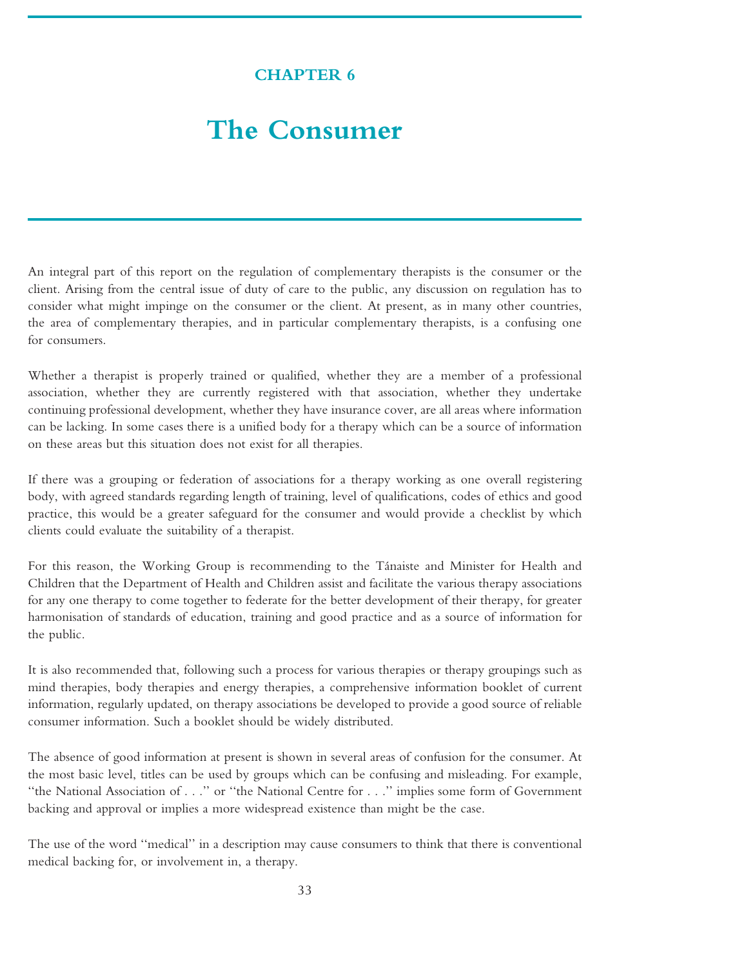# **CHAPTER 6**

# <span id="page-32-0"></span>**The Consumer**

An integral part of this report on the regulation of complementary therapists is the consumer or the client. Arising from the central issue of duty of care to the public, any discussion on regulation has to consider what might impinge on the consumer or the client. At present, as in many other countries, the area of complementary therapies, and in particular complementary therapists, is a confusing one for consumers.

Whether a therapist is properly trained or qualified, whether they are a member of a professional association, whether they are currently registered with that association, whether they undertake continuing professional development, whether they have insurance cover, are all areas where information can be lacking. In some cases there is a unified body for a therapy which can be a source of information on these areas but this situation does not exist for all therapies.

If there was a grouping or federation of associations for a therapy working as one overall registering body, with agreed standards regarding length of training, level of qualifications, codes of ethics and good practice, this would be a greater safeguard for the consumer and would provide a checklist by which clients could evaluate the suitability of a therapist.

For this reason, the Working Group is recommending to the Tánaiste and Minister for Health and Children that the Department of Health and Children assist and facilitate the various therapy associations for any one therapy to come together to federate for the better development of their therapy, for greater harmonisation of standards of education, training and good practice and as a source of information for the public.

It is also recommended that, following such a process for various therapies or therapy groupings such as mind therapies, body therapies and energy therapies, a comprehensive information booklet of current information, regularly updated, on therapy associations be developed to provide a good source of reliable consumer information. Such a booklet should be widely distributed.

The absence of good information at present is shown in several areas of confusion for the consumer. At the most basic level, titles can be used by groups which can be confusing and misleading. For example, ''the National Association of . . .'' or ''the National Centre for . . .'' implies some form of Government backing and approval or implies a more widespread existence than might be the case.

The use of the word ''medical'' in a description may cause consumers to think that there is conventional medical backing for, or involvement in, a therapy.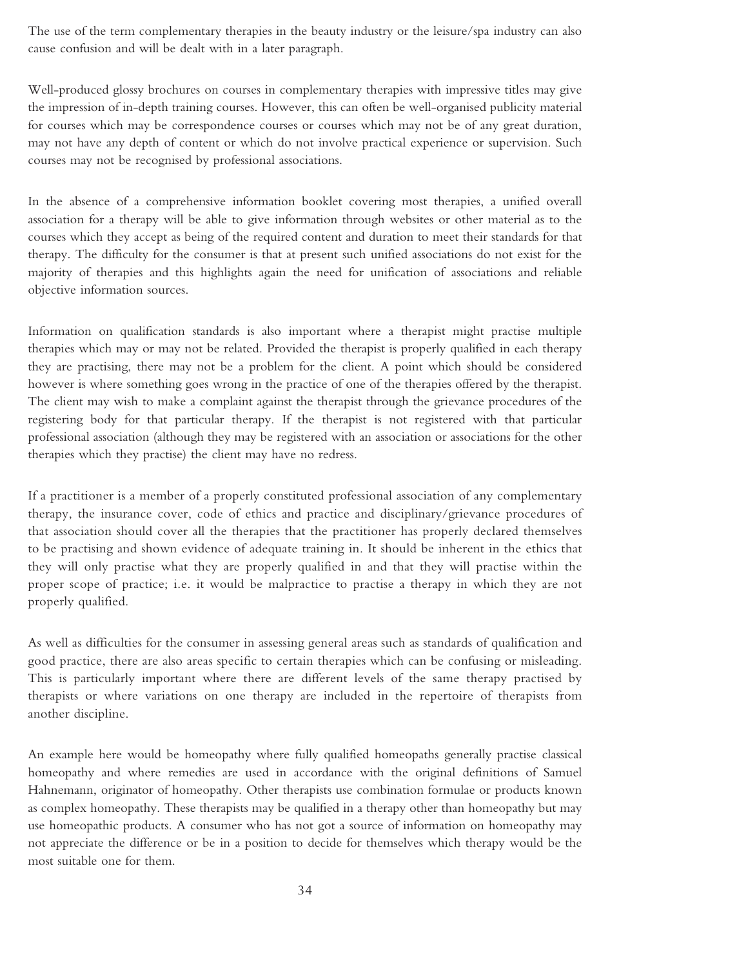The use of the term complementary therapies in the beauty industry or the leisure/spa industry can also cause confusion and will be dealt with in a later paragraph.

Well-produced glossy brochures on courses in complementary therapies with impressive titles may give the impression of in-depth training courses. However, this can often be well-organised publicity material for courses which may be correspondence courses or courses which may not be of any great duration, may not have any depth of content or which do not involve practical experience or supervision. Such courses may not be recognised by professional associations.

In the absence of a comprehensive information booklet covering most therapies, a unified overall association for a therapy will be able to give information through websites or other material as to the courses which they accept as being of the required content and duration to meet their standards for that therapy. The difficulty for the consumer is that at present such unified associations do not exist for the majority of therapies and this highlights again the need for unification of associations and reliable objective information sources.

Information on qualification standards is also important where a therapist might practise multiple therapies which may or may not be related. Provided the therapist is properly qualified in each therapy they are practising, there may not be a problem for the client. A point which should be considered however is where something goes wrong in the practice of one of the therapies offered by the therapist. The client may wish to make a complaint against the therapist through the grievance procedures of the registering body for that particular therapy. If the therapist is not registered with that particular professional association (although they may be registered with an association or associations for the other therapies which they practise) the client may have no redress.

If a practitioner is a member of a properly constituted professional association of any complementary therapy, the insurance cover, code of ethics and practice and disciplinary/grievance procedures of that association should cover all the therapies that the practitioner has properly declared themselves to be practising and shown evidence of adequate training in. It should be inherent in the ethics that they will only practise what they are properly qualified in and that they will practise within the proper scope of practice; i.e. it would be malpractice to practise a therapy in which they are not properly qualified.

As well as difficulties for the consumer in assessing general areas such as standards of qualification and good practice, there are also areas specific to certain therapies which can be confusing or misleading. This is particularly important where there are different levels of the same therapy practised by therapists or where variations on one therapy are included in the repertoire of therapists from another discipline.

An example here would be homeopathy where fully qualified homeopaths generally practise classical homeopathy and where remedies are used in accordance with the original definitions of Samuel Hahnemann, originator of homeopathy. Other therapists use combination formulae or products known as complex homeopathy. These therapists may be qualified in a therapy other than homeopathy but may use homeopathic products. A consumer who has not got a source of information on homeopathy may not appreciate the difference or be in a position to decide for themselves which therapy would be the most suitable one for them.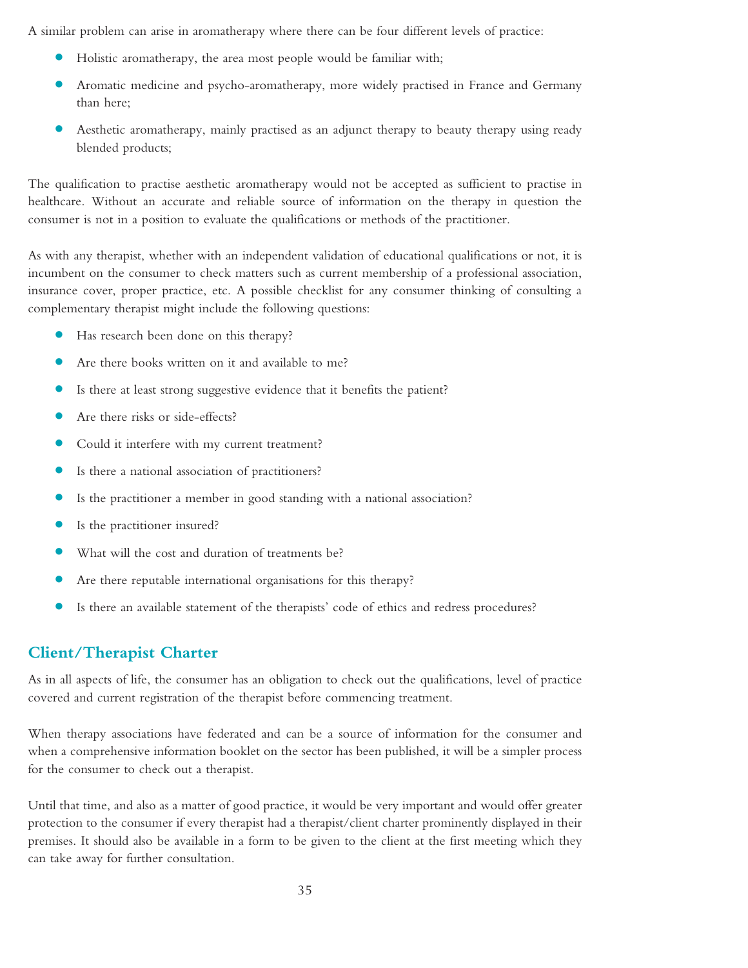A similar problem can arise in aromatherapy where there can be four different levels of practice:

- **•** Holistic aromatherapy, the area most people would be familiar with;
- **•** Aromatic medicine and psycho-aromatherapy, more widely practised in France and Germany than here;
- **•** Aesthetic aromatherapy, mainly practised as an adjunct therapy to beauty therapy using ready blended products;

The qualification to practise aesthetic aromatherapy would not be accepted as sufficient to practise in healthcare. Without an accurate and reliable source of information on the therapy in question the consumer is not in a position to evaluate the qualifications or methods of the practitioner.

As with any therapist, whether with an independent validation of educational qualifications or not, it is incumbent on the consumer to check matters such as current membership of a professional association, insurance cover, proper practice, etc. A possible checklist for any consumer thinking of consulting a complementary therapist might include the following questions:

- **•** Has research been done on this therapy?
- Are there books written on it and available to me?
- **•** Is there at least strong suggestive evidence that it benefits the patient?
- **•** Are there risks or side-effects?
- **•** Could it interfere with my current treatment?
- **•** Is there <sup>a</sup> national association of practitioners?
- **•** Is the practitioner <sup>a</sup> member in good standing with <sup>a</sup> national association?
- **•** Is the practitioner insured?
- What will the cost and duration of treatments be?
- **•** Are there reputable international organisations for this therapy?
- **•** Is there an available statement of the therapists' code of ethics and redress procedures?

## **Client/Therapist Charter**

As in all aspects of life, the consumer has an obligation to check out the qualifications, level of practice covered and current registration of the therapist before commencing treatment.

When therapy associations have federated and can be a source of information for the consumer and when a comprehensive information booklet on the sector has been published, it will be a simpler process for the consumer to check out a therapist.

Until that time, and also as a matter of good practice, it would be very important and would offer greater protection to the consumer if every therapist had a therapist/client charter prominently displayed in their premises. It should also be available in a form to be given to the client at the first meeting which they can take away for further consultation.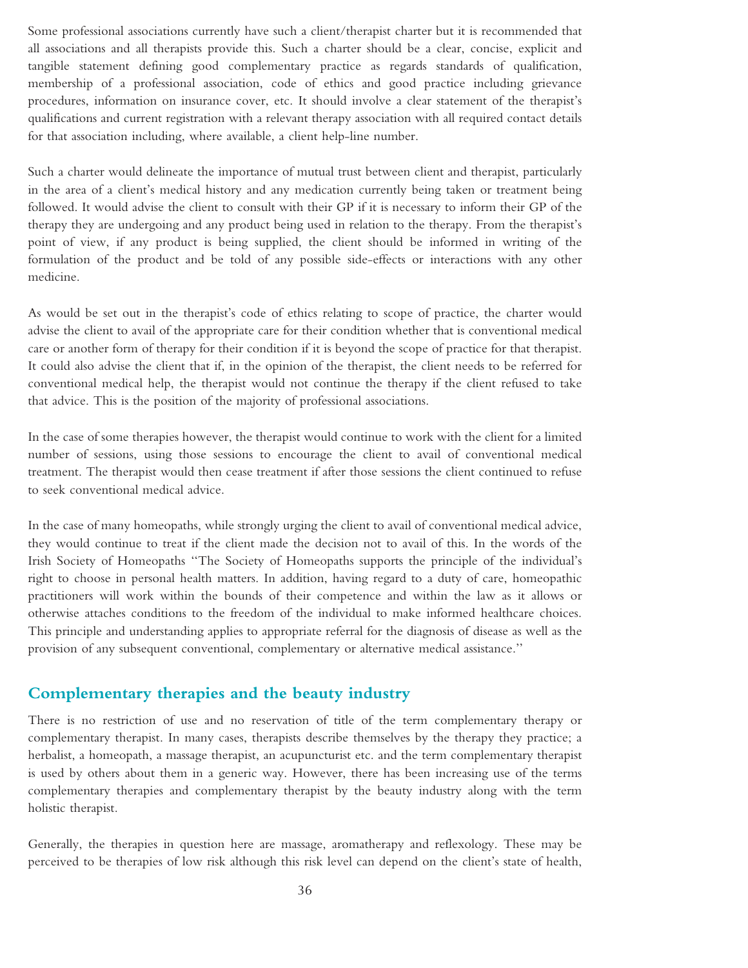Some professional associations currently have such a client/therapist charter but it is recommended that all associations and all therapists provide this. Such a charter should be a clear, concise, explicit and tangible statement defining good complementary practice as regards standards of qualification, membership of a professional association, code of ethics and good practice including grievance procedures, information on insurance cover, etc. It should involve a clear statement of the therapist's qualifications and current registration with a relevant therapy association with all required contact details for that association including, where available, a client help-line number.

Such a charter would delineate the importance of mutual trust between client and therapist, particularly in the area of a client's medical history and any medication currently being taken or treatment being followed. It would advise the client to consult with their GP if it is necessary to inform their GP of the therapy they are undergoing and any product being used in relation to the therapy. From the therapist's point of view, if any product is being supplied, the client should be informed in writing of the formulation of the product and be told of any possible side-effects or interactions with any other medicine.

As would be set out in the therapist's code of ethics relating to scope of practice, the charter would advise the client to avail of the appropriate care for their condition whether that is conventional medical care or another form of therapy for their condition if it is beyond the scope of practice for that therapist. It could also advise the client that if, in the opinion of the therapist, the client needs to be referred for conventional medical help, the therapist would not continue the therapy if the client refused to take that advice. This is the position of the majority of professional associations.

In the case of some therapies however, the therapist would continue to work with the client for a limited number of sessions, using those sessions to encourage the client to avail of conventional medical treatment. The therapist would then cease treatment if after those sessions the client continued to refuse to seek conventional medical advice.

In the case of many homeopaths, while strongly urging the client to avail of conventional medical advice, they would continue to treat if the client made the decision not to avail of this. In the words of the Irish Society of Homeopaths ''The Society of Homeopaths supports the principle of the individual's right to choose in personal health matters. In addition, having regard to a duty of care, homeopathic practitioners will work within the bounds of their competence and within the law as it allows or otherwise attaches conditions to the freedom of the individual to make informed healthcare choices. This principle and understanding applies to appropriate referral for the diagnosis of disease as well as the provision of any subsequent conventional, complementary or alternative medical assistance.''

#### **Complementary therapies and the beauty industry**

There is no restriction of use and no reservation of title of the term complementary therapy or complementary therapist. In many cases, therapists describe themselves by the therapy they practice; a herbalist, a homeopath, a massage therapist, an acupuncturist etc. and the term complementary therapist is used by others about them in a generic way. However, there has been increasing use of the terms complementary therapies and complementary therapist by the beauty industry along with the term holistic therapist.

Generally, the therapies in question here are massage, aromatherapy and reflexology. These may be perceived to be therapies of low risk although this risk level can depend on the client's state of health,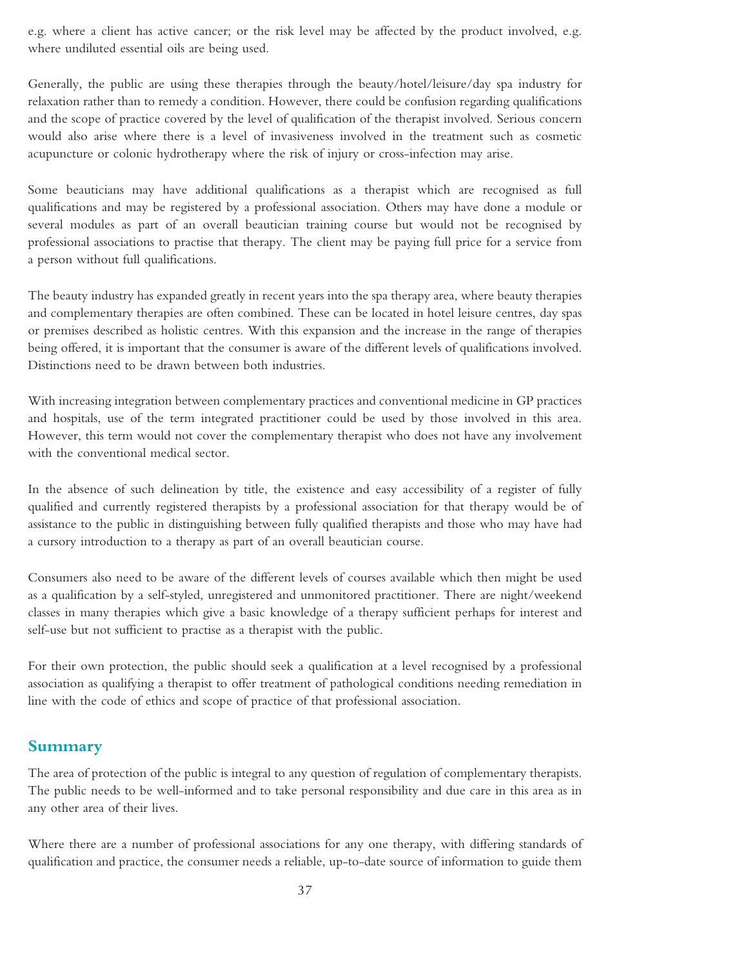e.g. where a client has active cancer; or the risk level may be affected by the product involved, e.g. where undiluted essential oils are being used.

Generally, the public are using these therapies through the beauty/hotel/leisure/day spa industry for relaxation rather than to remedy a condition. However, there could be confusion regarding qualifications and the scope of practice covered by the level of qualification of the therapist involved. Serious concern would also arise where there is a level of invasiveness involved in the treatment such as cosmetic acupuncture or colonic hydrotherapy where the risk of injury or cross-infection may arise.

Some beauticians may have additional qualifications as a therapist which are recognised as full qualifications and may be registered by a professional association. Others may have done a module or several modules as part of an overall beautician training course but would not be recognised by professional associations to practise that therapy. The client may be paying full price for a service from a person without full qualifications.

The beauty industry has expanded greatly in recent years into the spa therapy area, where beauty therapies and complementary therapies are often combined. These can be located in hotel leisure centres, day spas or premises described as holistic centres. With this expansion and the increase in the range of therapies being offered, it is important that the consumer is aware of the different levels of qualifications involved. Distinctions need to be drawn between both industries.

With increasing integration between complementary practices and conventional medicine in GP practices and hospitals, use of the term integrated practitioner could be used by those involved in this area. However, this term would not cover the complementary therapist who does not have any involvement with the conventional medical sector.

In the absence of such delineation by title, the existence and easy accessibility of a register of fully qualified and currently registered therapists by a professional association for that therapy would be of assistance to the public in distinguishing between fully qualified therapists and those who may have had a cursory introduction to a therapy as part of an overall beautician course.

Consumers also need to be aware of the different levels of courses available which then might be used as a qualification by a self-styled, unregistered and unmonitored practitioner. There are night/weekend classes in many therapies which give a basic knowledge of a therapy sufficient perhaps for interest and self-use but not sufficient to practise as a therapist with the public.

For their own protection, the public should seek a qualification at a level recognised by a professional association as qualifying a therapist to offer treatment of pathological conditions needing remediation in line with the code of ethics and scope of practice of that professional association.

## **Summary**

The area of protection of the public is integral to any question of regulation of complementary therapists. The public needs to be well-informed and to take personal responsibility and due care in this area as in any other area of their lives.

Where there are a number of professional associations for any one therapy, with differing standards of qualification and practice, the consumer needs a reliable, up-to-date source of information to guide them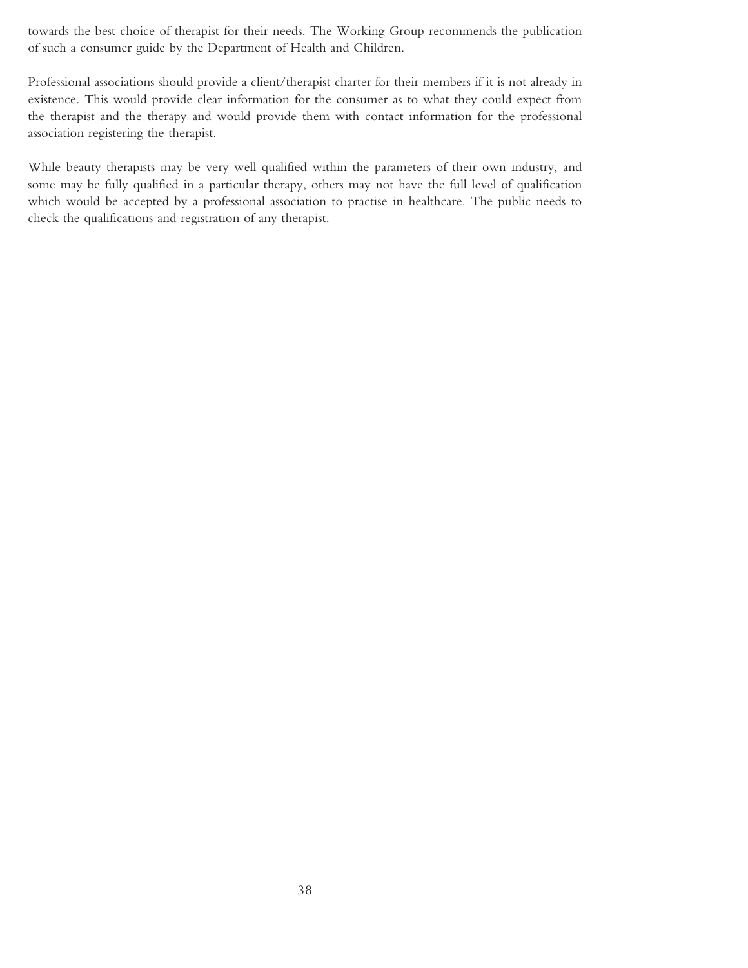towards the best choice of therapist for their needs. The Working Group recommends the publication of such a consumer guide by the Department of Health and Children.

Professional associations should provide a client/therapist charter for their members if it is not already in existence. This would provide clear information for the consumer as to what they could expect from the therapist and the therapy and would provide them with contact information for the professional association registering the therapist.

While beauty therapists may be very well qualified within the parameters of their own industry, and some may be fully qualified in a particular therapy, others may not have the full level of qualification which would be accepted by a professional association to practise in healthcare. The public needs to check the qualifications and registration of any therapist.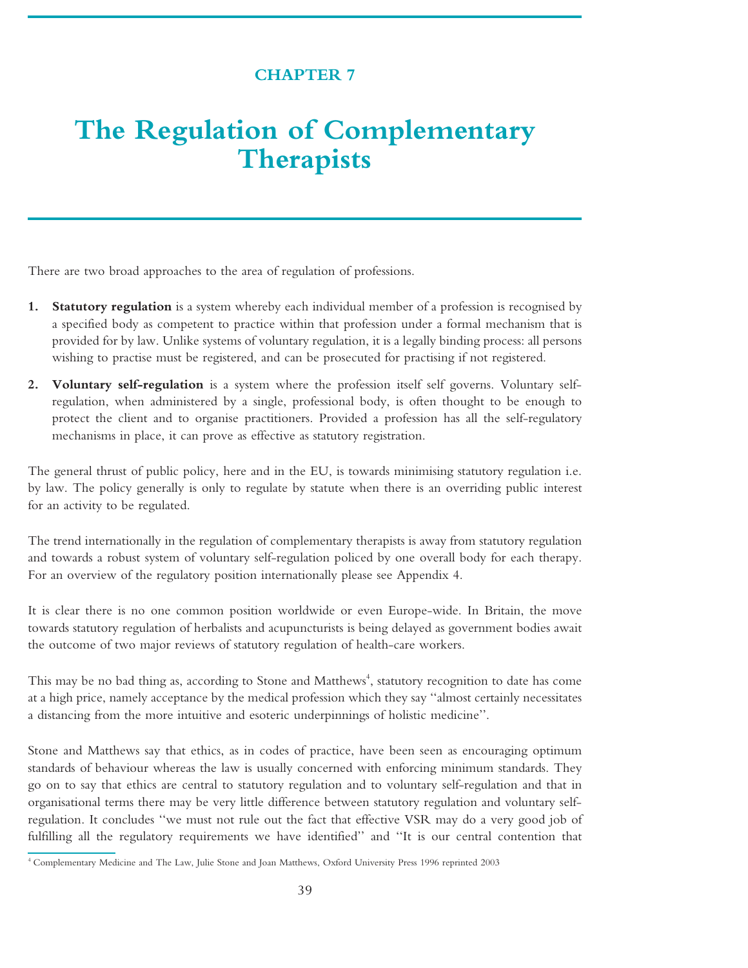## **CHAPTER 7**

# **The Regulation of Complementary Therapists**

There are two broad approaches to the area of regulation of professions.

- **1. Statutory regulation** is a system whereby each individual member of a profession is recognised by a specified body as competent to practice within that profession under a formal mechanism that is provided for by law. Unlike systems of voluntary regulation, it is a legally binding process: all persons wishing to practise must be registered, and can be prosecuted for practising if not registered.
- **2. Voluntary self-regulation** is a system where the profession itself self governs. Voluntary selfregulation, when administered by a single, professional body, is often thought to be enough to protect the client and to organise practitioners. Provided a profession has all the self-regulatory mechanisms in place, it can prove as effective as statutory registration.

The general thrust of public policy, here and in the EU, is towards minimising statutory regulation i.e. by law. The policy generally is only to regulate by statute when there is an overriding public interest for an activity to be regulated.

The trend internationally in the regulation of complementary therapists is away from statutory regulation and towards a robust system of voluntary self-regulation policed by one overall body for each therapy. For an overview of the regulatory position internationally please see Appendix 4.

It is clear there is no one common position worldwide or even Europe-wide. In Britain, the move towards statutory regulation of herbalists and acupuncturists is being delayed as government bodies await the outcome of two major reviews of statutory regulation of health-care workers.

This may be no bad thing as, according to Stone and Matthews<sup>4</sup>, statutory recognition to date has come at a high price, namely acceptance by the medical profession which they say ''almost certainly necessitates a distancing from the more intuitive and esoteric underpinnings of holistic medicine''.

Stone and Matthews say that ethics, as in codes of practice, have been seen as encouraging optimum standards of behaviour whereas the law is usually concerned with enforcing minimum standards. They go on to say that ethics are central to statutory regulation and to voluntary self-regulation and that in organisational terms there may be very little difference between statutory regulation and voluntary selfregulation. It concludes ''we must not rule out the fact that effective VSR may do a very good job of fulfilling all the regulatory requirements we have identified'' and ''It is our central contention that

<sup>4</sup> Complementary Medicine and The Law, Julie Stone and Joan Matthews, Oxford University Press 1996 reprinted 2003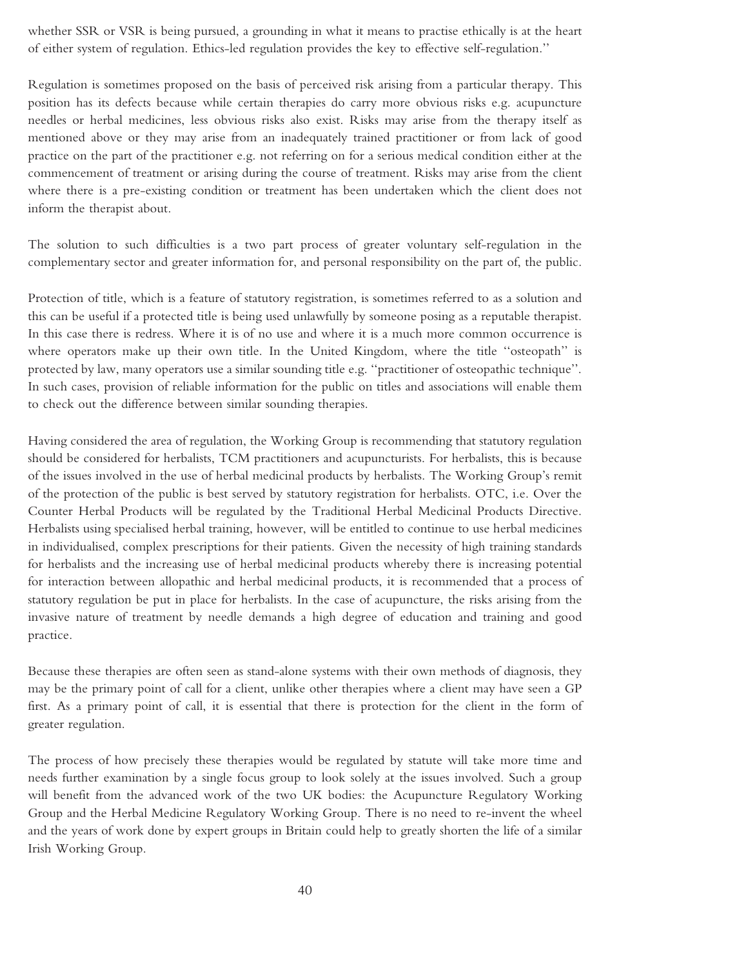whether SSR or VSR is being pursued, a grounding in what it means to practise ethically is at the heart of either system of regulation. Ethics-led regulation provides the key to effective self-regulation.''

Regulation is sometimes proposed on the basis of perceived risk arising from a particular therapy. This position has its defects because while certain therapies do carry more obvious risks e.g. acupuncture needles or herbal medicines, less obvious risks also exist. Risks may arise from the therapy itself as mentioned above or they may arise from an inadequately trained practitioner or from lack of good practice on the part of the practitioner e.g. not referring on for a serious medical condition either at the commencement of treatment or arising during the course of treatment. Risks may arise from the client where there is a pre-existing condition or treatment has been undertaken which the client does not inform the therapist about.

The solution to such difficulties is a two part process of greater voluntary self-regulation in the complementary sector and greater information for, and personal responsibility on the part of, the public.

Protection of title, which is a feature of statutory registration, is sometimes referred to as a solution and this can be useful if a protected title is being used unlawfully by someone posing as a reputable therapist. In this case there is redress. Where it is of no use and where it is a much more common occurrence is where operators make up their own title. In the United Kingdom, where the title ''osteopath'' is protected by law, many operators use a similar sounding title e.g. ''practitioner of osteopathic technique''. In such cases, provision of reliable information for the public on titles and associations will enable them to check out the difference between similar sounding therapies.

Having considered the area of regulation, the Working Group is recommending that statutory regulation should be considered for herbalists, TCM practitioners and acupuncturists. For herbalists, this is because of the issues involved in the use of herbal medicinal products by herbalists. The Working Group's remit of the protection of the public is best served by statutory registration for herbalists. OTC, i.e. Over the Counter Herbal Products will be regulated by the Traditional Herbal Medicinal Products Directive. Herbalists using specialised herbal training, however, will be entitled to continue to use herbal medicines in individualised, complex prescriptions for their patients. Given the necessity of high training standards for herbalists and the increasing use of herbal medicinal products whereby there is increasing potential for interaction between allopathic and herbal medicinal products, it is recommended that a process of statutory regulation be put in place for herbalists. In the case of acupuncture, the risks arising from the invasive nature of treatment by needle demands a high degree of education and training and good practice.

Because these therapies are often seen as stand-alone systems with their own methods of diagnosis, they may be the primary point of call for a client, unlike other therapies where a client may have seen a GP first. As a primary point of call, it is essential that there is protection for the client in the form of greater regulation.

The process of how precisely these therapies would be regulated by statute will take more time and needs further examination by a single focus group to look solely at the issues involved. Such a group will benefit from the advanced work of the two UK bodies: the Acupuncture Regulatory Working Group and the Herbal Medicine Regulatory Working Group. There is no need to re-invent the wheel and the years of work done by expert groups in Britain could help to greatly shorten the life of a similar Irish Working Group.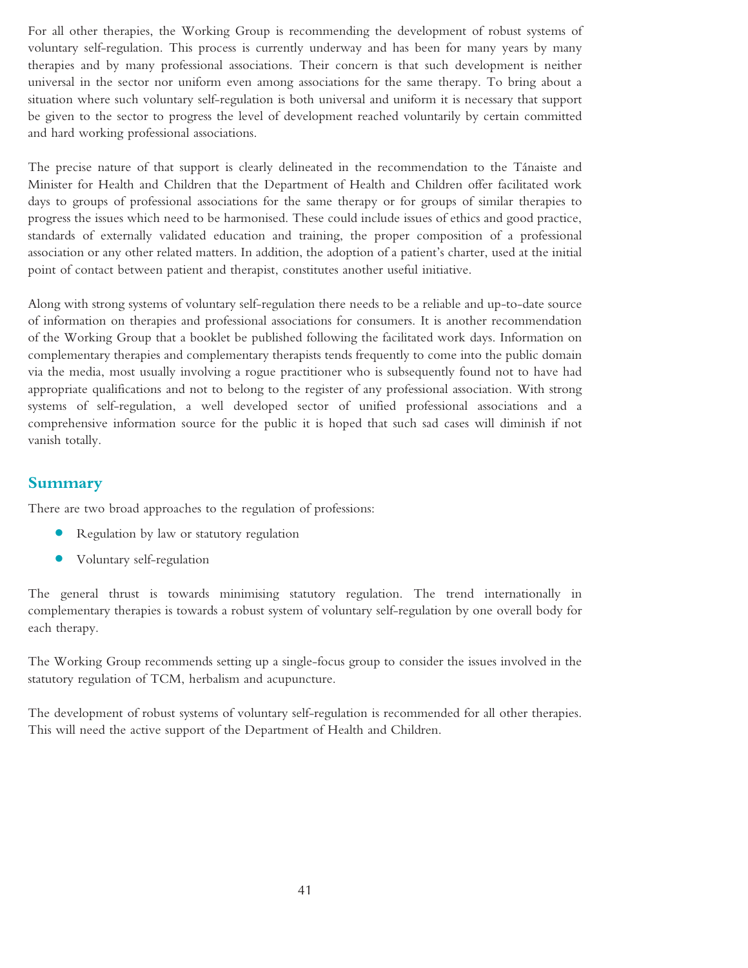For all other therapies, the Working Group is recommending the development of robust systems of voluntary self-regulation. This process is currently underway and has been for many years by many therapies and by many professional associations. Their concern is that such development is neither universal in the sector nor uniform even among associations for the same therapy. To bring about a situation where such voluntary self-regulation is both universal and uniform it is necessary that support be given to the sector to progress the level of development reached voluntarily by certain committed and hard working professional associations.

The precise nature of that support is clearly delineated in the recommendation to the Tánaiste and Minister for Health and Children that the Department of Health and Children offer facilitated work days to groups of professional associations for the same therapy or for groups of similar therapies to progress the issues which need to be harmonised. These could include issues of ethics and good practice, standards of externally validated education and training, the proper composition of a professional association or any other related matters. In addition, the adoption of a patient's charter, used at the initial point of contact between patient and therapist, constitutes another useful initiative.

Along with strong systems of voluntary self-regulation there needs to be a reliable and up-to-date source of information on therapies and professional associations for consumers. It is another recommendation of the Working Group that a booklet be published following the facilitated work days. Information on complementary therapies and complementary therapists tends frequently to come into the public domain via the media, most usually involving a rogue practitioner who is subsequently found not to have had appropriate qualifications and not to belong to the register of any professional association. With strong systems of self-regulation, a well developed sector of unified professional associations and a comprehensive information source for the public it is hoped that such sad cases will diminish if not vanish totally.

### **Summary**

There are two broad approaches to the regulation of professions:

- **•** Regulation by law or statutory regulation
- **•** Voluntary self-regulation

The general thrust is towards minimising statutory regulation. The trend internationally in complementary therapies is towards a robust system of voluntary self-regulation by one overall body for each therapy.

The Working Group recommends setting up a single-focus group to consider the issues involved in the statutory regulation of TCM, herbalism and acupuncture.

The development of robust systems of voluntary self-regulation is recommended for all other therapies. This will need the active support of the Department of Health and Children.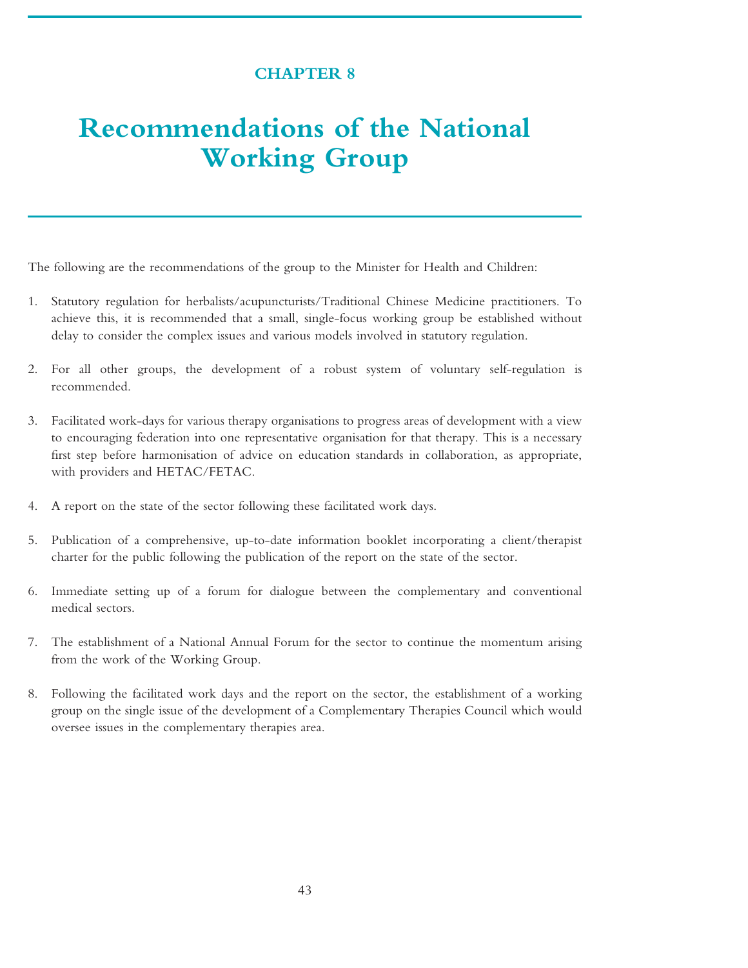### **CHAPTER 8**

# **Recommendations of the National Working Group**

The following are the recommendations of the group to the Minister for Health and Children:

- 1. Statutory regulation for herbalists/acupuncturists/Traditional Chinese Medicine practitioners. To achieve this, it is recommended that a small, single-focus working group be established without delay to consider the complex issues and various models involved in statutory regulation.
- 2. For all other groups, the development of a robust system of voluntary self-regulation is recommended.
- 3. Facilitated work-days for various therapy organisations to progress areas of development with a view to encouraging federation into one representative organisation for that therapy. This is a necessary first step before harmonisation of advice on education standards in collaboration, as appropriate, with providers and HETAC/FETAC.
- 4. A report on the state of the sector following these facilitated work days.
- 5. Publication of a comprehensive, up-to-date information booklet incorporating a client/therapist charter for the public following the publication of the report on the state of the sector.
- 6. Immediate setting up of a forum for dialogue between the complementary and conventional medical sectors.
- 7. The establishment of a National Annual Forum for the sector to continue the momentum arising from the work of the Working Group.
- 8. Following the facilitated work days and the report on the sector, the establishment of a working group on the single issue of the development of a Complementary Therapies Council which would oversee issues in the complementary therapies area.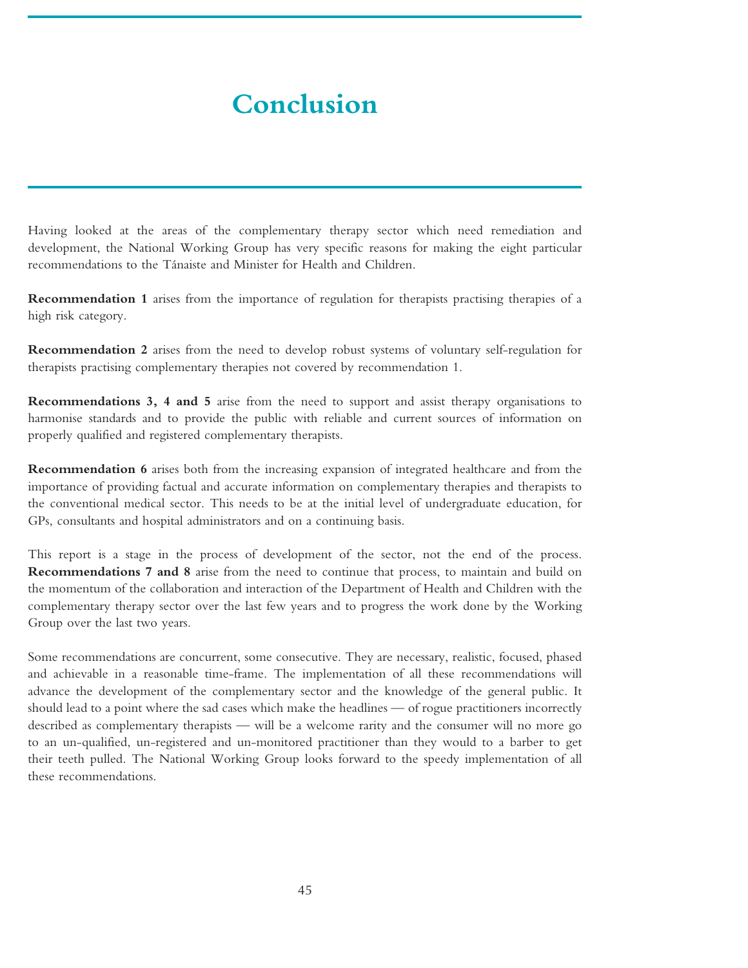# **Conclusion**

Having looked at the areas of the complementary therapy sector which need remediation and development, the National Working Group has very specific reasons for making the eight particular recommendations to the Tánaiste and Minister for Health and Children.

**Recommendation 1** arises from the importance of regulation for therapists practising therapies of a high risk category.

**Recommendation 2** arises from the need to develop robust systems of voluntary self-regulation for therapists practising complementary therapies not covered by recommendation 1.

**Recommendations 3, 4 and 5** arise from the need to support and assist therapy organisations to harmonise standards and to provide the public with reliable and current sources of information on properly qualified and registered complementary therapists.

**Recommendation 6** arises both from the increasing expansion of integrated healthcare and from the importance of providing factual and accurate information on complementary therapies and therapists to the conventional medical sector. This needs to be at the initial level of undergraduate education, for GPs, consultants and hospital administrators and on a continuing basis.

This report is a stage in the process of development of the sector, not the end of the process. **Recommendations 7 and 8** arise from the need to continue that process, to maintain and build on the momentum of the collaboration and interaction of the Department of Health and Children with the complementary therapy sector over the last few years and to progress the work done by the Working Group over the last two years.

Some recommendations are concurrent, some consecutive. They are necessary, realistic, focused, phased and achievable in a reasonable time-frame. The implementation of all these recommendations will advance the development of the complementary sector and the knowledge of the general public. It should lead to a point where the sad cases which make the headlines — of rogue practitioners incorrectly described as complementary therapists — will be a welcome rarity and the consumer will no more go to an un-qualified, un-registered and un-monitored practitioner than they would to a barber to get their teeth pulled. The National Working Group looks forward to the speedy implementation of all these recommendations.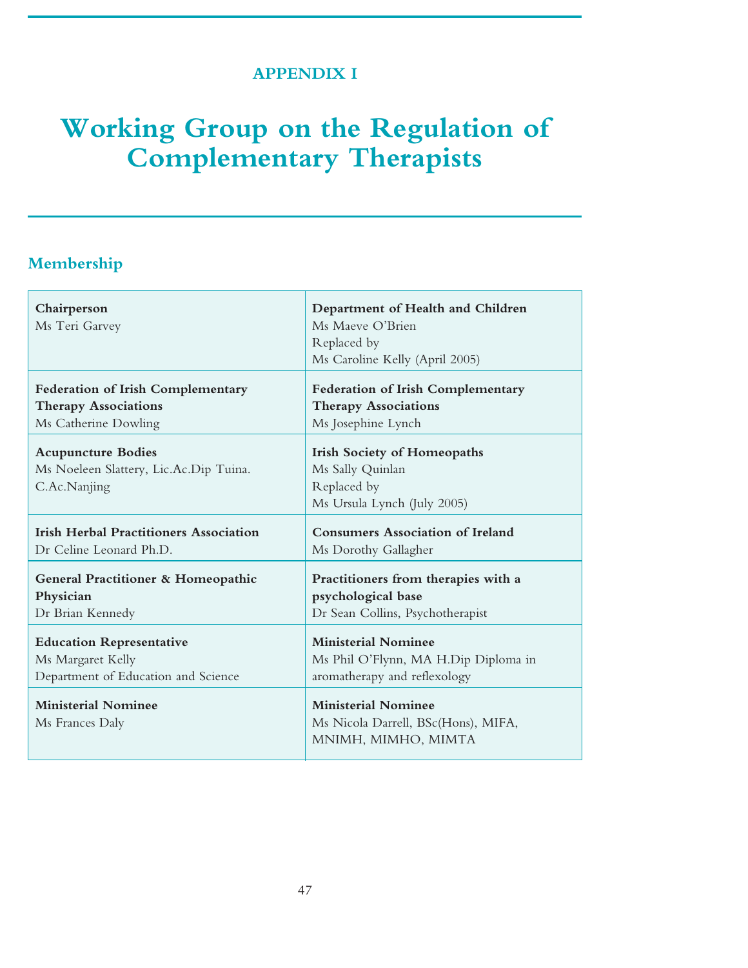## **APPENDIX I**

# **Working Group on the Regulation of Complementary Therapists**

## **Membership**

| Chairperson<br>Ms Teri Garvey                                                       | Department of Health and Children<br>Ms Maeve O'Brien<br>Replaced by<br>Ms Caroline Kelly (April 2005) |
|-------------------------------------------------------------------------------------|--------------------------------------------------------------------------------------------------------|
| <b>Federation of Irish Complementary</b>                                            | Federation of Irish Complementary                                                                      |
| <b>Therapy Associations</b>                                                         | <b>Therapy Associations</b>                                                                            |
| Ms Catherine Dowling                                                                | Ms Josephine Lynch                                                                                     |
| <b>Acupuncture Bodies</b><br>Ms Noeleen Slattery, Lic.Ac.Dip Tuina.<br>C.Ac.Nanjing | <b>Irish Society of Homeopaths</b><br>Ms Sally Quinlan<br>Replaced by<br>Ms Ursula Lynch (July 2005)   |
| <b>Irish Herbal Practitioners Association</b>                                       | <b>Consumers Association of Ireland</b>                                                                |
| Dr Celine Leonard Ph.D.                                                             | Ms Dorothy Gallagher                                                                                   |
| <b>General Practitioner &amp; Homeopathic</b>                                       | Practitioners from therapies with a                                                                    |
| Physician                                                                           | psychological base                                                                                     |
| Dr Brian Kennedy                                                                    | Dr Sean Collins, Psychotherapist                                                                       |
| <b>Education Representative</b>                                                     | <b>Ministerial Nominee</b>                                                                             |
| Ms Margaret Kelly                                                                   | Ms Phil O'Flynn, MA H.Dip Diploma in                                                                   |
| Department of Education and Science                                                 | aromatherapy and reflexology                                                                           |
| <b>Ministerial Nominee</b><br>Ms Frances Daly                                       | <b>Ministerial Nominee</b><br>Ms Nicola Darrell, BSc(Hons), MIFA,<br>MNIMH, MIMHO, MIMTA               |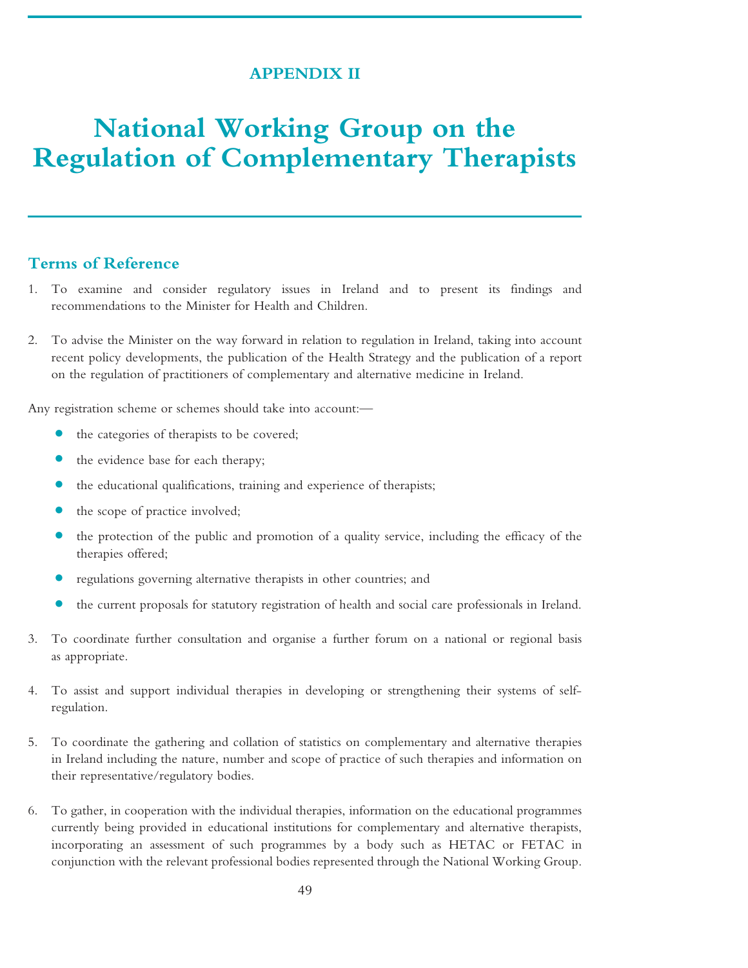### **APPENDIX II**

# **National Working Group on the Regulation of Complementary Therapists**

### **Terms of Reference**

- 1. To examine and consider regulatory issues in Ireland and to present its findings and recommendations to the Minister for Health and Children.
- 2. To advise the Minister on the way forward in relation to regulation in Ireland, taking into account recent policy developments, the publication of the Health Strategy and the publication of a report on the regulation of practitioners of complementary and alternative medicine in Ireland.

Any registration scheme or schemes should take into account:—

- **•** the categories of therapists to be covered;
- **•** the evidence base for each therapy;
- the educational qualifications, training and experience of therapists;
- the scope of practice involved;
- the protection of the public and promotion of a quality service, including the efficacy of the therapies offered;
- **•** regulations governing alternative therapists in other countries; and
- **•** the current proposals for statutory registration of health and social care professionals in Ireland.
- 3. To coordinate further consultation and organise a further forum on a national or regional basis as appropriate.
- 4. To assist and support individual therapies in developing or strengthening their systems of selfregulation.
- 5. To coordinate the gathering and collation of statistics on complementary and alternative therapies in Ireland including the nature, number and scope of practice of such therapies and information on their representative/regulatory bodies.
- 6. To gather, in cooperation with the individual therapies, information on the educational programmes currently being provided in educational institutions for complementary and alternative therapists, incorporating an assessment of such programmes by a body such as HETAC or FETAC in conjunction with the relevant professional bodies represented through the National Working Group.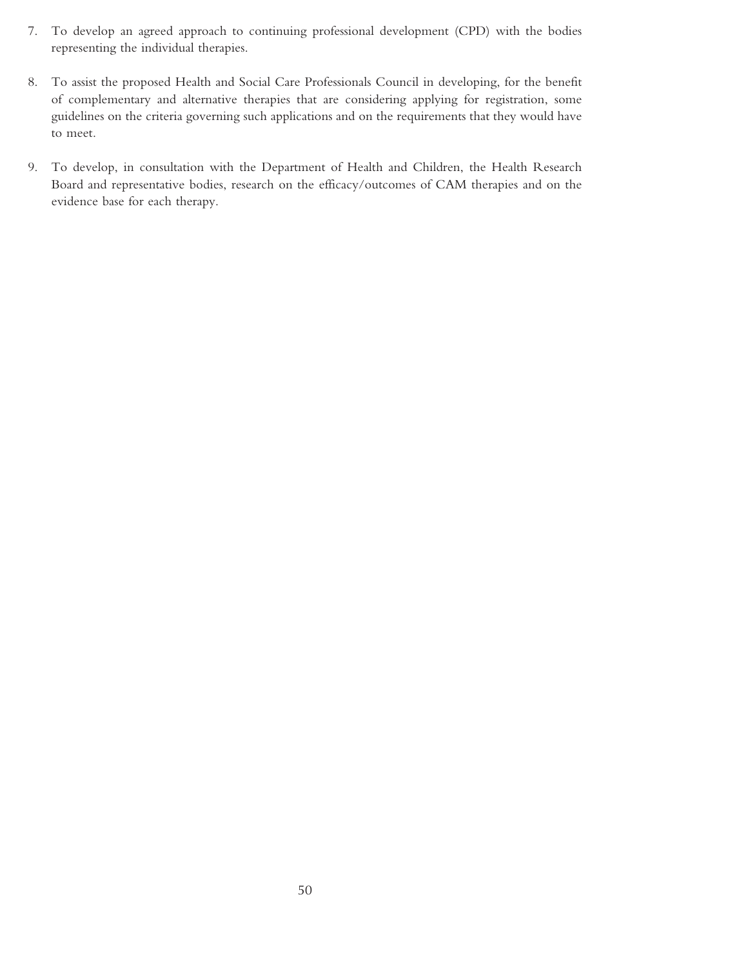- 7. To develop an agreed approach to continuing professional development (CPD) with the bodies representing the individual therapies.
- 8. To assist the proposed Health and Social Care Professionals Council in developing, for the benefit of complementary and alternative therapies that are considering applying for registration, some guidelines on the criteria governing such applications and on the requirements that they would have to meet.
- 9. To develop, in consultation with the Department of Health and Children, the Health Research Board and representative bodies, research on the efficacy/outcomes of CAM therapies and on the evidence base for each therapy.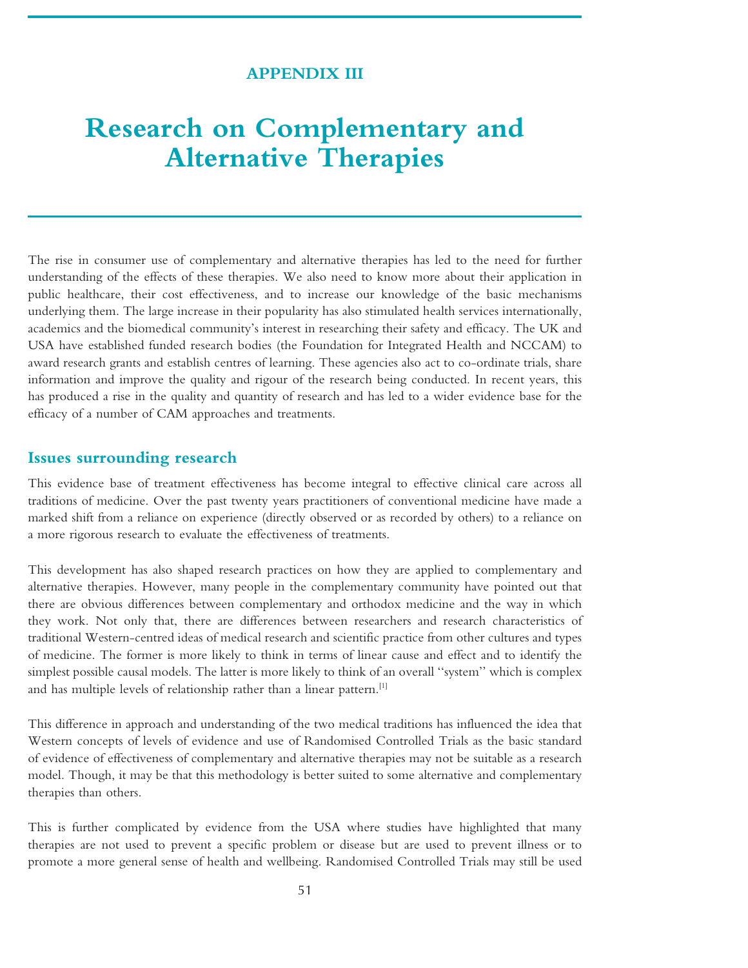#### **APPENDIX III**

## **Research on Complementary and Alternative Therapies**

The rise in consumer use of complementary and alternative therapies has led to the need for further understanding of the effects of these therapies. We also need to know more about their application in public healthcare, their cost effectiveness, and to increase our knowledge of the basic mechanisms underlying them. The large increase in their popularity has also stimulated health services internationally, academics and the biomedical community's interest in researching their safety and efficacy. The UK and USA have established funded research bodies (the Foundation for Integrated Health and NCCAM) to award research grants and establish centres of learning. These agencies also act to co-ordinate trials, share information and improve the quality and rigour of the research being conducted. In recent years, this has produced a rise in the quality and quantity of research and has led to a wider evidence base for the efficacy of a number of CAM approaches and treatments.

#### **Issues surrounding research**

This evidence base of treatment effectiveness has become integral to effective clinical care across all traditions of medicine. Over the past twenty years practitioners of conventional medicine have made a marked shift from a reliance on experience (directly observed or as recorded by others) to a reliance on a more rigorous research to evaluate the effectiveness of treatments.

This development has also shaped research practices on how they are applied to complementary and alternative therapies. However, many people in the complementary community have pointed out that there are obvious differences between complementary and orthodox medicine and the way in which they work. Not only that, there are differences between researchers and research characteristics of traditional Western-centred ideas of medical research and scientific practice from other cultures and types of medicine. The former is more likely to think in terms of linear cause and effect and to identify the simplest possible causal models. The latter is more likely to think of an overall ''system'' which is complex and has multiple levels of relationship rather than a linear pattern.<sup>[1]</sup>

This difference in approach and understanding of the two medical traditions has influenced the idea that Western concepts of levels of evidence and use of Randomised Controlled Trials as the basic standard of evidence of effectiveness of complementary and alternative therapies may not be suitable as a research model. Though, it may be that this methodology is better suited to some alternative and complementary therapies than others.

This is further complicated by evidence from the USA where studies have highlighted that many therapies are not used to prevent a specific problem or disease but are used to prevent illness or to promote a more general sense of health and wellbeing. Randomised Controlled Trials may still be used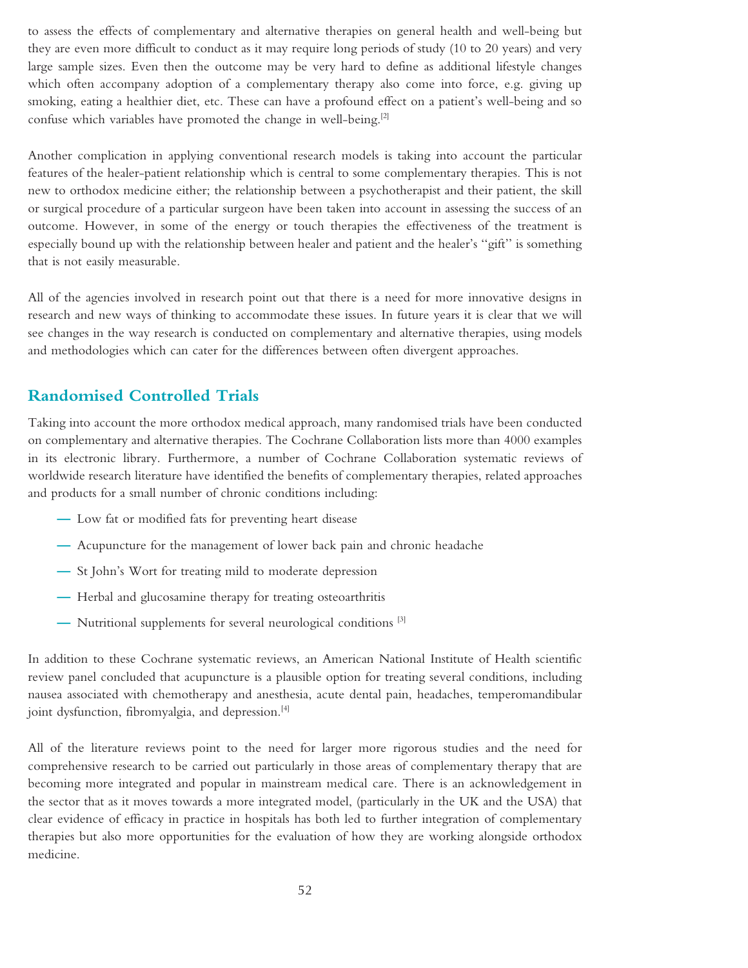to assess the effects of complementary and alternative therapies on general health and well-being but they are even more difficult to conduct as it may require long periods of study (10 to 20 years) and very large sample sizes. Even then the outcome may be very hard to define as additional lifestyle changes which often accompany adoption of a complementary therapy also come into force, e.g. giving up smoking, eating a healthier diet, etc. These can have a profound effect on a patient's well-being and so confuse which variables have promoted the change in well-being.<sup>[2]</sup>

Another complication in applying conventional research models is taking into account the particular features of the healer-patient relationship which is central to some complementary therapies. This is not new to orthodox medicine either; the relationship between a psychotherapist and their patient, the skill or surgical procedure of a particular surgeon have been taken into account in assessing the success of an outcome. However, in some of the energy or touch therapies the effectiveness of the treatment is especially bound up with the relationship between healer and patient and the healer's ''gift'' is something that is not easily measurable.

All of the agencies involved in research point out that there is a need for more innovative designs in research and new ways of thinking to accommodate these issues. In future years it is clear that we will see changes in the way research is conducted on complementary and alternative therapies, using models and methodologies which can cater for the differences between often divergent approaches.

## **Randomised Controlled Trials**

Taking into account the more orthodox medical approach, many randomised trials have been conducted on complementary and alternative therapies. The Cochrane Collaboration lists more than 4000 examples in its electronic library. Furthermore, a number of Cochrane Collaboration systematic reviews of worldwide research literature have identified the benefits of complementary therapies, related approaches and products for a small number of chronic conditions including:

- **—** Low fat or modified fats for preventing heart disease
- **—** Acupuncture for the management of lower back pain and chronic headache
- **—** St John's Wort for treating mild to moderate depression
- **—** Herbal and glucosamine therapy for treating osteoarthritis
- **—** Nutritional supplements for several neurological conditions [3]

In addition to these Cochrane systematic reviews, an American National Institute of Health scientific review panel concluded that acupuncture is a plausible option for treating several conditions, including nausea associated with chemotherapy and anesthesia, acute dental pain, headaches, temperomandibular joint dysfunction, fibromyalgia, and depression.<sup>[4]</sup>

All of the literature reviews point to the need for larger more rigorous studies and the need for comprehensive research to be carried out particularly in those areas of complementary therapy that are becoming more integrated and popular in mainstream medical care. There is an acknowledgement in the sector that as it moves towards a more integrated model, (particularly in the UK and the USA) that clear evidence of efficacy in practice in hospitals has both led to further integration of complementary therapies but also more opportunities for the evaluation of how they are working alongside orthodox medicine.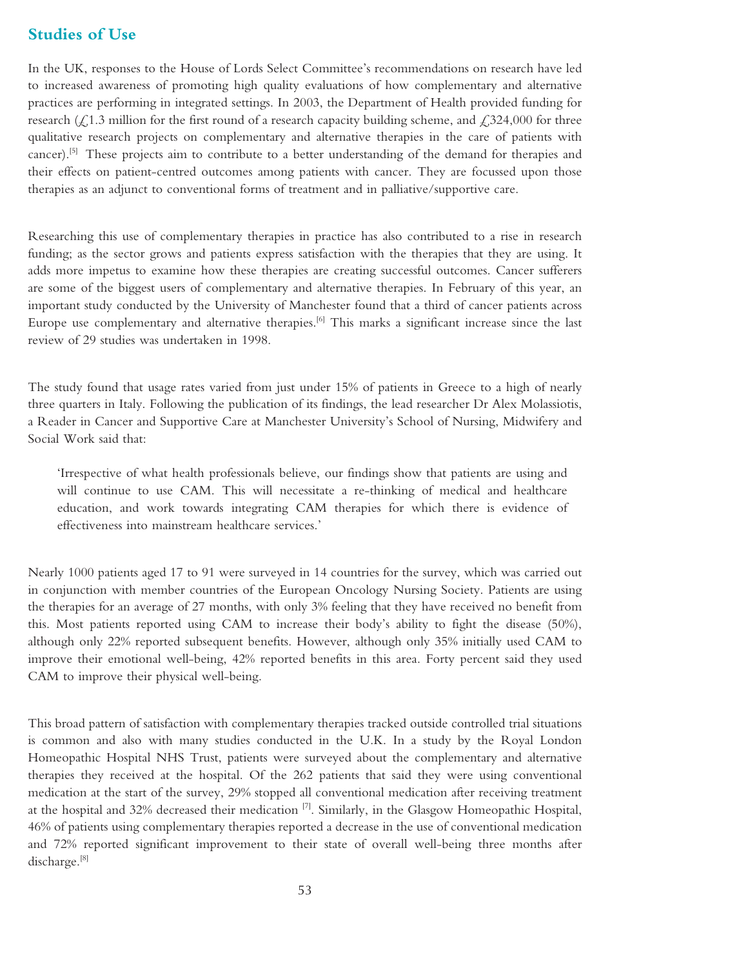### **Studies of Use**

In the UK, responses to the House of Lords Select Committee's recommendations on research have led to increased awareness of promoting high quality evaluations of how complementary and alternative practices are performing in integrated settings. In 2003, the Department of Health provided funding for research  $($ £1.3 million for the first round of a research capacity building scheme, and £324,000 for three qualitative research projects on complementary and alternative therapies in the care of patients with cancer).[5] These projects aim to contribute to a better understanding of the demand for therapies and their effects on patient-centred outcomes among patients with cancer. They are focussed upon those therapies as an adjunct to conventional forms of treatment and in palliative/supportive care.

Researching this use of complementary therapies in practice has also contributed to a rise in research funding; as the sector grows and patients express satisfaction with the therapies that they are using. It adds more impetus to examine how these therapies are creating successful outcomes. Cancer sufferers are some of the biggest users of complementary and alternative therapies. In February of this year, an important study conducted by the University of Manchester found that a third of cancer patients across Europe use complementary and alternative therapies.<sup>[6]</sup> This marks a significant increase since the last review of 29 studies was undertaken in 1998.

The study found that usage rates varied from just under 15% of patients in Greece to a high of nearly three quarters in Italy. Following the publication of its findings, the lead researcher Dr Alex Molassiotis, a Reader in Cancer and Supportive Care at Manchester University's School of Nursing, Midwifery and Social Work said that:

'Irrespective of what health professionals believe, our findings show that patients are using and will continue to use CAM. This will necessitate a re-thinking of medical and healthcare education, and work towards integrating CAM therapies for which there is evidence of effectiveness into mainstream healthcare services.'

Nearly 1000 patients aged 17 to 91 were surveyed in 14 countries for the survey, which was carried out in conjunction with member countries of the European Oncology Nursing Society. Patients are using the therapies for an average of 27 months, with only 3% feeling that they have received no benefit from this. Most patients reported using CAM to increase their body's ability to fight the disease (50%), although only 22% reported subsequent benefits. However, although only 35% initially used CAM to improve their emotional well-being, 42% reported benefits in this area. Forty percent said they used CAM to improve their physical well-being.

This broad pattern of satisfaction with complementary therapies tracked outside controlled trial situations is common and also with many studies conducted in the U.K. In a study by the Royal London Homeopathic Hospital NHS Trust, patients were surveyed about the complementary and alternative therapies they received at the hospital. Of the 262 patients that said they were using conventional medication at the start of the survey, 29% stopped all conventional medication after receiving treatment at the hospital and 32% decreased their medication  $[7]$ . Similarly, in the Glasgow Homeopathic Hospital, 46% of patients using complementary therapies reported a decrease in the use of conventional medication and 72% reported significant improvement to their state of overall well-being three months after discharge.<sup>[8]</sup>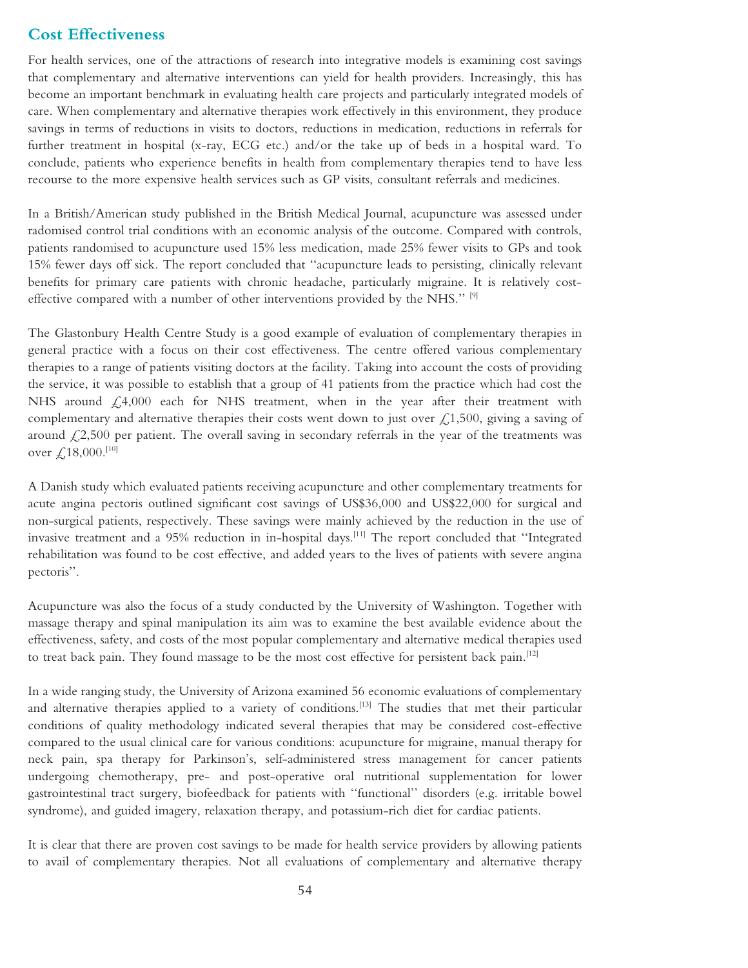#### **Cost Effectiveness**

For health services, one of the attractions of research into integrative models is examining cost savings that complementary and alternative interventions can yield for health providers. Increasingly, this has become an important benchmark in evaluating health care projects and particularly integrated models of care. When complementary and alternative therapies work effectively in this environment, they produce savings in terms of reductions in visits to doctors, reductions in medication, reductions in referrals for further treatment in hospital (x-ray, ECG etc.) and/or the take up of beds in a hospital ward. To conclude, patients who experience benefits in health from complementary therapies tend to have less recourse to the more expensive health services such as GP visits, consultant referrals and medicines.

In a British/American study published in the British Medical Journal, acupuncture was assessed under radomised control trial conditions with an economic analysis of the outcome. Compared with controls, patients randomised to acupuncture used 15% less medication, made 25% fewer visits to GPs and took 15% fewer days off sick. The report concluded that ''acupuncture leads to persisting, clinically relevant benefits for primary care patients with chronic headache, particularly migraine. It is relatively costeffective compared with a number of other interventions provided by the NHS.'' [9]

The Glastonbury Health Centre Study is a good example of evaluation of complementary therapies in general practice with a focus on their cost effectiveness. The centre offered various complementary therapies to a range of patients visiting doctors at the facility. Taking into account the costs of providing the service, it was possible to establish that a group of 41 patients from the practice which had cost the NHS around  $\measuredangle$ ,4,000 each for NHS treatment, when in the year after their treatment with complementary and alternative therapies their costs went down to just over  $\mathcal{L}1,500$ , giving a saving of around  $\ell$ ,2,500 per patient. The overall saving in secondary referrals in the year of the treatments was over  $\text{\textsterling}18,000$ .<sup>[10]</sup>

A Danish study which evaluated patients receiving acupuncture and other complementary treatments for acute angina pectoris outlined significant cost savings of US\$36,000 and US\$22,000 for surgical and non-surgical patients, respectively. These savings were mainly achieved by the reduction in the use of invasive treatment and a 95% reduction in in-hospital days.<sup>[11]</sup> The report concluded that "Integrated rehabilitation was found to be cost effective, and added years to the lives of patients with severe angina pectoris''.

Acupuncture was also the focus of a study conducted by the University of Washington. Together with massage therapy and spinal manipulation its aim was to examine the best available evidence about the effectiveness, safety, and costs of the most popular complementary and alternative medical therapies used to treat back pain. They found massage to be the most cost effective for persistent back pain.[12]

In a wide ranging study, the University of Arizona examined 56 economic evaluations of complementary and alternative therapies applied to a variety of conditions.<sup>[13]</sup> The studies that met their particular conditions of quality methodology indicated several therapies that may be considered cost-effective compared to the usual clinical care for various conditions: acupuncture for migraine, manual therapy for neck pain, spa therapy for Parkinson's, self-administered stress management for cancer patients undergoing chemotherapy, pre- and post-operative oral nutritional supplementation for lower gastrointestinal tract surgery, biofeedback for patients with ''functional'' disorders (e.g. irritable bowel syndrome), and guided imagery, relaxation therapy, and potassium-rich diet for cardiac patients.

It is clear that there are proven cost savings to be made for health service providers by allowing patients to avail of complementary therapies. Not all evaluations of complementary and alternative therapy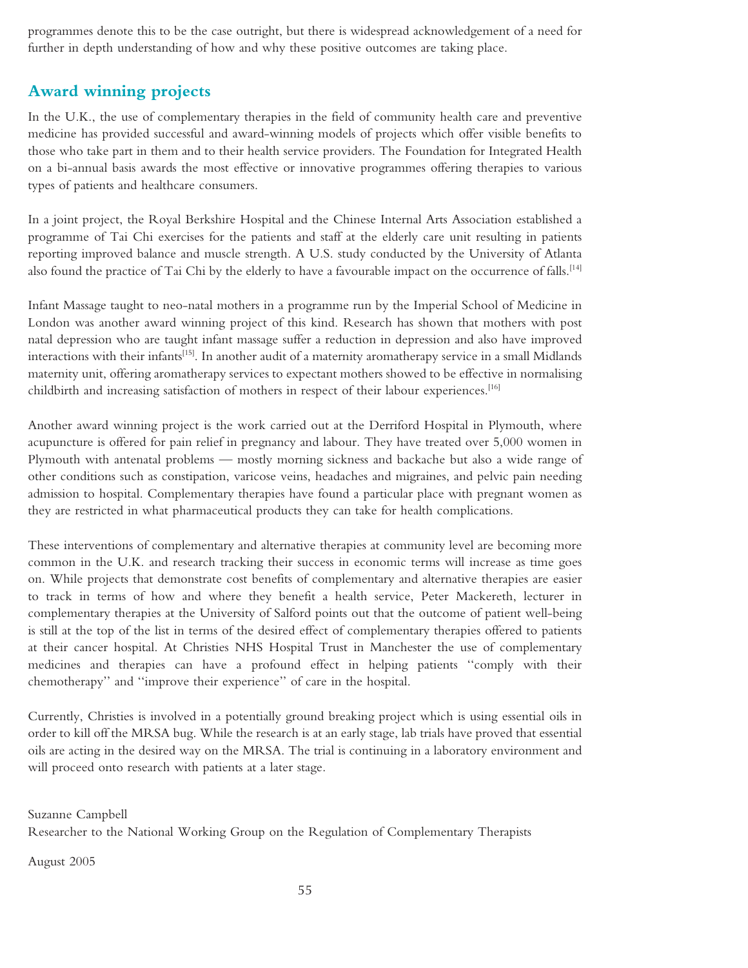programmes denote this to be the case outright, but there is widespread acknowledgement of a need for further in depth understanding of how and why these positive outcomes are taking place.

## **Award winning projects**

In the U.K., the use of complementary therapies in the field of community health care and preventive medicine has provided successful and award-winning models of projects which offer visible benefits to those who take part in them and to their health service providers. The Foundation for Integrated Health on a bi-annual basis awards the most effective or innovative programmes offering therapies to various types of patients and healthcare consumers.

In a joint project, the Royal Berkshire Hospital and the Chinese Internal Arts Association established a programme of Tai Chi exercises for the patients and staff at the elderly care unit resulting in patients reporting improved balance and muscle strength. A U.S. study conducted by the University of Atlanta also found the practice of Tai Chi by the elderly to have a favourable impact on the occurrence of falls.<sup>[14]</sup>

Infant Massage taught to neo-natal mothers in a programme run by the Imperial School of Medicine in London was another award winning project of this kind. Research has shown that mothers with post natal depression who are taught infant massage suffer a reduction in depression and also have improved interactions with their infants<sup>[15]</sup>. In another audit of a maternity aromatherapy service in a small Midlands maternity unit, offering aromatherapy services to expectant mothers showed to be effective in normalising childbirth and increasing satisfaction of mothers in respect of their labour experiences.<sup>[16]</sup>

Another award winning project is the work carried out at the Derriford Hospital in Plymouth, where acupuncture is offered for pain relief in pregnancy and labour. They have treated over 5,000 women in Plymouth with antenatal problems — mostly morning sickness and backache but also a wide range of other conditions such as constipation, varicose veins, headaches and migraines, and pelvic pain needing admission to hospital. Complementary therapies have found a particular place with pregnant women as they are restricted in what pharmaceutical products they can take for health complications.

These interventions of complementary and alternative therapies at community level are becoming more common in the U.K. and research tracking their success in economic terms will increase as time goes on. While projects that demonstrate cost benefits of complementary and alternative therapies are easier to track in terms of how and where they benefit a health service, Peter Mackereth, lecturer in complementary therapies at the University of Salford points out that the outcome of patient well-being is still at the top of the list in terms of the desired effect of complementary therapies offered to patients at their cancer hospital. At Christies NHS Hospital Trust in Manchester the use of complementary medicines and therapies can have a profound effect in helping patients ''comply with their chemotherapy'' and ''improve their experience'' of care in the hospital.

Currently, Christies is involved in a potentially ground breaking project which is using essential oils in order to kill off the MRSA bug. While the research is at an early stage, lab trials have proved that essential oils are acting in the desired way on the MRSA. The trial is continuing in a laboratory environment and will proceed onto research with patients at a later stage.

Suzanne Campbell

Researcher to the National Working Group on the Regulation of Complementary Therapists

August 2005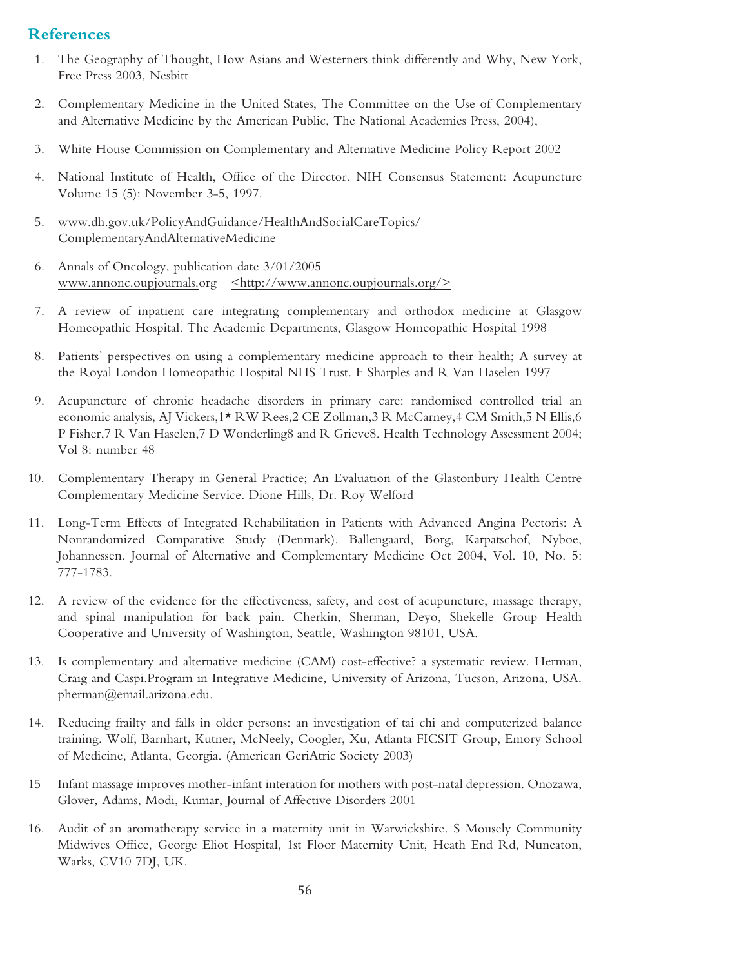### **References**

- 1. The Geography of Thought, How Asians and Westerners think differently and Why, New York, Free Press 2003, Nesbitt
- 2. Complementary Medicine in the United States, The Committee on the Use of Complementary and Alternative Medicine by the American Public, The National Academies Press, 2004),
- 3. White House Commission on Complementary and Alternative Medicine Policy Report 2002
- 4. National Institute of Health, Office of the Director. NIH Consensus Statement: Acupuncture Volume 15 (5): November 3-5, 1997.
- 5. www.dh.gov.uk/PolicyAndGuidance/HealthAndSocialCareTopics/ ComplementaryAndAlternativeMedicine
- 6. Annals of Oncology, publication date 3/01/2005 www.annonc.oupjournals.org  $\langle \text{http://www.annonc.oupjournals.org/>}$
- 7. A review of inpatient care integrating complementary and orthodox medicine at Glasgow Homeopathic Hospital. The Academic Departments, Glasgow Homeopathic Hospital 1998
- 8. Patients' perspectives on using a complementary medicine approach to their health; A survey at the Royal London Homeopathic Hospital NHS Trust. F Sharples and R Van Haselen 1997
- 9. Acupuncture of chronic headache disorders in primary care: randomised controlled trial an economic analysis, AJ Vickers,1\* RW Rees,2 CE Zollman,3 R McCarney,4 CM Smith,5 N Ellis,6 P Fisher,7 R Van Haselen,7 D Wonderling8 and R Grieve8. Health Technology Assessment 2004; Vol 8: number 48
- 10. Complementary Therapy in General Practice; An Evaluation of the Glastonbury Health Centre Complementary Medicine Service. Dione Hills, Dr. Roy Welford
- 11. Long-Term Effects of Integrated Rehabilitation in Patients with Advanced Angina Pectoris: A Nonrandomized Comparative Study (Denmark). Ballengaard, Borg, Karpatschof, Nyboe, Johannessen. Journal of Alternative and Complementary Medicine Oct 2004, Vol. 10, No. 5: 777-1783.
- 12. A review of the evidence for the effectiveness, safety, and cost of acupuncture, massage therapy, and spinal manipulation for back pain. Cherkin, Sherman, Deyo, Shekelle Group Health Cooperative and University of Washington, Seattle, Washington 98101, USA.
- 13. Is complementary and alternative medicine (CAM) cost-effective? a systematic review. Herman, Craig and Caspi.Program in Integrative Medicine, University of Arizona, Tucson, Arizona, USA. pherman@email.arizona.edu.
- 14. Reducing frailty and falls in older persons: an investigation of tai chi and computerized balance training. Wolf, Barnhart, Kutner, McNeely, Coogler, Xu, Atlanta FICSIT Group, Emory School of Medicine, Atlanta, Georgia. (American GeriAtric Society 2003)
- 15 Infant massage improves mother-infant interation for mothers with post-natal depression. Onozawa, Glover, Adams, Modi, Kumar, Journal of Affective Disorders 2001
- 16. Audit of an aromatherapy service in a maternity unit in Warwickshire. S Mousely Community Midwives Office, George Eliot Hospital, 1st Floor Maternity Unit, Heath End Rd, Nuneaton, Warks, CV10 7DJ, UK.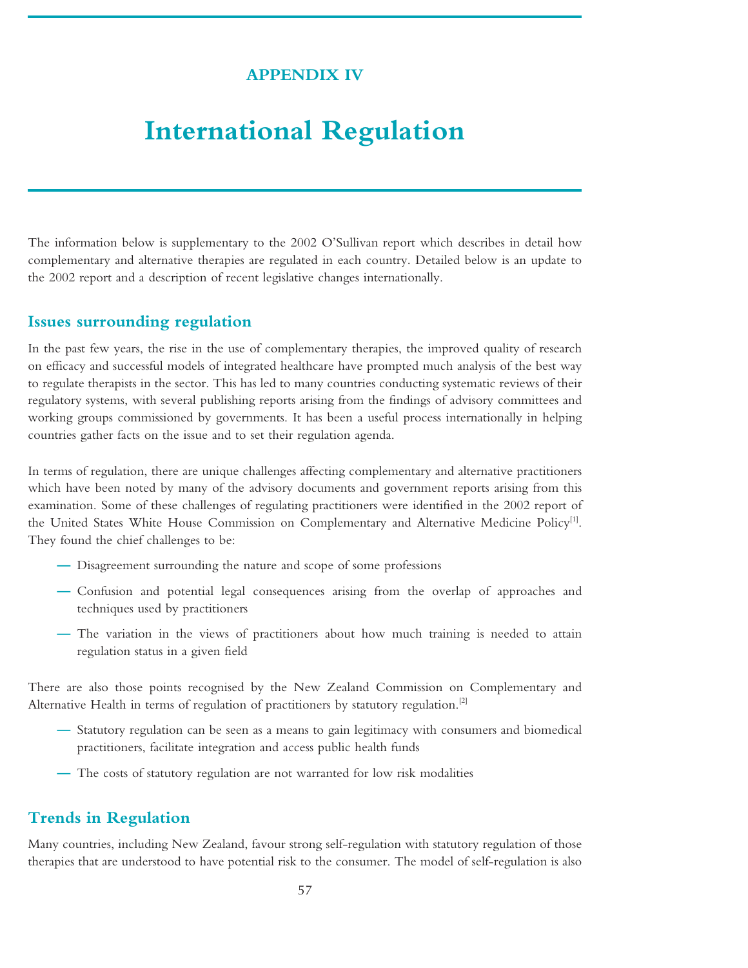## **APPENDIX IV**

## **International Regulation**

The information below is supplementary to the 2002 O'Sullivan report which describes in detail how complementary and alternative therapies are regulated in each country. Detailed below is an update to the 2002 report and a description of recent legislative changes internationally.

#### **Issues surrounding regulation**

In the past few years, the rise in the use of complementary therapies, the improved quality of research on efficacy and successful models of integrated healthcare have prompted much analysis of the best way to regulate therapists in the sector. This has led to many countries conducting systematic reviews of their regulatory systems, with several publishing reports arising from the findings of advisory committees and working groups commissioned by governments. It has been a useful process internationally in helping countries gather facts on the issue and to set their regulation agenda.

In terms of regulation, there are unique challenges affecting complementary and alternative practitioners which have been noted by many of the advisory documents and government reports arising from this examination. Some of these challenges of regulating practitioners were identified in the 2002 report of the United States White House Commission on Complementary and Alternative Medicine Policy<sup>[1]</sup>. They found the chief challenges to be:

- **—** Disagreement surrounding the nature and scope of some professions
- **—** Confusion and potential legal consequences arising from the overlap of approaches and techniques used by practitioners
- **—** The variation in the views of practitioners about how much training is needed to attain regulation status in a given field

There are also those points recognised by the New Zealand Commission on Complementary and Alternative Health in terms of regulation of practitioners by statutory regulation.<sup>[2]</sup>

- **—** Statutory regulation can be seen as a means to gain legitimacy with consumers and biomedical practitioners, facilitate integration and access public health funds
- The costs of statutory regulation are not warranted for low risk modalities

### **Trends in Regulation**

Many countries, including New Zealand, favour strong self-regulation with statutory regulation of those therapies that are understood to have potential risk to the consumer. The model of self-regulation is also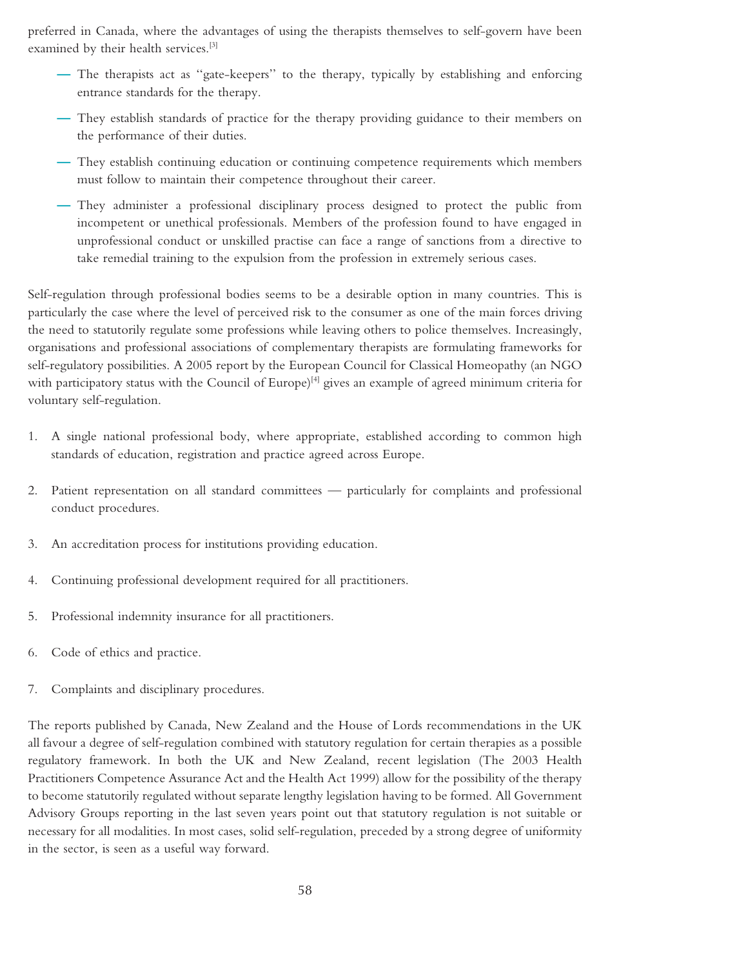preferred in Canada, where the advantages of using the therapists themselves to self-govern have been examined by their health services.<sup>[3]</sup>

- **—** The therapists act as ''gate-keepers'' to the therapy, typically by establishing and enforcing entrance standards for the therapy.
- **—** They establish standards of practice for the therapy providing guidance to their members on the performance of their duties.
- **—** They establish continuing education or continuing competence requirements which members must follow to maintain their competence throughout their career.
- **—** They administer a professional disciplinary process designed to protect the public from incompetent or unethical professionals. Members of the profession found to have engaged in unprofessional conduct or unskilled practise can face a range of sanctions from a directive to take remedial training to the expulsion from the profession in extremely serious cases.

Self-regulation through professional bodies seems to be a desirable option in many countries. This is particularly the case where the level of perceived risk to the consumer as one of the main forces driving the need to statutorily regulate some professions while leaving others to police themselves. Increasingly, organisations and professional associations of complementary therapists are formulating frameworks for self-regulatory possibilities. A 2005 report by the European Council for Classical Homeopathy (an NGO with participatory status with the Council of Europe)<sup>[4]</sup> gives an example of agreed minimum criteria for voluntary self-regulation.

- 1. A single national professional body, where appropriate, established according to common high standards of education, registration and practice agreed across Europe.
- 2. Patient representation on all standard committees particularly for complaints and professional conduct procedures.
- 3. An accreditation process for institutions providing education.
- 4. Continuing professional development required for all practitioners.
- 5. Professional indemnity insurance for all practitioners.
- 6. Code of ethics and practice.
- 7. Complaints and disciplinary procedures.

The reports published by Canada, New Zealand and the House of Lords recommendations in the UK all favour a degree of self-regulation combined with statutory regulation for certain therapies as a possible regulatory framework. In both the UK and New Zealand, recent legislation (The 2003 Health Practitioners Competence Assurance Act and the Health Act 1999) allow for the possibility of the therapy to become statutorily regulated without separate lengthy legislation having to be formed. All Government Advisory Groups reporting in the last seven years point out that statutory regulation is not suitable or necessary for all modalities. In most cases, solid self-regulation, preceded by a strong degree of uniformity in the sector, is seen as a useful way forward.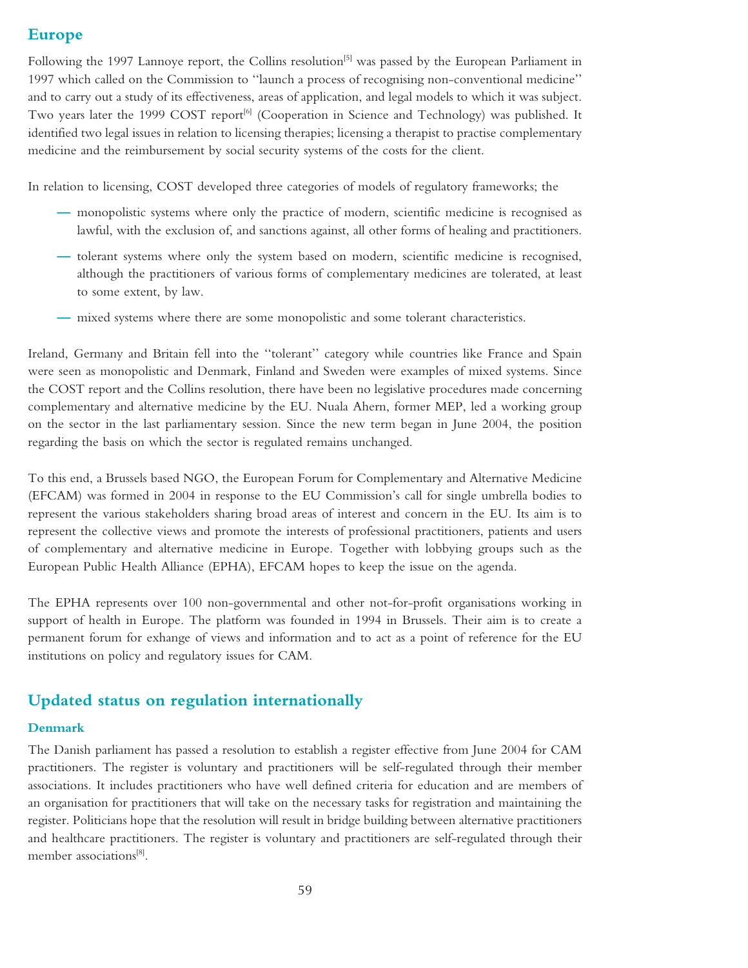## **Europe**

Following the 1997 Lannoye report, the Collins resolution<sup>[5]</sup> was passed by the European Parliament in 1997 which called on the Commission to ''launch a process of recognising non-conventional medicine'' and to carry out a study of its effectiveness, areas of application, and legal models to which it was subject. Two years later the 1999 COST report<sup>[6]</sup> (Cooperation in Science and Technology) was published. It identified two legal issues in relation to licensing therapies; licensing a therapist to practise complementary medicine and the reimbursement by social security systems of the costs for the client.

In relation to licensing, COST developed three categories of models of regulatory frameworks; the

- **—** monopolistic systems where only the practice of modern, scientific medicine is recognised as lawful, with the exclusion of, and sanctions against, all other forms of healing and practitioners.
- **—** tolerant systems where only the system based on modern, scientific medicine is recognised, although the practitioners of various forms of complementary medicines are tolerated, at least to some extent, by law.
- **—** mixed systems where there are some monopolistic and some tolerant characteristics.

Ireland, Germany and Britain fell into the ''tolerant'' category while countries like France and Spain were seen as monopolistic and Denmark, Finland and Sweden were examples of mixed systems. Since the COST report and the Collins resolution, there have been no legislative procedures made concerning complementary and alternative medicine by the EU. Nuala Ahern, former MEP, led a working group on the sector in the last parliamentary session. Since the new term began in June 2004, the position regarding the basis on which the sector is regulated remains unchanged.

To this end, a Brussels based NGO, the European Forum for Complementary and Alternative Medicine (EFCAM) was formed in 2004 in response to the EU Commission's call for single umbrella bodies to represent the various stakeholders sharing broad areas of interest and concern in the EU. Its aim is to represent the collective views and promote the interests of professional practitioners, patients and users of complementary and alternative medicine in Europe. Together with lobbying groups such as the European Public Health Alliance (EPHA), EFCAM hopes to keep the issue on the agenda.

The EPHA represents over 100 non-governmental and other not-for-profit organisations working in support of health in Europe. The platform was founded in 1994 in Brussels. Their aim is to create a permanent forum for exhange of views and information and to act as a point of reference for the EU institutions on policy and regulatory issues for CAM.

#### **Updated status on regulation internationally**

#### **Denmark**

The Danish parliament has passed a resolution to establish a register effective from June 2004 for CAM practitioners. The register is voluntary and practitioners will be self-regulated through their member associations. It includes practitioners who have well defined criteria for education and are members of an organisation for practitioners that will take on the necessary tasks for registration and maintaining the register. Politicians hope that the resolution will result in bridge building between alternative practitioners and healthcare practitioners. The register is voluntary and practitioners are self-regulated through their member associations<sup>[8]</sup>.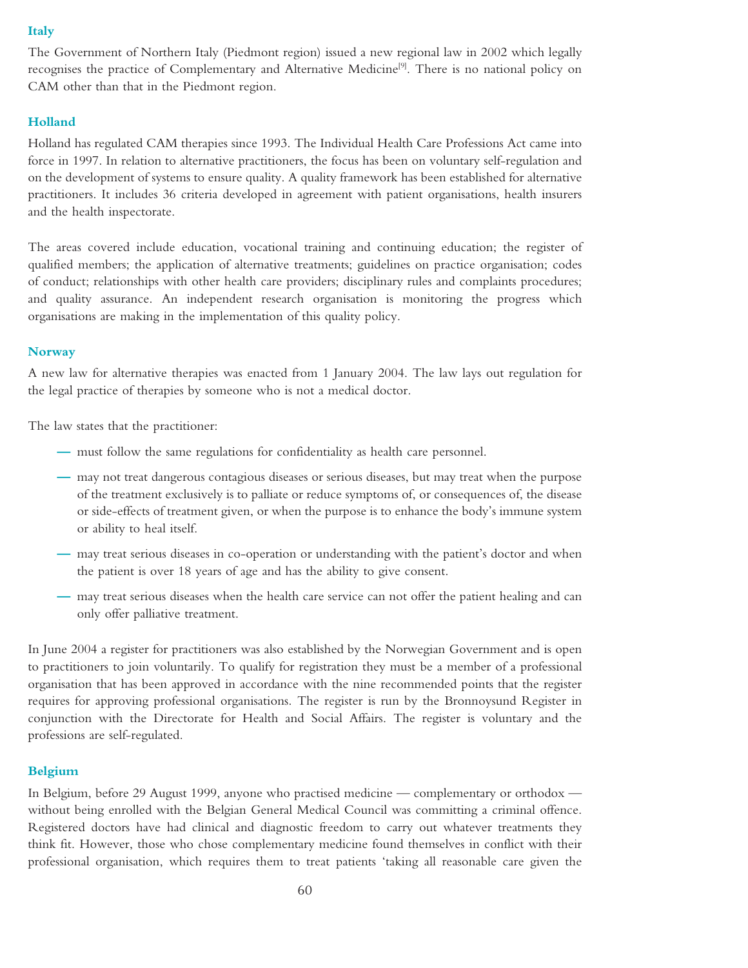#### **Italy**

The Government of Northern Italy (Piedmont region) issued a new regional law in 2002 which legally recognises the practice of Complementary and Alternative Medicine<sup>[9]</sup>. There is no national policy on CAM other than that in the Piedmont region.

#### **Holland**

Holland has regulated CAM therapies since 1993. The Individual Health Care Professions Act came into force in 1997. In relation to alternative practitioners, the focus has been on voluntary self-regulation and on the development of systems to ensure quality. A quality framework has been established for alternative practitioners. It includes 36 criteria developed in agreement with patient organisations, health insurers and the health inspectorate.

The areas covered include education, vocational training and continuing education; the register of qualified members; the application of alternative treatments; guidelines on practice organisation; codes of conduct; relationships with other health care providers; disciplinary rules and complaints procedures; and quality assurance. An independent research organisation is monitoring the progress which organisations are making in the implementation of this quality policy.

#### **Norway**

A new law for alternative therapies was enacted from 1 January 2004. The law lays out regulation for the legal practice of therapies by someone who is not a medical doctor.

The law states that the practitioner:

- **—** must follow the same regulations for confidentiality as health care personnel.
- **—** may not treat dangerous contagious diseases or serious diseases, but may treat when the purpose of the treatment exclusively is to palliate or reduce symptoms of, or consequences of, the disease or side-effects of treatment given, or when the purpose is to enhance the body's immune system or ability to heal itself.
- **—** may treat serious diseases in co-operation or understanding with the patient's doctor and when the patient is over 18 years of age and has the ability to give consent.
- **—** may treat serious diseases when the health care service can not offer the patient healing and can only offer palliative treatment.

In June 2004 a register for practitioners was also established by the Norwegian Government and is open to practitioners to join voluntarily. To qualify for registration they must be a member of a professional organisation that has been approved in accordance with the nine recommended points that the register requires for approving professional organisations. The register is run by the Bronnoysund Register in conjunction with the Directorate for Health and Social Affairs. The register is voluntary and the professions are self-regulated.

#### **Belgium**

In Belgium, before 29 August 1999, anyone who practised medicine — complementary or orthodox without being enrolled with the Belgian General Medical Council was committing a criminal offence. Registered doctors have had clinical and diagnostic freedom to carry out whatever treatments they think fit. However, those who chose complementary medicine found themselves in conflict with their professional organisation, which requires them to treat patients 'taking all reasonable care given the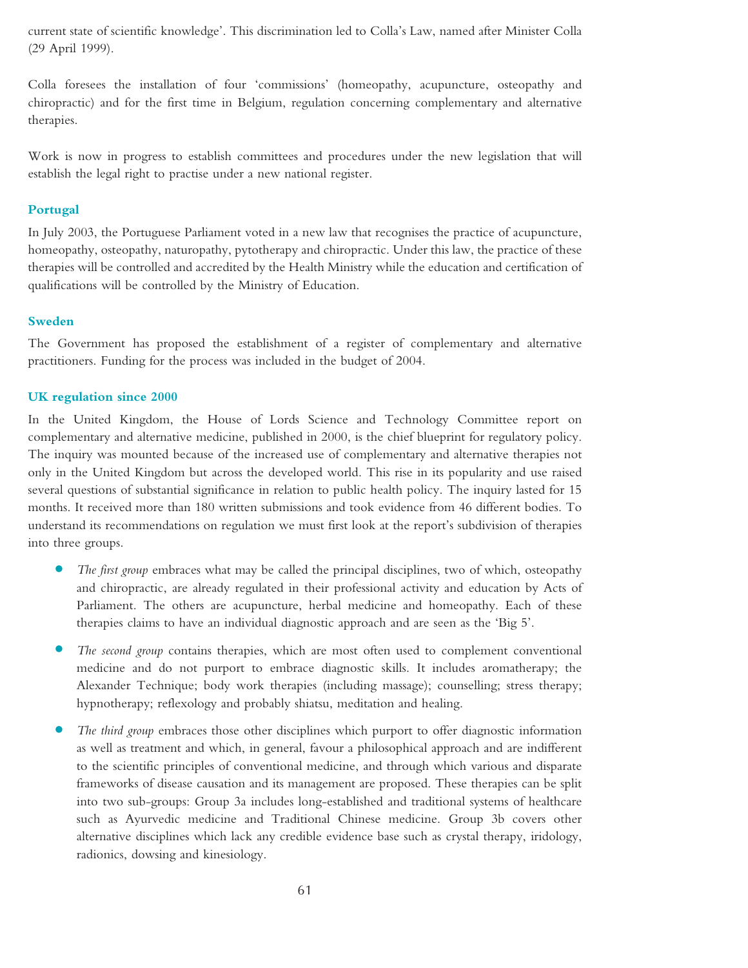current state of scientific knowledge'. This discrimination led to Colla's Law, named after Minister Colla (29 April 1999).

Colla foresees the installation of four 'commissions' (homeopathy, acupuncture, osteopathy and chiropractic) and for the first time in Belgium, regulation concerning complementary and alternative therapies.

Work is now in progress to establish committees and procedures under the new legislation that will establish the legal right to practise under a new national register.

#### **Portugal**

In July 2003, the Portuguese Parliament voted in a new law that recognises the practice of acupuncture, homeopathy, osteopathy, naturopathy, pytotherapy and chiropractic. Under this law, the practice of these therapies will be controlled and accredited by the Health Ministry while the education and certification of qualifications will be controlled by the Ministry of Education.

#### **Sweden**

The Government has proposed the establishment of a register of complementary and alternative practitioners. Funding for the process was included in the budget of 2004.

#### **UK regulation since 2000**

In the United Kingdom, the House of Lords Science and Technology Committee report on complementary and alternative medicine, published in 2000, is the chief blueprint for regulatory policy. The inquiry was mounted because of the increased use of complementary and alternative therapies not only in the United Kingdom but across the developed world. This rise in its popularity and use raised several questions of substantial significance in relation to public health policy. The inquiry lasted for 15 months. It received more than 180 written submissions and took evidence from 46 different bodies. To understand its recommendations on regulation we must first look at the report's subdivision of therapies into three groups.

- **•** *The first group* embraces what may be called the principal disciplines, two of which, osteopathy and chiropractic, are already regulated in their professional activity and education by Acts of Parliament. The others are acupuncture, herbal medicine and homeopathy. Each of these therapies claims to have an individual diagnostic approach and are seen as the 'Big 5'.
- *The second group* contains therapies, which are most often used to complement conventional medicine and do not purport to embrace diagnostic skills. It includes aromatherapy; the Alexander Technique; body work therapies (including massage); counselling; stress therapy; hypnotherapy; reflexology and probably shiatsu, meditation and healing.
- *The third group* embraces those other disciplines which purport to offer diagnostic information as well as treatment and which, in general, favour a philosophical approach and are indifferent to the scientific principles of conventional medicine, and through which various and disparate frameworks of disease causation and its management are proposed. These therapies can be split into two sub-groups: Group 3a includes long-established and traditional systems of healthcare such as Ayurvedic medicine and Traditional Chinese medicine. Group 3b covers other alternative disciplines which lack any credible evidence base such as crystal therapy, iridology, radionics, dowsing and kinesiology.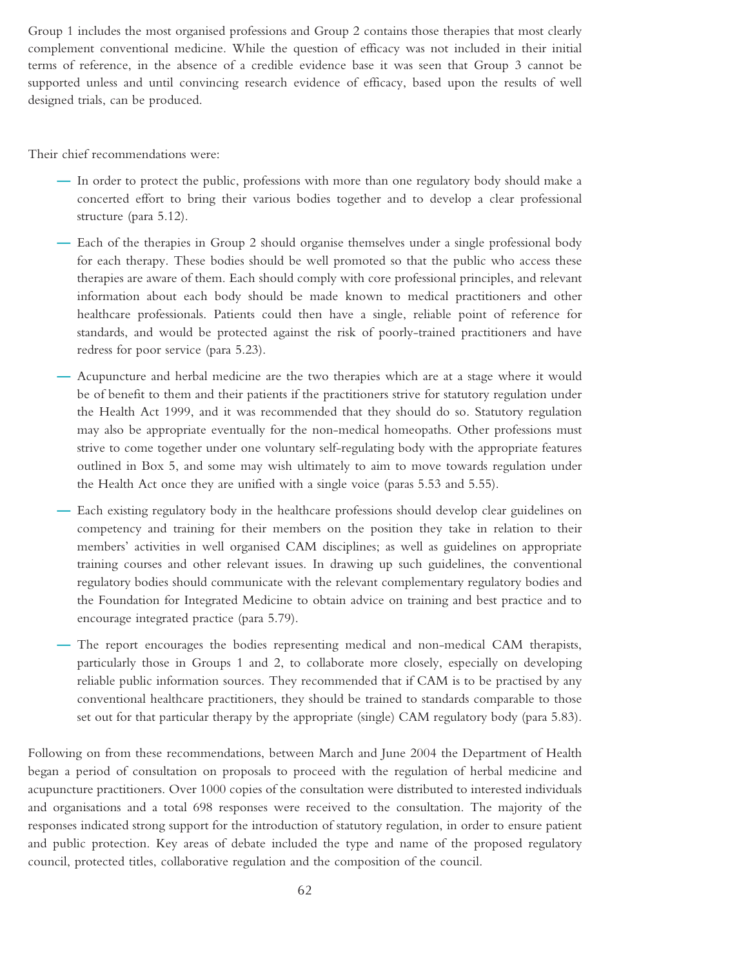Group 1 includes the most organised professions and Group 2 contains those therapies that most clearly complement conventional medicine. While the question of efficacy was not included in their initial terms of reference, in the absence of a credible evidence base it was seen that Group 3 cannot be supported unless and until convincing research evidence of efficacy, based upon the results of well designed trials, can be produced.

Their chief recommendations were:

- **—** In order to protect the public, professions with more than one regulatory body should make a concerted effort to bring their various bodies together and to develop a clear professional structure (para 5.12).
- **—** Each of the therapies in Group 2 should organise themselves under a single professional body for each therapy. These bodies should be well promoted so that the public who access these therapies are aware of them. Each should comply with core professional principles, and relevant information about each body should be made known to medical practitioners and other healthcare professionals. Patients could then have a single, reliable point of reference for standards, and would be protected against the risk of poorly-trained practitioners and have redress for poor service (para 5.23).
- **—** Acupuncture and herbal medicine are the two therapies which are at a stage where it would be of benefit to them and their patients if the practitioners strive for statutory regulation under the Health Act 1999, and it was recommended that they should do so. Statutory regulation may also be appropriate eventually for the non-medical homeopaths. Other professions must strive to come together under one voluntary self-regulating body with the appropriate features outlined in Box 5, and some may wish ultimately to aim to move towards regulation under the Health Act once they are unified with a single voice (paras 5.53 and 5.55).
- **—** Each existing regulatory body in the healthcare professions should develop clear guidelines on competency and training for their members on the position they take in relation to their members' activities in well organised CAM disciplines; as well as guidelines on appropriate training courses and other relevant issues. In drawing up such guidelines, the conventional regulatory bodies should communicate with the relevant complementary regulatory bodies and the Foundation for Integrated Medicine to obtain advice on training and best practice and to encourage integrated practice (para 5.79).
- **—** The report encourages the bodies representing medical and non-medical CAM therapists, particularly those in Groups 1 and 2, to collaborate more closely, especially on developing reliable public information sources. They recommended that if CAM is to be practised by any conventional healthcare practitioners, they should be trained to standards comparable to those set out for that particular therapy by the appropriate (single) CAM regulatory body (para 5.83).

Following on from these recommendations, between March and June 2004 the Department of Health began a period of consultation on proposals to proceed with the regulation of herbal medicine and acupuncture practitioners. Over 1000 copies of the consultation were distributed to interested individuals and organisations and a total 698 responses were received to the consultation. The majority of the responses indicated strong support for the introduction of statutory regulation, in order to ensure patient and public protection. Key areas of debate included the type and name of the proposed regulatory council, protected titles, collaborative regulation and the composition of the council.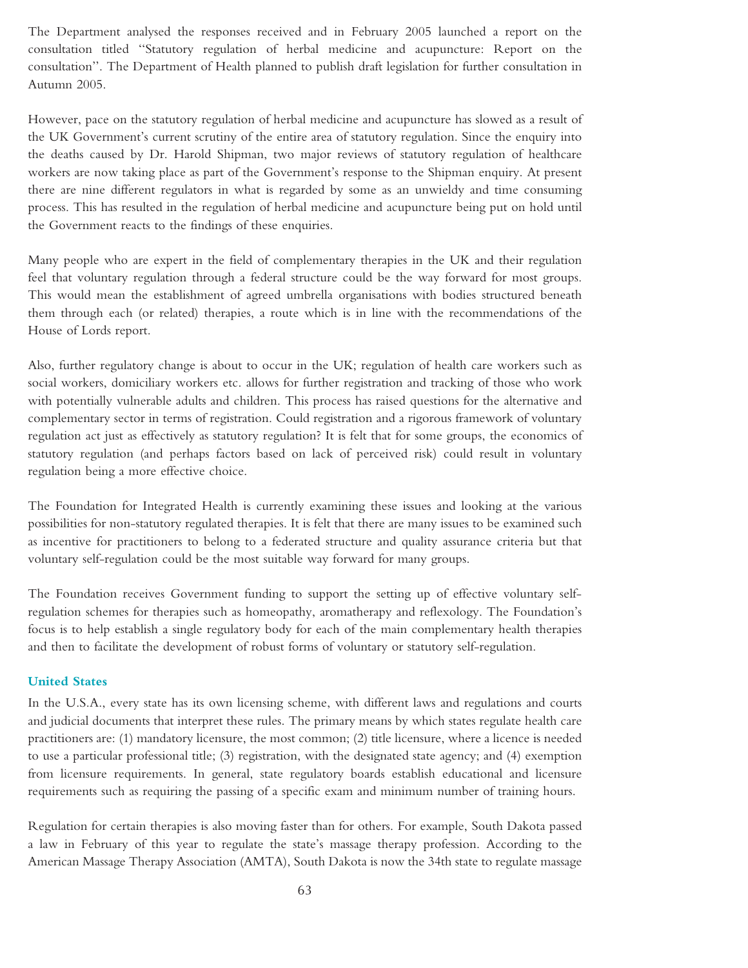The Department analysed the responses received and in February 2005 launched a report on the consultation titled ''Statutory regulation of herbal medicine and acupuncture: Report on the consultation''. The Department of Health planned to publish draft legislation for further consultation in Autumn 2005.

However, pace on the statutory regulation of herbal medicine and acupuncture has slowed as a result of the UK Government's current scrutiny of the entire area of statutory regulation. Since the enquiry into the deaths caused by Dr. Harold Shipman, two major reviews of statutory regulation of healthcare workers are now taking place as part of the Government's response to the Shipman enquiry. At present there are nine different regulators in what is regarded by some as an unwieldy and time consuming process. This has resulted in the regulation of herbal medicine and acupuncture being put on hold until the Government reacts to the findings of these enquiries.

Many people who are expert in the field of complementary therapies in the UK and their regulation feel that voluntary regulation through a federal structure could be the way forward for most groups. This would mean the establishment of agreed umbrella organisations with bodies structured beneath them through each (or related) therapies, a route which is in line with the recommendations of the House of Lords report.

Also, further regulatory change is about to occur in the UK; regulation of health care workers such as social workers, domiciliary workers etc. allows for further registration and tracking of those who work with potentially vulnerable adults and children. This process has raised questions for the alternative and complementary sector in terms of registration. Could registration and a rigorous framework of voluntary regulation act just as effectively as statutory regulation? It is felt that for some groups, the economics of statutory regulation (and perhaps factors based on lack of perceived risk) could result in voluntary regulation being a more effective choice.

The Foundation for Integrated Health is currently examining these issues and looking at the various possibilities for non-statutory regulated therapies. It is felt that there are many issues to be examined such as incentive for practitioners to belong to a federated structure and quality assurance criteria but that voluntary self-regulation could be the most suitable way forward for many groups.

The Foundation receives Government funding to support the setting up of effective voluntary selfregulation schemes for therapies such as homeopathy, aromatherapy and reflexology. The Foundation's focus is to help establish a single regulatory body for each of the main complementary health therapies and then to facilitate the development of robust forms of voluntary or statutory self-regulation.

#### **United States**

In the U.S.A., every state has its own licensing scheme, with different laws and regulations and courts and judicial documents that interpret these rules. The primary means by which states regulate health care practitioners are: (1) mandatory licensure, the most common; (2) title licensure, where a licence is needed to use a particular professional title; (3) registration, with the designated state agency; and (4) exemption from licensure requirements. In general, state regulatory boards establish educational and licensure requirements such as requiring the passing of a specific exam and minimum number of training hours.

Regulation for certain therapies is also moving faster than for others. For example, South Dakota passed a law in February of this year to regulate the state's massage therapy profession. According to the American Massage Therapy Association (AMTA), South Dakota is now the 34th state to regulate massage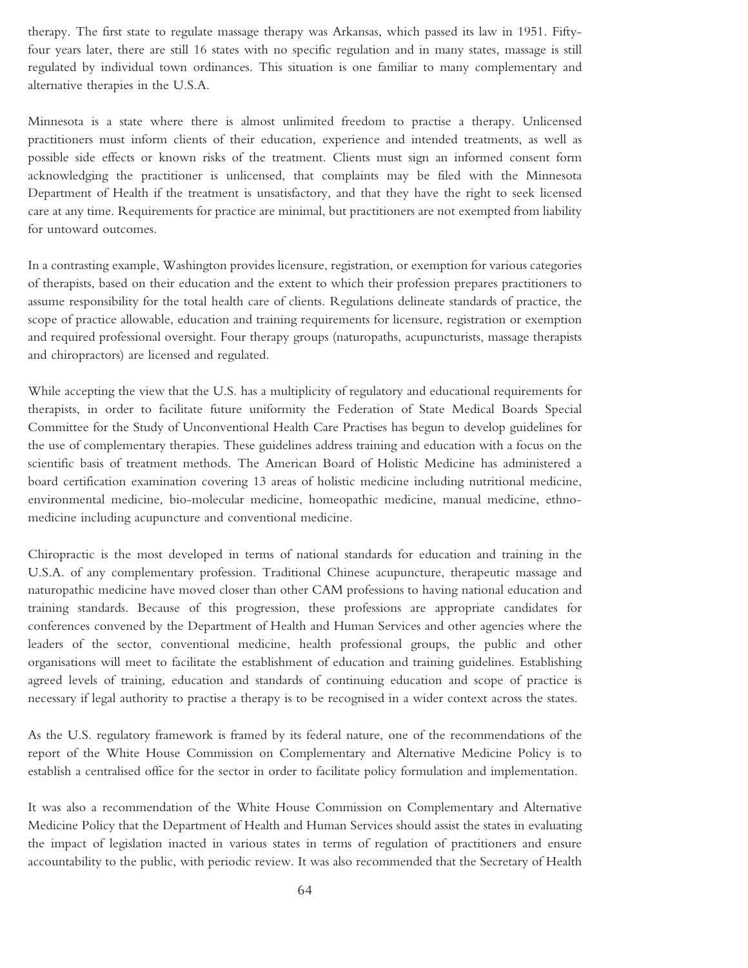therapy. The first state to regulate massage therapy was Arkansas, which passed its law in 1951. Fiftyfour years later, there are still 16 states with no specific regulation and in many states, massage is still regulated by individual town ordinances. This situation is one familiar to many complementary and alternative therapies in the U.S.A.

Minnesota is a state where there is almost unlimited freedom to practise a therapy. Unlicensed practitioners must inform clients of their education, experience and intended treatments, as well as possible side effects or known risks of the treatment. Clients must sign an informed consent form acknowledging the practitioner is unlicensed, that complaints may be filed with the Minnesota Department of Health if the treatment is unsatisfactory, and that they have the right to seek licensed care at any time. Requirements for practice are minimal, but practitioners are not exempted from liability for untoward outcomes.

In a contrasting example, Washington provides licensure, registration, or exemption for various categories of therapists, based on their education and the extent to which their profession prepares practitioners to assume responsibility for the total health care of clients. Regulations delineate standards of practice, the scope of practice allowable, education and training requirements for licensure, registration or exemption and required professional oversight. Four therapy groups (naturopaths, acupuncturists, massage therapists and chiropractors) are licensed and regulated.

While accepting the view that the U.S. has a multiplicity of regulatory and educational requirements for therapists, in order to facilitate future uniformity the Federation of State Medical Boards Special Committee for the Study of Unconventional Health Care Practises has begun to develop guidelines for the use of complementary therapies. These guidelines address training and education with a focus on the scientific basis of treatment methods. The American Board of Holistic Medicine has administered a board certification examination covering 13 areas of holistic medicine including nutritional medicine, environmental medicine, bio-molecular medicine, homeopathic medicine, manual medicine, ethnomedicine including acupuncture and conventional medicine.

Chiropractic is the most developed in terms of national standards for education and training in the U.S.A. of any complementary profession. Traditional Chinese acupuncture, therapeutic massage and naturopathic medicine have moved closer than other CAM professions to having national education and training standards. Because of this progression, these professions are appropriate candidates for conferences convened by the Department of Health and Human Services and other agencies where the leaders of the sector, conventional medicine, health professional groups, the public and other organisations will meet to facilitate the establishment of education and training guidelines. Establishing agreed levels of training, education and standards of continuing education and scope of practice is necessary if legal authority to practise a therapy is to be recognised in a wider context across the states.

As the U.S. regulatory framework is framed by its federal nature, one of the recommendations of the report of the White House Commission on Complementary and Alternative Medicine Policy is to establish a centralised office for the sector in order to facilitate policy formulation and implementation.

It was also a recommendation of the White House Commission on Complementary and Alternative Medicine Policy that the Department of Health and Human Services should assist the states in evaluating the impact of legislation inacted in various states in terms of regulation of practitioners and ensure accountability to the public, with periodic review. It was also recommended that the Secretary of Health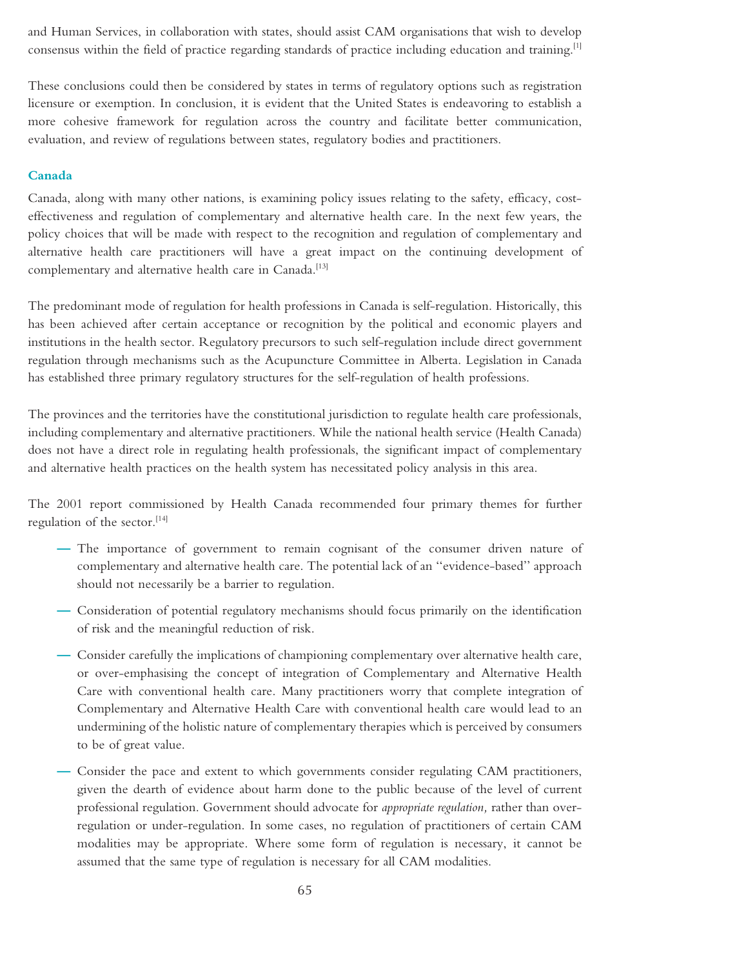and Human Services, in collaboration with states, should assist CAM organisations that wish to develop consensus within the field of practice regarding standards of practice including education and training.[1]

These conclusions could then be considered by states in terms of regulatory options such as registration licensure or exemption. In conclusion, it is evident that the United States is endeavoring to establish a more cohesive framework for regulation across the country and facilitate better communication, evaluation, and review of regulations between states, regulatory bodies and practitioners.

#### **Canada**

Canada, along with many other nations, is examining policy issues relating to the safety, efficacy, costeffectiveness and regulation of complementary and alternative health care. In the next few years, the policy choices that will be made with respect to the recognition and regulation of complementary and alternative health care practitioners will have a great impact on the continuing development of complementary and alternative health care in Canada.<sup>[13]</sup>

The predominant mode of regulation for health professions in Canada is self-regulation. Historically, this has been achieved after certain acceptance or recognition by the political and economic players and institutions in the health sector. Regulatory precursors to such self-regulation include direct government regulation through mechanisms such as the Acupuncture Committee in Alberta. Legislation in Canada has established three primary regulatory structures for the self-regulation of health professions.

The provinces and the territories have the constitutional jurisdiction to regulate health care professionals, including complementary and alternative practitioners. While the national health service (Health Canada) does not have a direct role in regulating health professionals, the significant impact of complementary and alternative health practices on the health system has necessitated policy analysis in this area.

The 2001 report commissioned by Health Canada recommended four primary themes for further regulation of the sector.[14]

- **—** The importance of government to remain cognisant of the consumer driven nature of complementary and alternative health care. The potential lack of an ''evidence-based'' approach should not necessarily be a barrier to regulation.
- **—** Consideration of potential regulatory mechanisms should focus primarily on the identification of risk and the meaningful reduction of risk.
- **—** Consider carefully the implications of championing complementary over alternative health care, or over-emphasising the concept of integration of Complementary and Alternative Health Care with conventional health care. Many practitioners worry that complete integration of Complementary and Alternative Health Care with conventional health care would lead to an undermining of the holistic nature of complementary therapies which is perceived by consumers to be of great value.
- **—** Consider the pace and extent to which governments consider regulating CAM practitioners, given the dearth of evidence about harm done to the public because of the level of current professional regulation. Government should advocate for *appropriate regulation,* rather than overregulation or under-regulation. In some cases, no regulation of practitioners of certain CAM modalities may be appropriate. Where some form of regulation is necessary, it cannot be assumed that the same type of regulation is necessary for all CAM modalities.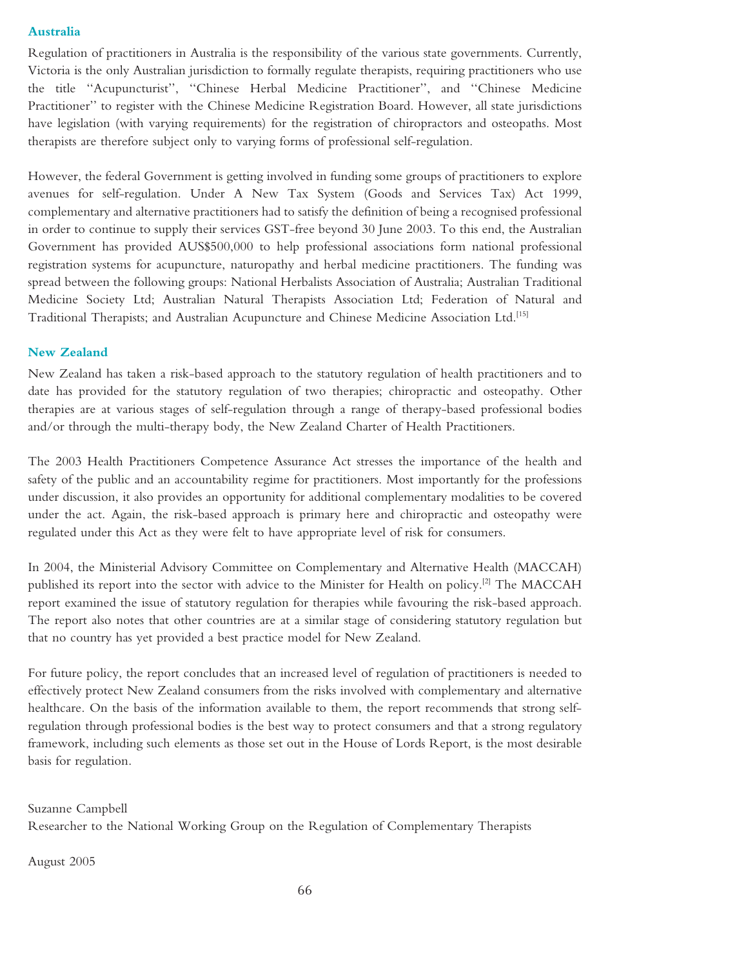#### **Australia**

Regulation of practitioners in Australia is the responsibility of the various state governments. Currently, Victoria is the only Australian jurisdiction to formally regulate therapists, requiring practitioners who use the title ''Acupuncturist'', ''Chinese Herbal Medicine Practitioner'', and ''Chinese Medicine Practitioner'' to register with the Chinese Medicine Registration Board. However, all state jurisdictions have legislation (with varying requirements) for the registration of chiropractors and osteopaths. Most therapists are therefore subject only to varying forms of professional self-regulation.

However, the federal Government is getting involved in funding some groups of practitioners to explore avenues for self-regulation. Under A New Tax System (Goods and Services Tax) Act 1999, complementary and alternative practitioners had to satisfy the definition of being a recognised professional in order to continue to supply their services GST-free beyond 30 June 2003. To this end, the Australian Government has provided AUS\$500,000 to help professional associations form national professional registration systems for acupuncture, naturopathy and herbal medicine practitioners. The funding was spread between the following groups: National Herbalists Association of Australia; Australian Traditional Medicine Society Ltd; Australian Natural Therapists Association Ltd; Federation of Natural and Traditional Therapists; and Australian Acupuncture and Chinese Medicine Association Ltd.[15]

#### **New Zealand**

New Zealand has taken a risk-based approach to the statutory regulation of health practitioners and to date has provided for the statutory regulation of two therapies; chiropractic and osteopathy. Other therapies are at various stages of self-regulation through a range of therapy-based professional bodies and/or through the multi-therapy body, the New Zealand Charter of Health Practitioners.

The 2003 Health Practitioners Competence Assurance Act stresses the importance of the health and safety of the public and an accountability regime for practitioners. Most importantly for the professions under discussion, it also provides an opportunity for additional complementary modalities to be covered under the act. Again, the risk-based approach is primary here and chiropractic and osteopathy were regulated under this Act as they were felt to have appropriate level of risk for consumers.

In 2004, the Ministerial Advisory Committee on Complementary and Alternative Health (MACCAH) published its report into the sector with advice to the Minister for Health on policy.<sup>[2]</sup> The MACCAH report examined the issue of statutory regulation for therapies while favouring the risk-based approach. The report also notes that other countries are at a similar stage of considering statutory regulation but that no country has yet provided a best practice model for New Zealand.

For future policy, the report concludes that an increased level of regulation of practitioners is needed to effectively protect New Zealand consumers from the risks involved with complementary and alternative healthcare. On the basis of the information available to them, the report recommends that strong selfregulation through professional bodies is the best way to protect consumers and that a strong regulatory framework, including such elements as those set out in the House of Lords Report, is the most desirable basis for regulation.

Suzanne Campbell

Researcher to the National Working Group on the Regulation of Complementary Therapists

August 2005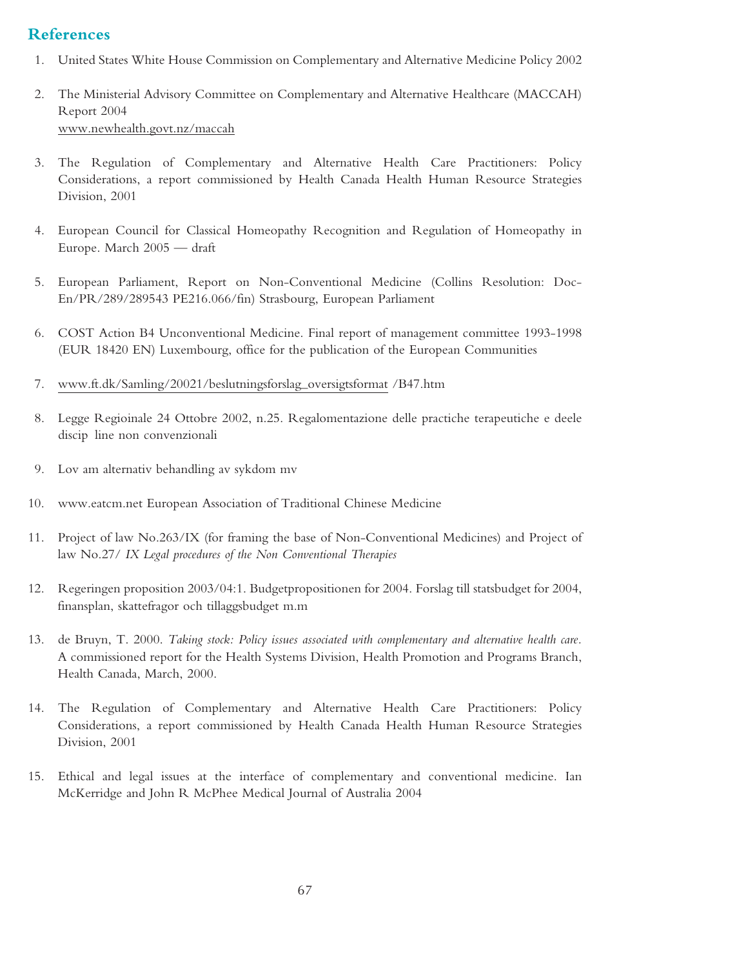## **References**

- 1. United States White House Commission on Complementary and Alternative Medicine Policy 2002
- 2. The Ministerial Advisory Committee on Complementary and Alternative Healthcare (MACCAH) Report 2004 www.newhealth.govt.nz/maccah
- 3. The Regulation of Complementary and Alternative Health Care Practitioners: Policy Considerations, a report commissioned by Health Canada Health Human Resource Strategies Division, 2001
- 4. European Council for Classical Homeopathy Recognition and Regulation of Homeopathy in Europe. March 2005 — draft
- 5. European Parliament, Report on Non-Conventional Medicine (Collins Resolution: Doc-En/PR/289/289543 PE216.066/fin) Strasbourg, European Parliament
- 6. COST Action B4 Unconventional Medicine. Final report of management committee 1993-1998 (EUR 18420 EN) Luxembourg, office for the publication of the European Communities
- 7. www.ft.dk/Samling/20021/beslutningsforslag–oversigtsformat /B47.htm
- 8. Legge Regioinale 24 Ottobre 2002, n.25. Regalomentazione delle practiche terapeutiche e deele discip line non convenzionali
- 9. Lov am alternativ behandling av sykdom mv
- 10. www.eatcm.net European Association of Traditional Chinese Medicine
- 11. Project of law No.263/IX (for framing the base of Non-Conventional Medicines) and Project of law No.27/ *IX Legal procedures of the Non Conventional Therapies*
- 12. Regeringen proposition 2003/04:1. Budgetpropositionen for 2004. Forslag till statsbudget for 2004, finansplan, skattefragor och tillaggsbudget m.m
- 13. de Bruyn, T. 2000. *Taking stock: Policy issues associated with complementary and alternative health care.* A commissioned report for the Health Systems Division, Health Promotion and Programs Branch, Health Canada, March, 2000.
- 14. The Regulation of Complementary and Alternative Health Care Practitioners: Policy Considerations, a report commissioned by Health Canada Health Human Resource Strategies Division, 2001
- 15. Ethical and legal issues at the interface of complementary and conventional medicine. Ian McKerridge and John R McPhee Medical Journal of Australia 2004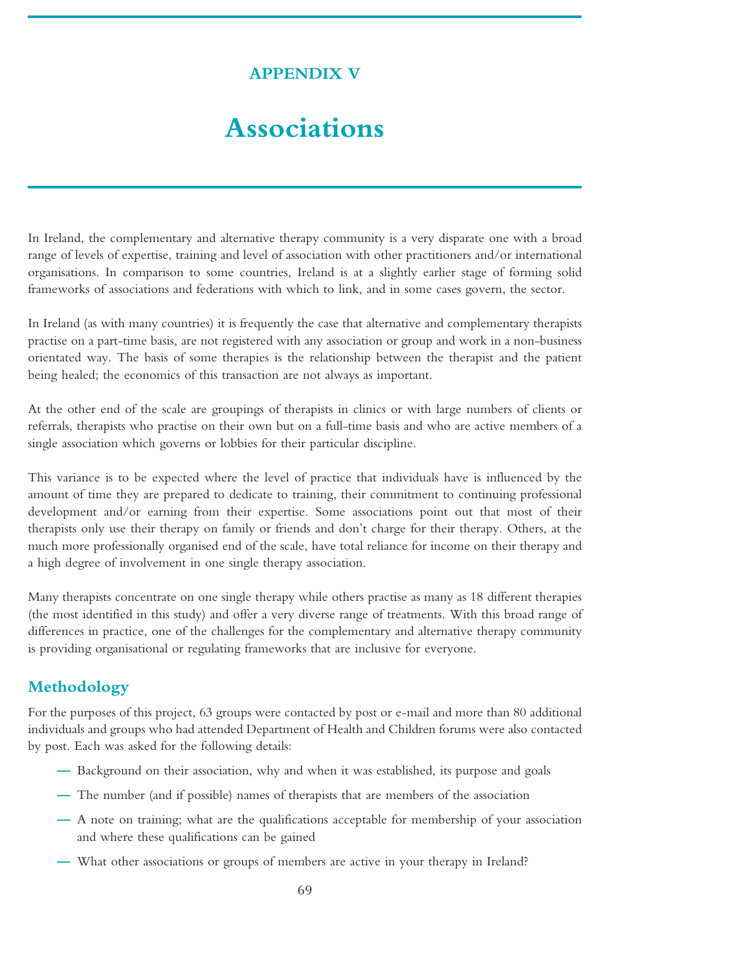## **APPENDIX V**

# **Associations**

In Ireland, the complementary and alternative therapy community is a very disparate one with a broad range of levels of expertise, training and level of association with other practitioners and/or international organisations. In comparison to some countries, Ireland is at a slightly earlier stage of forming solid frameworks of associations and federations with which to link, and in some cases govern, the sector.

In Ireland (as with many countries) it is frequently the case that alternative and complementary therapists practise on a part-time basis, are not registered with any association or group and work in a non-business orientated way. The basis of some therapies is the relationship between the therapist and the patient being healed; the economics of this transaction are not always as important.

At the other end of the scale are groupings of therapists in clinics or with large numbers of clients or referrals, therapists who practise on their own but on a full-time basis and who are active members of a single association which governs or lobbies for their particular discipline.

This variance is to be expected where the level of practice that individuals have is influenced by the amount of time they are prepared to dedicate to training, their commitment to continuing professional development and/or earning from their expertise. Some associations point out that most of their therapists only use their therapy on family or friends and don't charge for their therapy. Others, at the much more professionally organised end of the scale, have total reliance for income on their therapy and a high degree of involvement in one single therapy association.

Many therapists concentrate on one single therapy while others practise as many as 18 different therapies (the most identified in this study) and offer a very diverse range of treatments. With this broad range of differences in practice, one of the challenges for the complementary and alternative therapy community is providing organisational or regulating frameworks that are inclusive for everyone.

## **Methodology**

For the purposes of this project, 63 groups were contacted by post or e-mail and more than 80 additional individuals and groups who had attended Department of Health and Children forums were also contacted by post. Each was asked for the following details:

- **—** Background on their association, why and when it was established, its purpose and goals
- **—** The number (and if possible) names of therapists that are members of the association
- **—** A note on training; what are the qualifications acceptable for membership of your association and where these qualifications can be gained
- **—** What other associations or groups of members are active in your therapy in Ireland?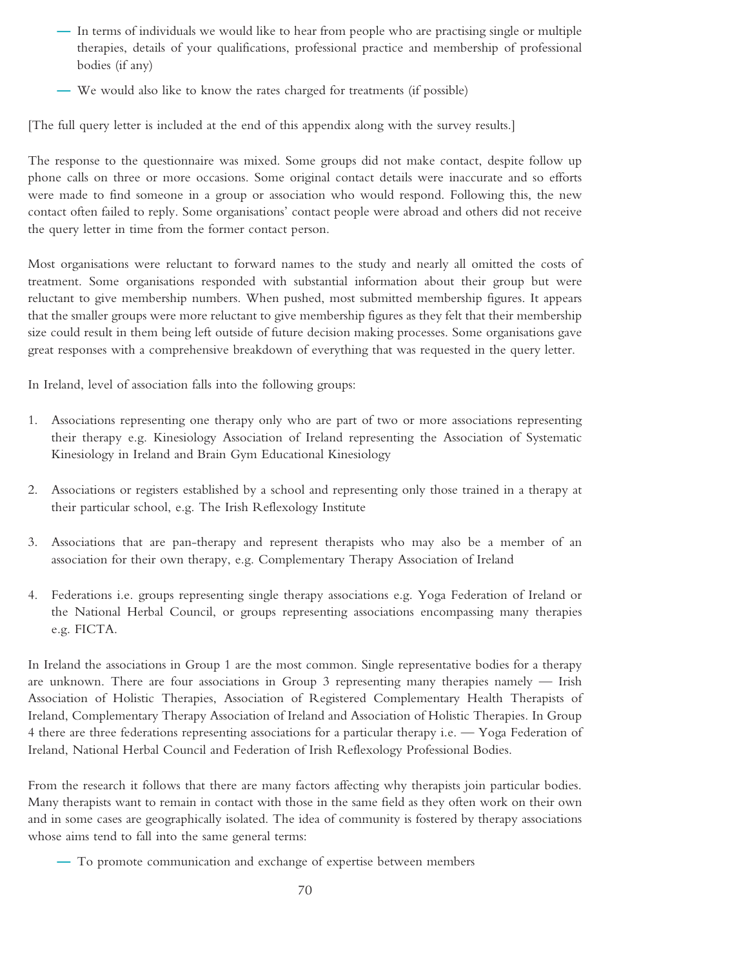- **—** In terms of individuals we would like to hear from people who are practising single or multiple therapies, details of your qualifications, professional practice and membership of professional bodies (if any)
- **—** We would also like to know the rates charged for treatments (if possible)

[The full query letter is included at the end of this appendix along with the survey results.]

The response to the questionnaire was mixed. Some groups did not make contact, despite follow up phone calls on three or more occasions. Some original contact details were inaccurate and so efforts were made to find someone in a group or association who would respond. Following this, the new contact often failed to reply. Some organisations' contact people were abroad and others did not receive the query letter in time from the former contact person.

Most organisations were reluctant to forward names to the study and nearly all omitted the costs of treatment. Some organisations responded with substantial information about their group but were reluctant to give membership numbers. When pushed, most submitted membership figures. It appears that the smaller groups were more reluctant to give membership figures as they felt that their membership size could result in them being left outside of future decision making processes. Some organisations gave great responses with a comprehensive breakdown of everything that was requested in the query letter.

In Ireland, level of association falls into the following groups:

- 1. Associations representing one therapy only who are part of two or more associations representing their therapy e.g. Kinesiology Association of Ireland representing the Association of Systematic Kinesiology in Ireland and Brain Gym Educational Kinesiology
- 2. Associations or registers established by a school and representing only those trained in a therapy at their particular school, e.g. The Irish Reflexology Institute
- 3. Associations that are pan-therapy and represent therapists who may also be a member of an association for their own therapy, e.g. Complementary Therapy Association of Ireland
- 4. Federations i.e. groups representing single therapy associations e.g. Yoga Federation of Ireland or the National Herbal Council, or groups representing associations encompassing many therapies e.g. FICTA.

In Ireland the associations in Group 1 are the most common. Single representative bodies for a therapy are unknown. There are four associations in Group 3 representing many therapies namely — Irish Association of Holistic Therapies, Association of Registered Complementary Health Therapists of Ireland, Complementary Therapy Association of Ireland and Association of Holistic Therapies. In Group 4 there are three federations representing associations for a particular therapy i.e. — Yoga Federation of Ireland, National Herbal Council and Federation of Irish Reflexology Professional Bodies.

From the research it follows that there are many factors affecting why therapists join particular bodies. Many therapists want to remain in contact with those in the same field as they often work on their own and in some cases are geographically isolated. The idea of community is fostered by therapy associations whose aims tend to fall into the same general terms:

**—** To promote communication and exchange of expertise between members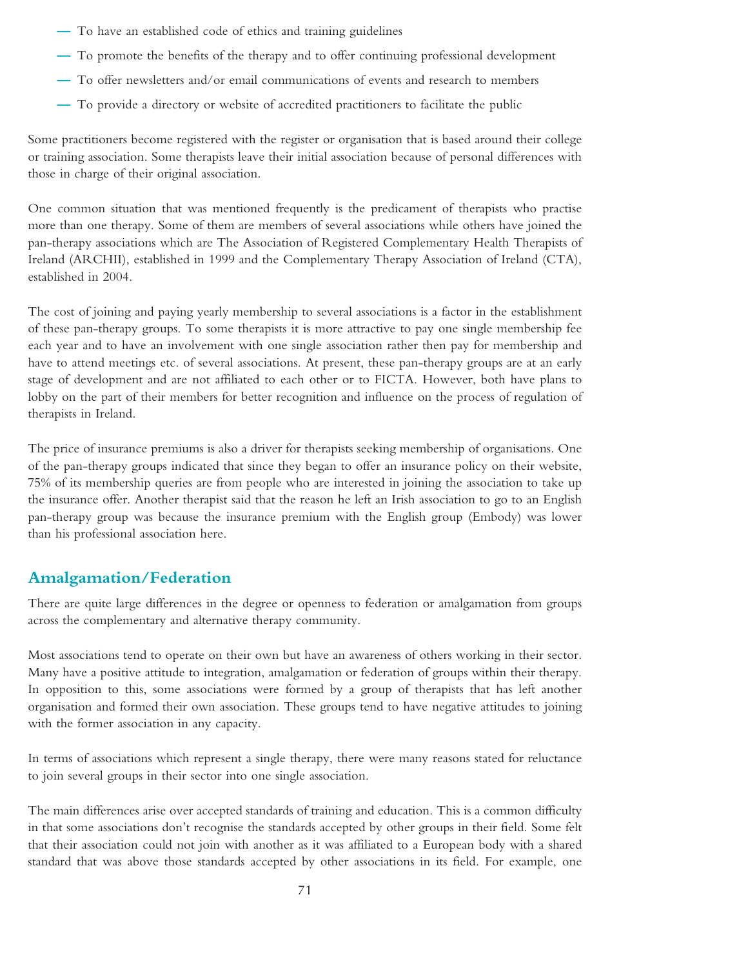- **—** To have an established code of ethics and training guidelines
- **—** To promote the benefits of the therapy and to offer continuing professional development
- **—** To offer newsletters and/or email communications of events and research to members
- **—** To provide a directory or website of accredited practitioners to facilitate the public

Some practitioners become registered with the register or organisation that is based around their college or training association. Some therapists leave their initial association because of personal differences with those in charge of their original association.

One common situation that was mentioned frequently is the predicament of therapists who practise more than one therapy. Some of them are members of several associations while others have joined the pan-therapy associations which are The Association of Registered Complementary Health Therapists of Ireland (ARCHII), established in 1999 and the Complementary Therapy Association of Ireland (CTA), established in 2004.

The cost of joining and paying yearly membership to several associations is a factor in the establishment of these pan-therapy groups. To some therapists it is more attractive to pay one single membership fee each year and to have an involvement with one single association rather then pay for membership and have to attend meetings etc. of several associations. At present, these pan-therapy groups are at an early stage of development and are not affiliated to each other or to FICTA. However, both have plans to lobby on the part of their members for better recognition and influence on the process of regulation of therapists in Ireland.

The price of insurance premiums is also a driver for therapists seeking membership of organisations. One of the pan-therapy groups indicated that since they began to offer an insurance policy on their website, 75% of its membership queries are from people who are interested in joining the association to take up the insurance offer. Another therapist said that the reason he left an Irish association to go to an English pan-therapy group was because the insurance premium with the English group (Embody) was lower than his professional association here.

### **Amalgamation/Federation**

There are quite large differences in the degree or openness to federation or amalgamation from groups across the complementary and alternative therapy community.

Most associations tend to operate on their own but have an awareness of others working in their sector. Many have a positive attitude to integration, amalgamation or federation of groups within their therapy. In opposition to this, some associations were formed by a group of therapists that has left another organisation and formed their own association. These groups tend to have negative attitudes to joining with the former association in any capacity.

In terms of associations which represent a single therapy, there were many reasons stated for reluctance to join several groups in their sector into one single association.

The main differences arise over accepted standards of training and education. This is a common difficulty in that some associations don't recognise the standards accepted by other groups in their field. Some felt that their association could not join with another as it was affiliated to a European body with a shared standard that was above those standards accepted by other associations in its field. For example, one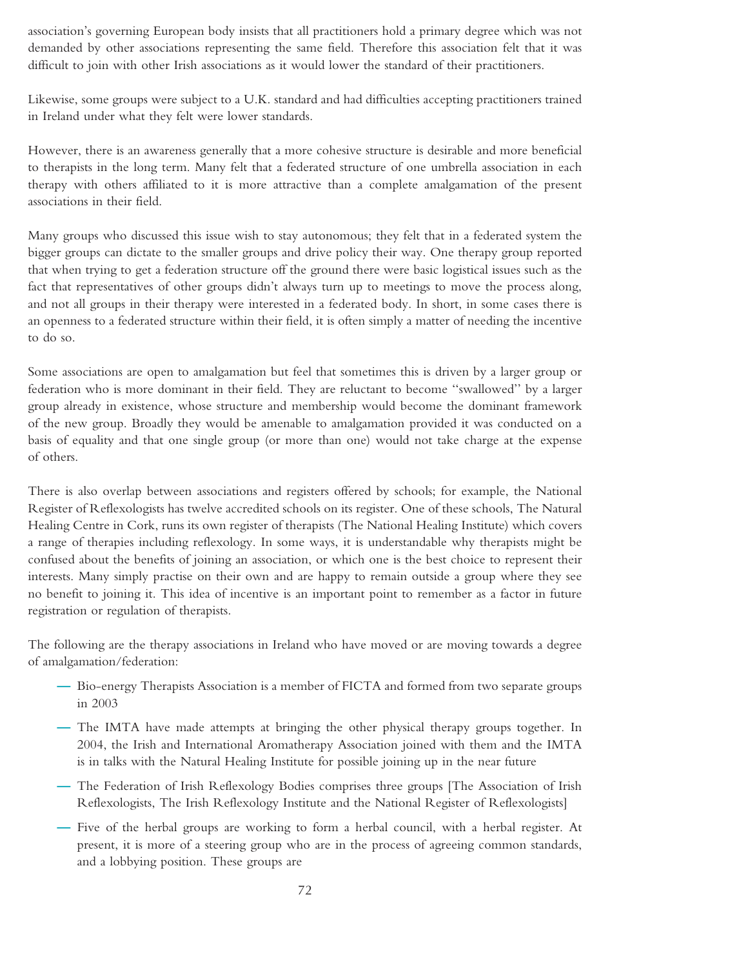association's governing European body insists that all practitioners hold a primary degree which was not demanded by other associations representing the same field. Therefore this association felt that it was difficult to join with other Irish associations as it would lower the standard of their practitioners.

Likewise, some groups were subject to a U.K. standard and had difficulties accepting practitioners trained in Ireland under what they felt were lower standards.

However, there is an awareness generally that a more cohesive structure is desirable and more beneficial to therapists in the long term. Many felt that a federated structure of one umbrella association in each therapy with others affiliated to it is more attractive than a complete amalgamation of the present associations in their field.

Many groups who discussed this issue wish to stay autonomous; they felt that in a federated system the bigger groups can dictate to the smaller groups and drive policy their way. One therapy group reported that when trying to get a federation structure off the ground there were basic logistical issues such as the fact that representatives of other groups didn't always turn up to meetings to move the process along, and not all groups in their therapy were interested in a federated body. In short, in some cases there is an openness to a federated structure within their field, it is often simply a matter of needing the incentive to do so.

Some associations are open to amalgamation but feel that sometimes this is driven by a larger group or federation who is more dominant in their field. They are reluctant to become ''swallowed'' by a larger group already in existence, whose structure and membership would become the dominant framework of the new group. Broadly they would be amenable to amalgamation provided it was conducted on a basis of equality and that one single group (or more than one) would not take charge at the expense of others.

There is also overlap between associations and registers offered by schools; for example, the National Register of Reflexologists has twelve accredited schools on its register. One of these schools, The Natural Healing Centre in Cork, runs its own register of therapists (The National Healing Institute) which covers a range of therapies including reflexology. In some ways, it is understandable why therapists might be confused about the benefits of joining an association, or which one is the best choice to represent their interests. Many simply practise on their own and are happy to remain outside a group where they see no benefit to joining it. This idea of incentive is an important point to remember as a factor in future registration or regulation of therapists.

The following are the therapy associations in Ireland who have moved or are moving towards a degree of amalgamation/federation:

- **—** Bio-energy Therapists Association is a member of FICTA and formed from two separate groups in 2003
- **—** The IMTA have made attempts at bringing the other physical therapy groups together. In 2004, the Irish and International Aromatherapy Association joined with them and the IMTA is in talks with the Natural Healing Institute for possible joining up in the near future
- **—** The Federation of Irish Reflexology Bodies comprises three groups [The Association of Irish Reflexologists, The Irish Reflexology Institute and the National Register of Reflexologists]
- **—** Five of the herbal groups are working to form a herbal council, with a herbal register. At present, it is more of a steering group who are in the process of agreeing common standards, and a lobbying position. These groups are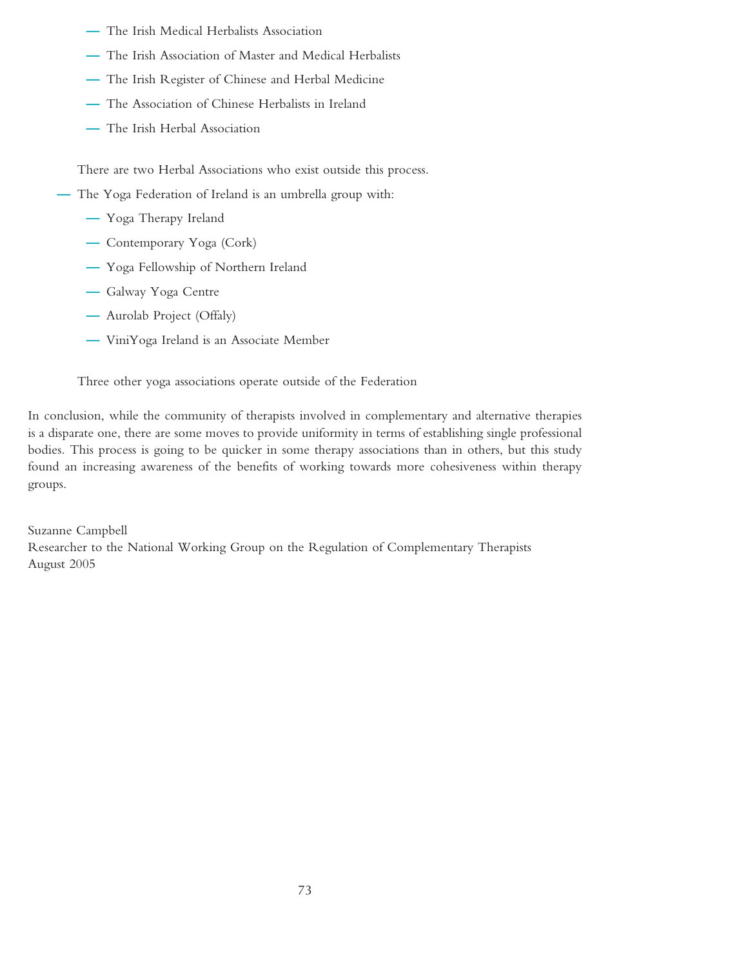- **—** The Irish Medical Herbalists Association
- **—** The Irish Association of Master and Medical Herbalists
- **—** The Irish Register of Chinese and Herbal Medicine
- **—** The Association of Chinese Herbalists in Ireland
- **—** The Irish Herbal Association

There are two Herbal Associations who exist outside this process.

- **—** The Yoga Federation of Ireland is an umbrella group with:
	- **—** Yoga Therapy Ireland
	- **—** Contemporary Yoga (Cork)
	- **—** Yoga Fellowship of Northern Ireland
	- **—** Galway Yoga Centre
	- **—** Aurolab Project (Offaly)
	- **—** ViniYoga Ireland is an Associate Member

Three other yoga associations operate outside of the Federation

In conclusion, while the community of therapists involved in complementary and alternative therapies is a disparate one, there are some moves to provide uniformity in terms of establishing single professional bodies. This process is going to be quicker in some therapy associations than in others, but this study found an increasing awareness of the benefits of working towards more cohesiveness within therapy groups.

Suzanne Campbell Researcher to the National Working Group on the Regulation of Complementary Therapists August 2005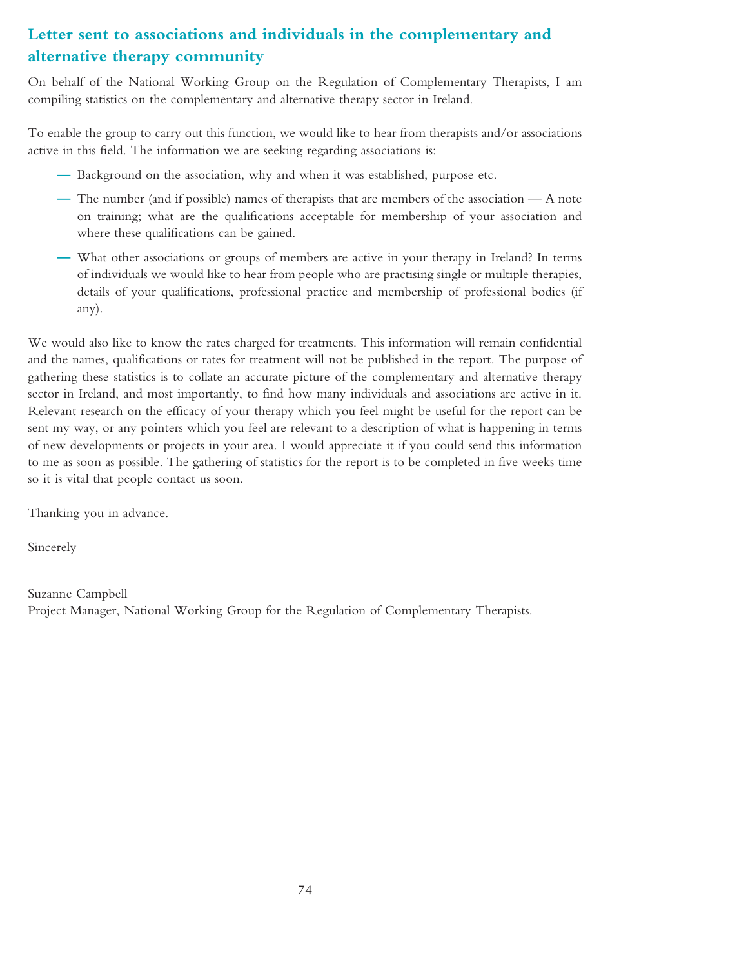# **Letter sent to associations and individuals in the complementary and alternative therapy community**

On behalf of the National Working Group on the Regulation of Complementary Therapists, I am compiling statistics on the complementary and alternative therapy sector in Ireland.

To enable the group to carry out this function, we would like to hear from therapists and/or associations active in this field. The information we are seeking regarding associations is:

- **—** Background on the association, why and when it was established, purpose etc.
- **—** The number (and if possible) names of therapists that are members of the association A note on training; what are the qualifications acceptable for membership of your association and where these qualifications can be gained.
- **—** What other associations or groups of members are active in your therapy in Ireland? In terms of individuals we would like to hear from people who are practising single or multiple therapies, details of your qualifications, professional practice and membership of professional bodies (if any).

We would also like to know the rates charged for treatments. This information will remain confidential and the names, qualifications or rates for treatment will not be published in the report. The purpose of gathering these statistics is to collate an accurate picture of the complementary and alternative therapy sector in Ireland, and most importantly, to find how many individuals and associations are active in it. Relevant research on the efficacy of your therapy which you feel might be useful for the report can be sent my way, or any pointers which you feel are relevant to a description of what is happening in terms of new developments or projects in your area. I would appreciate it if you could send this information to me as soon as possible. The gathering of statistics for the report is to be completed in five weeks time so it is vital that people contact us soon.

Thanking you in advance.

Sincerely

Suzanne Campbell Project Manager, National Working Group for the Regulation of Complementary Therapists.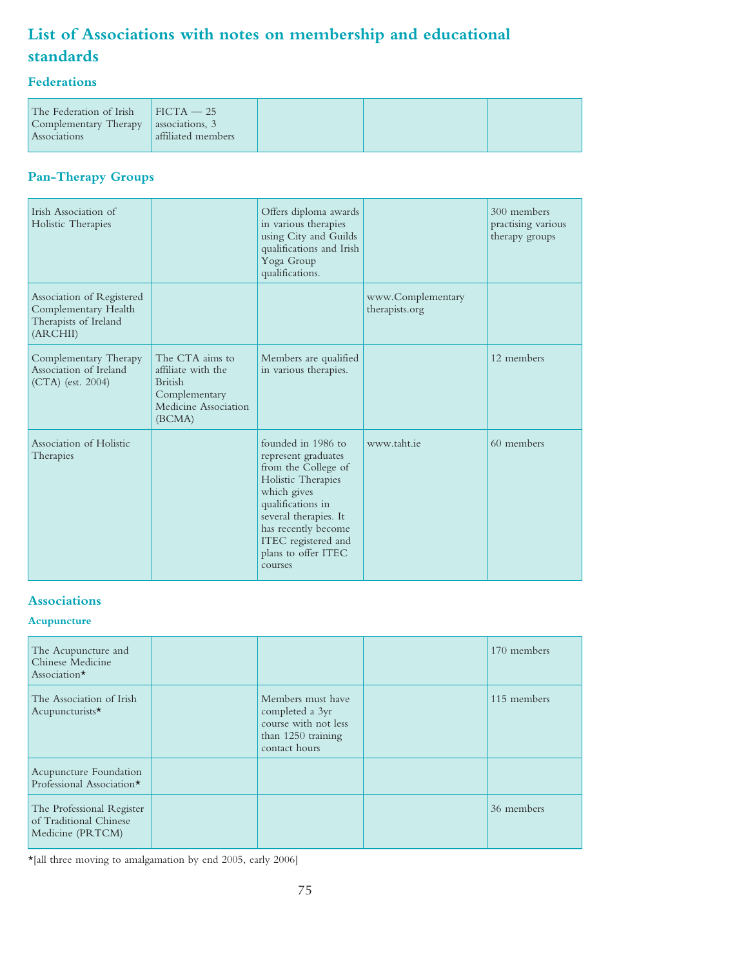# **List of Associations with notes on membership and educational standards**

# **Federations**

| The Federation of Irish | $FICTA - 25$       |  |  |
|-------------------------|--------------------|--|--|
| Complementary Therapy   | associations, 3    |  |  |
| <b>Associations</b>     | affiliated members |  |  |
|                         |                    |  |  |

# **Pan-Therapy Groups**

| Irish Association of<br>Holistic Therapies                                             |                                                                                                            | Offers diploma awards<br>in various therapies<br>using City and Guilds<br>qualifications and Irish<br>Yoga Group<br>qualifications.                                                                                                 |                                     | 300 members<br>practising various<br>therapy groups |
|----------------------------------------------------------------------------------------|------------------------------------------------------------------------------------------------------------|-------------------------------------------------------------------------------------------------------------------------------------------------------------------------------------------------------------------------------------|-------------------------------------|-----------------------------------------------------|
| Association of Registered<br>Complementary Health<br>Therapists of Ireland<br>(ARCHII) |                                                                                                            |                                                                                                                                                                                                                                     | www.Complementary<br>therapists.org |                                                     |
| Complementary Therapy<br>Association of Ireland<br>$(CTA)$ (est. 2004)                 | The CTA aims to<br>affiliate with the<br><b>British</b><br>Complementary<br>Medicine Association<br>(BCMA) | Members are qualified<br>in various therapies.                                                                                                                                                                                      |                                     | 12 members                                          |
| Association of Holistic<br>Therapies                                                   |                                                                                                            | founded in 1986 to<br>represent graduates<br>from the College of<br>Holistic Therapies<br>which gives<br>qualifications in<br>several therapies. It<br>has recently become<br>ITEC registered and<br>plans to offer ITEC<br>courses | www.taht.ie                         | 60 members                                          |

# **Associations**

#### **Acupuncture**

| The Acupuncture and<br>Chinese Medicine<br>Association*                 |                                                                                                     | 170 members |
|-------------------------------------------------------------------------|-----------------------------------------------------------------------------------------------------|-------------|
| The Association of Irish<br>Acupuncturists*                             | Members must have<br>completed a 3yr<br>course with not less<br>than 1250 training<br>contact hours | 115 members |
| Acupuncture Foundation<br>Professional Association*                     |                                                                                                     |             |
| The Professional Register<br>of Traditional Chinese<br>Medicine (PRTCM) |                                                                                                     | 36 members  |

 $\star$  [all three moving to amalgamation by end 2005, early 2006]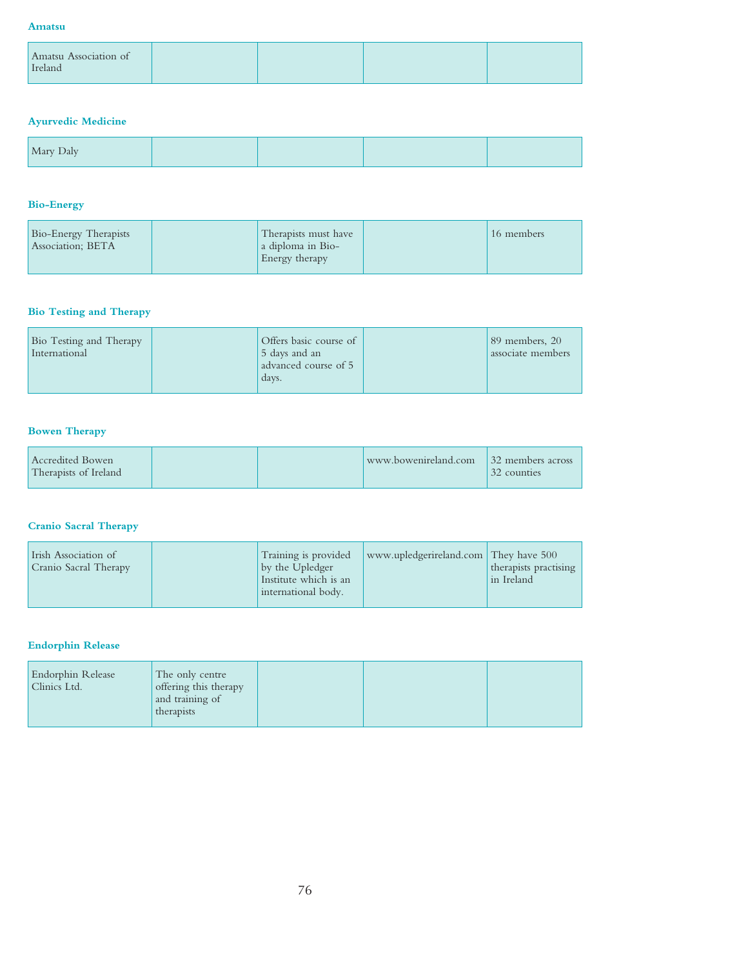#### **Amatsu**

| <i>I</i> reland | Amatsu Association of |  |  |
|-----------------|-----------------------|--|--|
|                 |                       |  |  |

# **Ayurvedic Medicine**

### **Bio-Energy**

| Bio-Energy Therapists<br>Association; BETA | Therapists must have<br>a diploma in Bio-<br>Energy therapy | 16 members |
|--------------------------------------------|-------------------------------------------------------------|------------|
|                                            |                                                             |            |

# **Bio Testing and Therapy**

# **Bowen Therapy**

| Accredited Bowen<br>Therapists of Ireland |  |  | www.bowenireland.com 32 members across | 32 counties |
|-------------------------------------------|--|--|----------------------------------------|-------------|
|-------------------------------------------|--|--|----------------------------------------|-------------|

# **Cranio Sacral Therapy**

| Irish Association of<br>Cranio Sacral Therapy | Training is provided<br>by the Upledger<br>Institute which is an<br>international body. | www.upledgerireland.com They have 500 | therapists practising<br>in Ireland |
|-----------------------------------------------|-----------------------------------------------------------------------------------------|---------------------------------------|-------------------------------------|
|-----------------------------------------------|-----------------------------------------------------------------------------------------|---------------------------------------|-------------------------------------|

## **Endorphin Release**

| Endorphin Release | The only centre       |  |  |
|-------------------|-----------------------|--|--|
| Clinics Ltd.      | offering this therapy |  |  |
|                   | and training of       |  |  |
|                   | therapists            |  |  |
|                   |                       |  |  |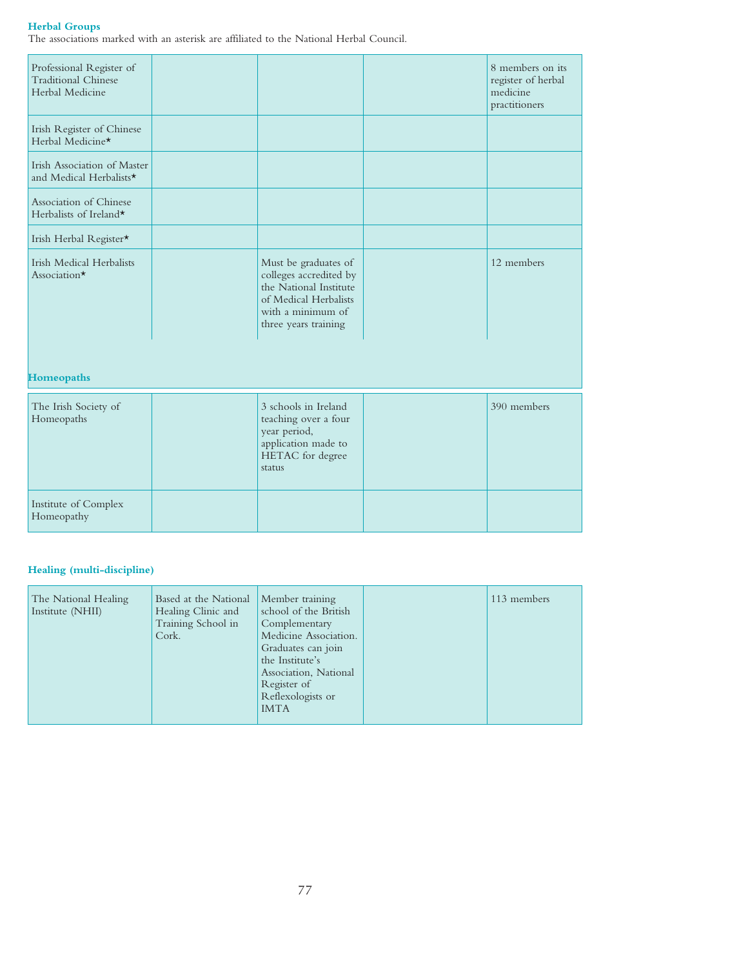#### **Herbal Groups**

The associations marked with an asterisk are affiliated to the National Herbal Council.

| Professional Register of<br><b>Traditional Chinese</b><br>Herbal Medicine |                                                                                                                                                | 8 members on its<br>register of herbal<br>medicine<br>practitioners |
|---------------------------------------------------------------------------|------------------------------------------------------------------------------------------------------------------------------------------------|---------------------------------------------------------------------|
| Irish Register of Chinese<br>Herbal Medicine*                             |                                                                                                                                                |                                                                     |
| Irish Association of Master<br>and Medical Herbalists*                    |                                                                                                                                                |                                                                     |
| Association of Chinese<br>Herbalists of Ireland*                          |                                                                                                                                                |                                                                     |
| Irish Herbal Register*                                                    |                                                                                                                                                |                                                                     |
| <b>Irish Medical Herbalists</b><br>Association $\star$                    | Must be graduates of<br>colleges accredited by<br>the National Institute<br>of Medical Herbalists<br>with a minimum of<br>three years training | 12 members                                                          |
| <b>Homeopaths</b>                                                         |                                                                                                                                                |                                                                     |
| The Irish Society of<br>Homeopaths                                        | 3 schools in Ireland<br>teaching over a four<br>year period,<br>application made to<br>HETAC for degree<br>status                              | 390 members                                                         |
| Institute of Complex<br>Homeopathy                                        |                                                                                                                                                |                                                                     |

# **Healing (multi-discipline)**

| The National Healing<br>Institute (NHII) | Based at the National<br>Healing Clinic and<br>Training School in<br>Cork. | Member training<br>school of the British<br>Complementary<br>Medicine Association.<br>Graduates can join<br>the Institute's<br>Association, National<br>Register of<br>Reflexologists or<br><b>IMTA</b> |  | 113 members |
|------------------------------------------|----------------------------------------------------------------------------|---------------------------------------------------------------------------------------------------------------------------------------------------------------------------------------------------------|--|-------------|
|------------------------------------------|----------------------------------------------------------------------------|---------------------------------------------------------------------------------------------------------------------------------------------------------------------------------------------------------|--|-------------|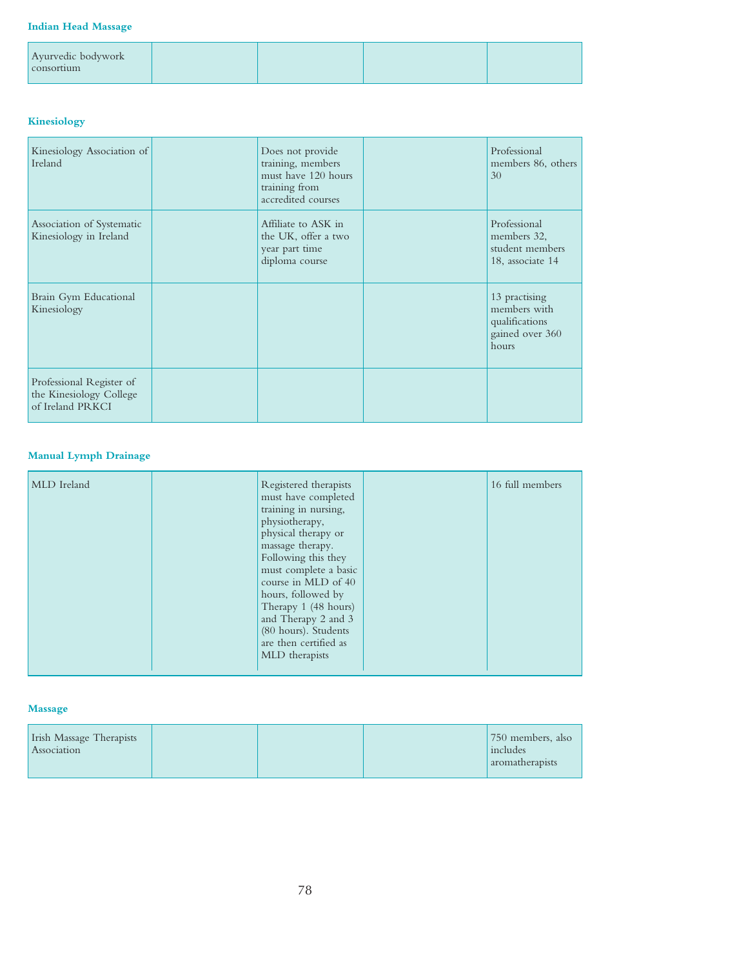#### **Indian Head Massage**

| Ayurvedic bodywork<br>consortium |  |  |
|----------------------------------|--|--|
|                                  |  |  |

# **Kinesiology**

| Kinesiology Association of<br>Ireland                                   | Does not provide<br>training, members<br>must have 120 hours<br>training from<br>accredited courses | Professional<br>members 86, others<br>30                                    |
|-------------------------------------------------------------------------|-----------------------------------------------------------------------------------------------------|-----------------------------------------------------------------------------|
| Association of Systematic<br>Kinesiology in Ireland                     | Affiliate to ASK in<br>the UK, offer a two<br>year part time<br>diploma course                      | Professional<br>members 32,<br>student members<br>18, associate 14          |
| Brain Gym Educational<br>Kinesiology                                    |                                                                                                     | 13 practising<br>members with<br>qualifications<br>gained over 360<br>hours |
| Professional Register of<br>the Kinesiology College<br>of Ireland PRKCI |                                                                                                     |                                                                             |

### **Manual Lymph Drainage**

| must have completed<br>training in nursing,<br>physiotherapy,<br>physical therapy or<br>massage therapy.<br>Following this they<br>must complete a basic<br>course in MLD of 40<br>hours, followed by<br>Therapy 1 (48 hours)<br>and Therapy 2 and 3<br>(80 hours). Students<br>are then certified as<br>MLD therapists |
|-------------------------------------------------------------------------------------------------------------------------------------------------------------------------------------------------------------------------------------------------------------------------------------------------------------------------|
|-------------------------------------------------------------------------------------------------------------------------------------------------------------------------------------------------------------------------------------------------------------------------------------------------------------------------|

### **Massage**

| Irish Massage Therapists<br>Association | 750 members, also<br>includes<br>aromatherapists |
|-----------------------------------------|--------------------------------------------------|
|-----------------------------------------|--------------------------------------------------|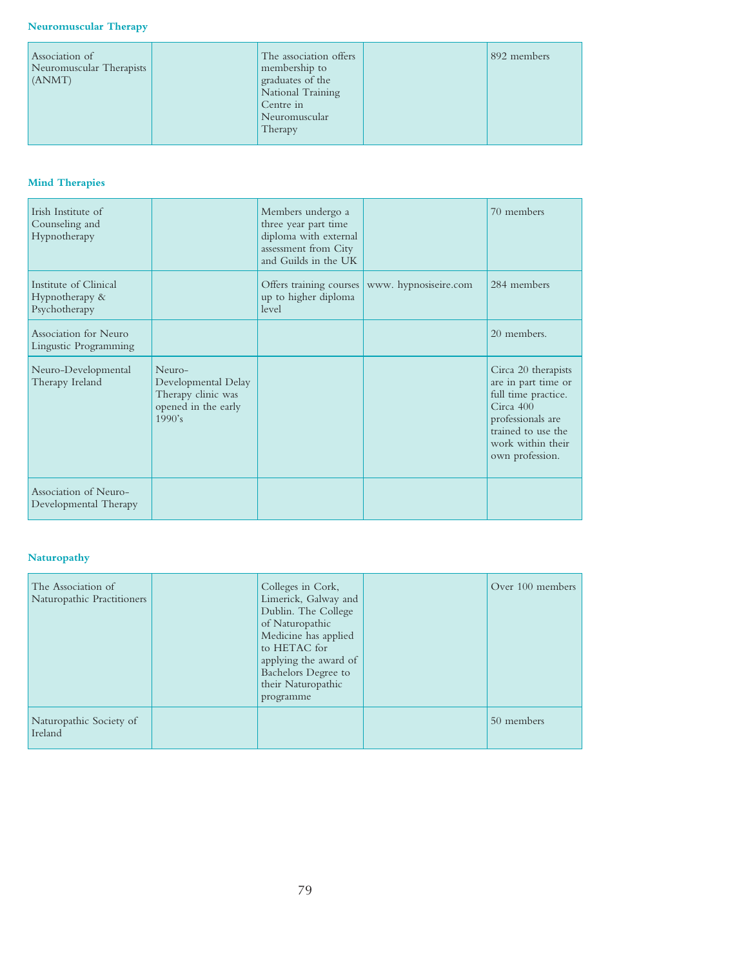| Association of<br>Neuromuscular Therapists<br>(ANMT) | The association offers<br>membership to<br>graduates of the<br>National Training<br>Centre in<br>Neuromuscular<br>Therapy | 892 members |
|------------------------------------------------------|---------------------------------------------------------------------------------------------------------------------------|-------------|
|------------------------------------------------------|---------------------------------------------------------------------------------------------------------------------------|-------------|

# **Mind Therapies**

| Irish Institute of<br>Counseling and<br>Hypnotherapy     |                                                                                      | Members undergo a<br>three year part time<br>diploma with external<br>assessment from City<br>and Guilds in the UK |                       | 70 members                                                                                                                                                        |
|----------------------------------------------------------|--------------------------------------------------------------------------------------|--------------------------------------------------------------------------------------------------------------------|-----------------------|-------------------------------------------------------------------------------------------------------------------------------------------------------------------|
| Institute of Clinical<br>Hypnotherapy &<br>Psychotherapy |                                                                                      | Offers training courses<br>up to higher diploma<br>level                                                           | www. hypnosiseire.com | 284 members                                                                                                                                                       |
| Association for Neuro<br>Lingustic Programming           |                                                                                      |                                                                                                                    |                       | 20 members.                                                                                                                                                       |
| Neuro-Developmental<br>Therapy Ireland                   | Neuro-<br>Developmental Delay<br>Therapy clinic was<br>opened in the early<br>1990's |                                                                                                                    |                       | Circa 20 therapists<br>are in part time or<br>full time practice.<br>Circa 400<br>professionals are<br>trained to use the<br>work within their<br>own profession. |
| Association of Neuro-<br>Developmental Therapy           |                                                                                      |                                                                                                                    |                       |                                                                                                                                                                   |

### **Naturopathy**

| The Association of<br>Naturopathic Practitioners | Colleges in Cork,<br>Limerick, Galway and<br>Dublin. The College<br>of Naturopathic<br>Medicine has applied<br>to HETAC for<br>applying the award of<br>Bachelors Degree to<br>their Naturopathic<br>programme | Over 100 members |
|--------------------------------------------------|----------------------------------------------------------------------------------------------------------------------------------------------------------------------------------------------------------------|------------------|
| Naturopathic Society of<br>Ireland               |                                                                                                                                                                                                                | 50 members       |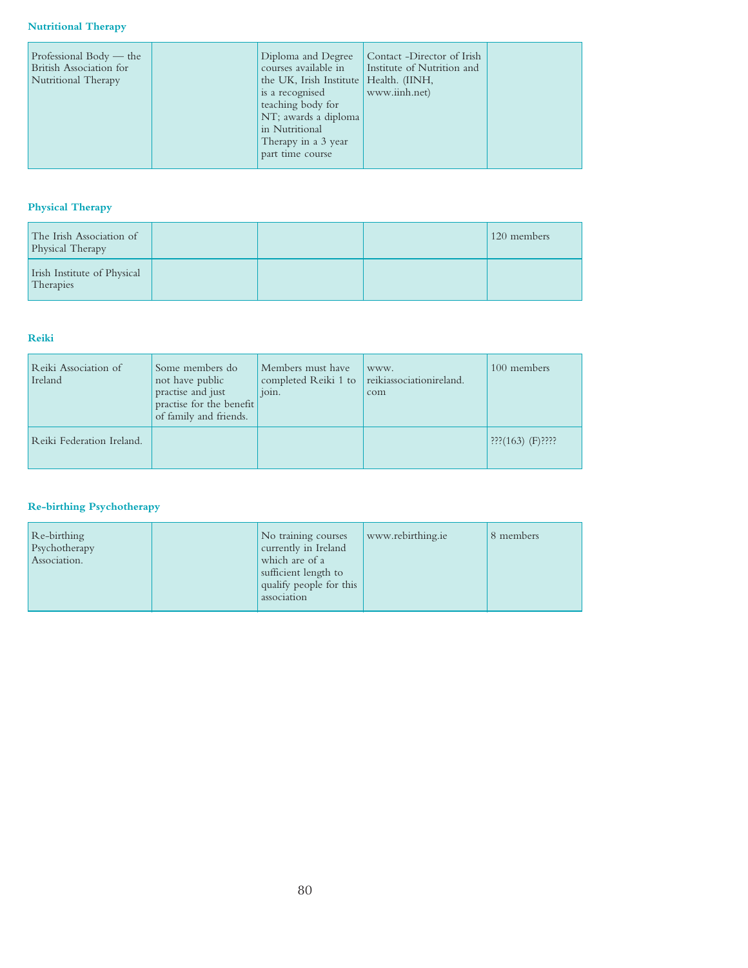#### **Nutritional Therapy**

| Professional Body — the<br>British Association for<br>Nutritional Therapy | Diploma and Degree<br>courses available in<br>the UK, Irish Institute   Health. (IINH,<br>is a recognised<br>teaching body for<br>NT; awards a diploma<br>in Nutritional<br>Therapy in a 3 year<br>part time course | Contact -Director of Irish<br>Institute of Nutrition and<br>www.iinh.net) |  |
|---------------------------------------------------------------------------|---------------------------------------------------------------------------------------------------------------------------------------------------------------------------------------------------------------------|---------------------------------------------------------------------------|--|
|---------------------------------------------------------------------------|---------------------------------------------------------------------------------------------------------------------------------------------------------------------------------------------------------------------|---------------------------------------------------------------------------|--|

### **Physical Therapy**

| The Irish Association of<br>Physical Therapy |  | 120 members |
|----------------------------------------------|--|-------------|
| Irish Institute of Physical<br>Therapies     |  |             |

#### **Reiki**

| Reiki Association of<br>Ireland | Some members do<br>not have public<br>practise and just<br>practise for the benefit<br>of family and friends. | Members must have<br>completed Reiki 1 to<br>join. | www.<br>reikiassociationireland.<br>com | 100 members                                   |
|---------------------------------|---------------------------------------------------------------------------------------------------------------|----------------------------------------------------|-----------------------------------------|-----------------------------------------------|
| Reiki Federation Ireland.       |                                                                                                               |                                                    |                                         | $\left  \frac{222}{222}(163) \right $ (F)???? |

# **Re-birthing Psychotherapy**

| Re-birthing<br>Psychotherapy<br>Association. | No training courses<br>currently in Ireland<br>which are of a<br>sufficient length to<br>qualify people for this<br>association | www.rebirthing.ie | 8 members |
|----------------------------------------------|---------------------------------------------------------------------------------------------------------------------------------|-------------------|-----------|
|----------------------------------------------|---------------------------------------------------------------------------------------------------------------------------------|-------------------|-----------|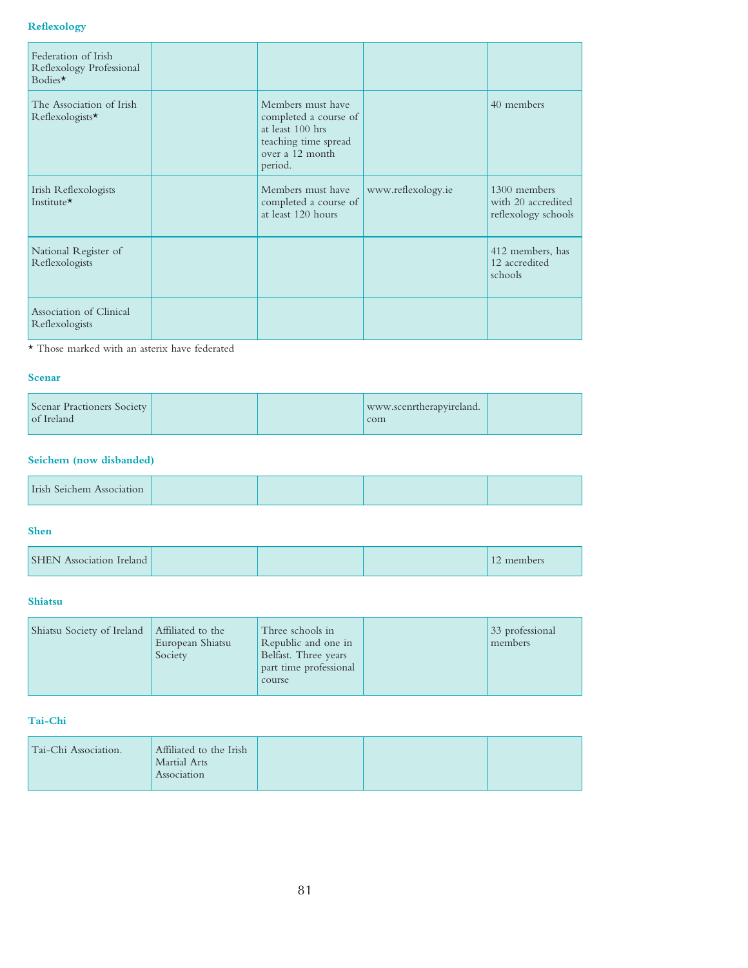#### **Reflexology**

| Federation of Irish<br>Reflexology Professional<br>Bodies $\star$ |                                                                                                                      |                    |                                                           |
|-------------------------------------------------------------------|----------------------------------------------------------------------------------------------------------------------|--------------------|-----------------------------------------------------------|
| The Association of Irish<br>Reflexologists*                       | Members must have<br>completed a course of<br>at least 100 hrs<br>teaching time spread<br>over a 12 month<br>period. |                    | 40 members                                                |
| Irish Reflexologists<br>Institute*                                | Members must have<br>completed a course of<br>at least 120 hours                                                     | www.reflexology.ie | 1300 members<br>with 20 accredited<br>reflexology schools |
| National Register of<br>Reflexologists                            |                                                                                                                      |                    | 412 members, has<br>12 accredited<br>schools              |
| Association of Clinical<br>Reflexologists                         |                                                                                                                      |                    |                                                           |

 $\star$  Those marked with an asterix have federated

#### **Scenar**

| Scenar Practioners Society<br>of Ireland |  | www.scenrtherapyireland.<br>com |  |
|------------------------------------------|--|---------------------------------|--|
|------------------------------------------|--|---------------------------------|--|

# **Seichem (now disbanded)**

| Irish Seichem<br>запоп |  |  |  |  |
|------------------------|--|--|--|--|
|------------------------|--|--|--|--|

#### **Shen**

| <b>SHEN</b> Association Ireland |  | 12 members |
|---------------------------------|--|------------|
|                                 |  |            |

#### **Shiatsu**

| Shiatsu Society of Ireland | Affiliated to the<br>European Shiatsu<br>Society | Three schools in<br>Republic and one in<br>Belfast. Three years<br>part time professional<br>course |  | 33 professional<br>members |
|----------------------------|--------------------------------------------------|-----------------------------------------------------------------------------------------------------|--|----------------------------|
|----------------------------|--------------------------------------------------|-----------------------------------------------------------------------------------------------------|--|----------------------------|

## **Tai-Chi**

| Association | Martial Arts | Tai-Chi Association. | Affiliated to the Irish |  |  |
|-------------|--------------|----------------------|-------------------------|--|--|
|-------------|--------------|----------------------|-------------------------|--|--|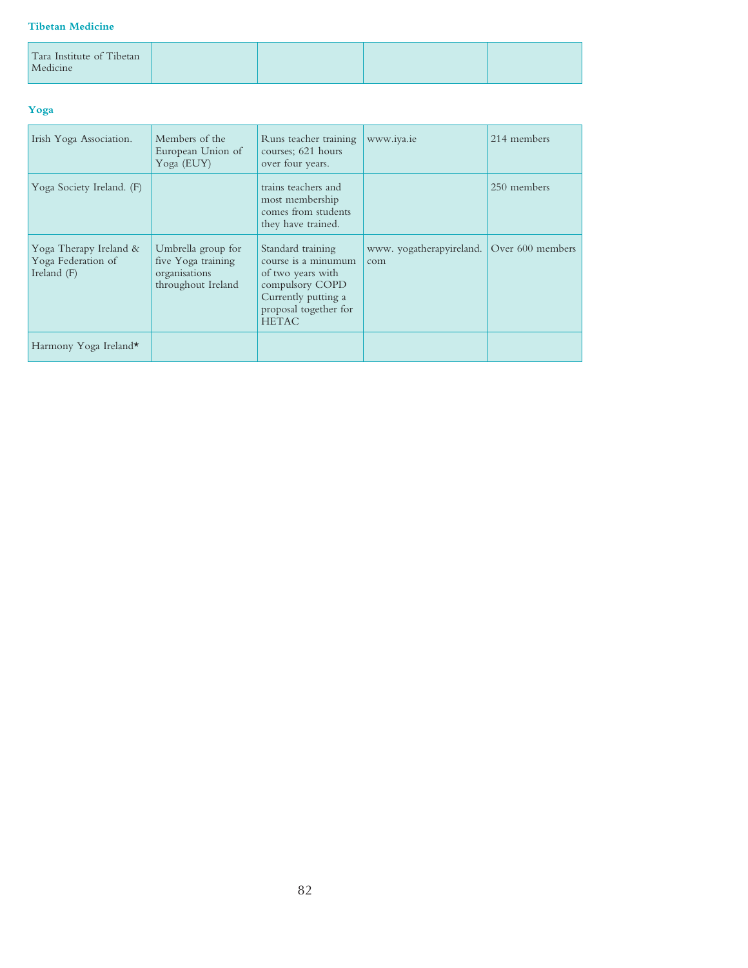#### **Tibetan Medicine**

| Tara Institute of Tibetan<br>Medicine |  |  |
|---------------------------------------|--|--|
|                                       |  |  |

### **Yoga**

| Irish Yoga Association.                                     | Members of the<br>European Union of<br>Yoga (EUY)                               | Runs teacher training<br>courses; 621 hours<br>over four years.                                                                                  | www.iya.ie                      | 214 members      |
|-------------------------------------------------------------|---------------------------------------------------------------------------------|--------------------------------------------------------------------------------------------------------------------------------------------------|---------------------------------|------------------|
| Yoga Society Ireland. (F)                                   |                                                                                 | trains teachers and<br>most membership<br>comes from students<br>they have trained.                                                              |                                 | 250 members      |
| Yoga Therapy Ireland &<br>Yoga Federation of<br>Ireland (F) | Umbrella group for<br>five Yoga training<br>organisations<br>throughout Ireland | Standard training<br>course is a minumum<br>of two years with<br>compulsory COPD<br>Currently putting a<br>proposal together for<br><b>HETAC</b> | www. yogatherapyireland.<br>com | Over 600 members |
| Harmony Yoga Ireland*                                       |                                                                                 |                                                                                                                                                  |                                 |                  |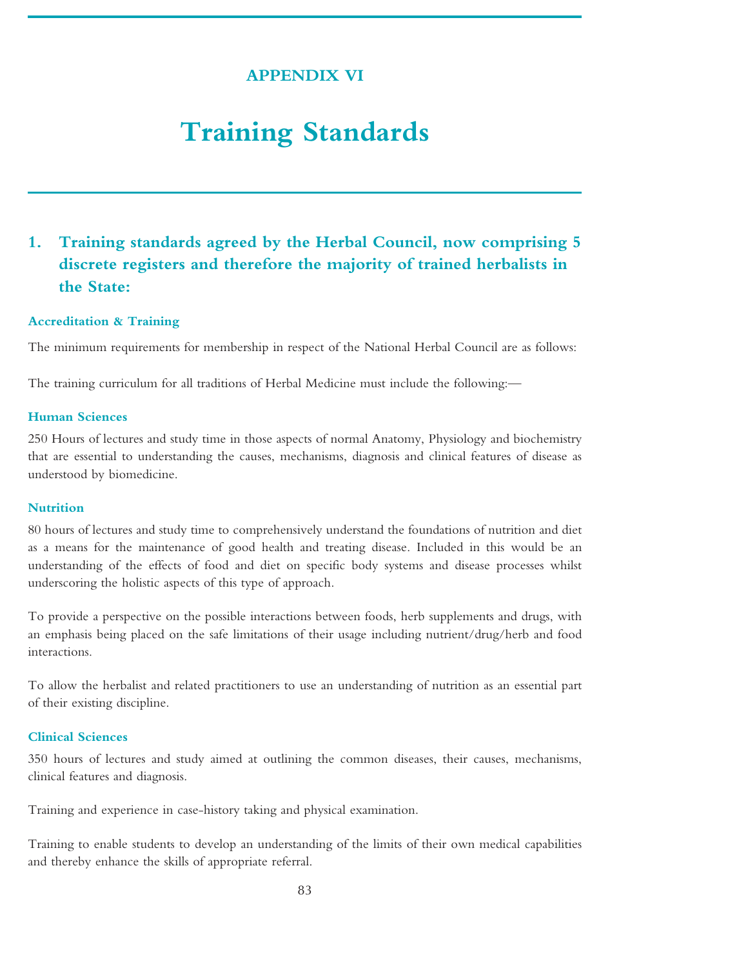# **APPENDIX VI**

# **Training Standards**

# **1. Training standards agreed by the Herbal Council, now comprising 5 discrete registers and therefore the majority of trained herbalists in the State:**

#### **Accreditation & Training**

The minimum requirements for membership in respect of the National Herbal Council are as follows:

The training curriculum for all traditions of Herbal Medicine must include the following:—

#### **Human Sciences**

250 Hours of lectures and study time in those aspects of normal Anatomy, Physiology and biochemistry that are essential to understanding the causes, mechanisms, diagnosis and clinical features of disease as understood by biomedicine.

## **Nutrition**

80 hours of lectures and study time to comprehensively understand the foundations of nutrition and diet as a means for the maintenance of good health and treating disease. Included in this would be an understanding of the effects of food and diet on specific body systems and disease processes whilst underscoring the holistic aspects of this type of approach.

To provide a perspective on the possible interactions between foods, herb supplements and drugs, with an emphasis being placed on the safe limitations of their usage including nutrient/drug/herb and food interactions.

To allow the herbalist and related practitioners to use an understanding of nutrition as an essential part of their existing discipline.

# **Clinical Sciences**

350 hours of lectures and study aimed at outlining the common diseases, their causes, mechanisms, clinical features and diagnosis.

Training and experience in case-history taking and physical examination.

Training to enable students to develop an understanding of the limits of their own medical capabilities and thereby enhance the skills of appropriate referral.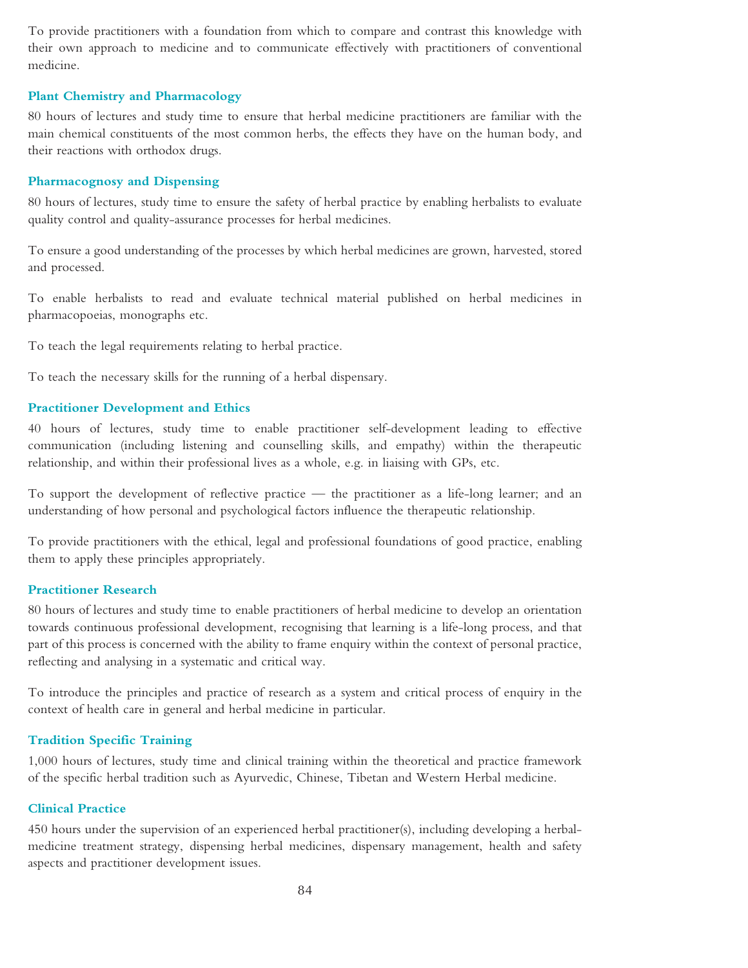To provide practitioners with a foundation from which to compare and contrast this knowledge with their own approach to medicine and to communicate effectively with practitioners of conventional medicine.

#### **Plant Chemistry and Pharmacology**

80 hours of lectures and study time to ensure that herbal medicine practitioners are familiar with the main chemical constituents of the most common herbs, the effects they have on the human body, and their reactions with orthodox drugs.

#### **Pharmacognosy and Dispensing**

80 hours of lectures, study time to ensure the safety of herbal practice by enabling herbalists to evaluate quality control and quality-assurance processes for herbal medicines.

To ensure a good understanding of the processes by which herbal medicines are grown, harvested, stored and processed.

To enable herbalists to read and evaluate technical material published on herbal medicines in pharmacopoeias, monographs etc.

To teach the legal requirements relating to herbal practice.

To teach the necessary skills for the running of a herbal dispensary.

#### **Practitioner Development and Ethics**

40 hours of lectures, study time to enable practitioner self-development leading to effective communication (including listening and counselling skills, and empathy) within the therapeutic relationship, and within their professional lives as a whole, e.g. in liaising with GPs, etc.

To support the development of reflective practice — the practitioner as a life-long learner; and an understanding of how personal and psychological factors influence the therapeutic relationship.

To provide practitioners with the ethical, legal and professional foundations of good practice, enabling them to apply these principles appropriately.

#### **Practitioner Research**

80 hours of lectures and study time to enable practitioners of herbal medicine to develop an orientation towards continuous professional development, recognising that learning is a life-long process, and that part of this process is concerned with the ability to frame enquiry within the context of personal practice, reflecting and analysing in a systematic and critical way.

To introduce the principles and practice of research as a system and critical process of enquiry in the context of health care in general and herbal medicine in particular.

# **Tradition Specific Training**

1,000 hours of lectures, study time and clinical training within the theoretical and practice framework of the specific herbal tradition such as Ayurvedic, Chinese, Tibetan and Western Herbal medicine.

#### **Clinical Practice**

450 hours under the supervision of an experienced herbal practitioner(s), including developing a herbalmedicine treatment strategy, dispensing herbal medicines, dispensary management, health and safety aspects and practitioner development issues.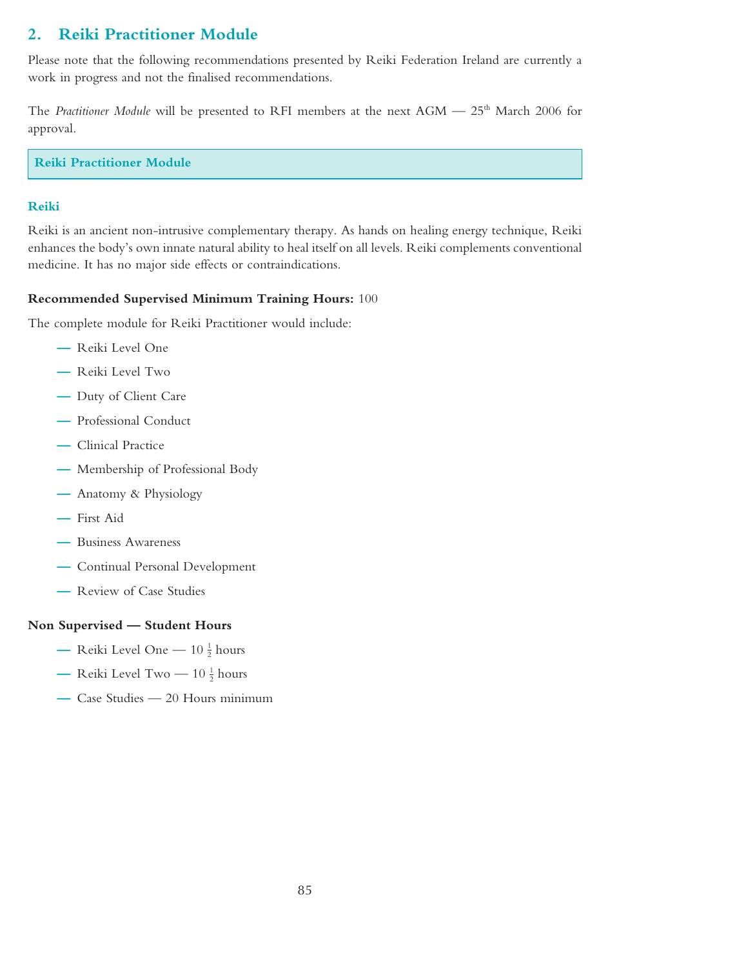# **2. Reiki Practitioner Module**

Please note that the following recommendations presented by Reiki Federation Ireland are currently a work in progress and not the finalised recommendations.

The *Practitioner Module* will be presented to RFI members at the next AGM — 25<sup>th</sup> March 2006 for approval.

**Reiki Practitioner Module**

# **Reiki**

Reiki is an ancient non-intrusive complementary therapy. As hands on healing energy technique, Reiki enhances the body's own innate natural ability to heal itself on all levels. Reiki complements conventional medicine. It has no major side effects or contraindications.

# **Recommended Supervised Minimum Training Hours:** 100

The complete module for Reiki Practitioner would include:

- **—** Reiki Level One
- **—** Reiki Level Two
- **—** Duty of Client Care
- **—** Professional Conduct
- **—** Clinical Practice
- **—** Membership of Professional Body
- **—** Anatomy & Physiology
- **—** First Aid
- **—** Business Awareness
- **—** Continual Personal Development
- **—** Review of Case Studies

#### **Non Supervised — Student Hours**

- Reiki Level One  $10\frac{1}{2}$  hours
- Reiki Level Two  $10\frac{1}{2}$  hours
- **—** Case Studies 20 Hours minimum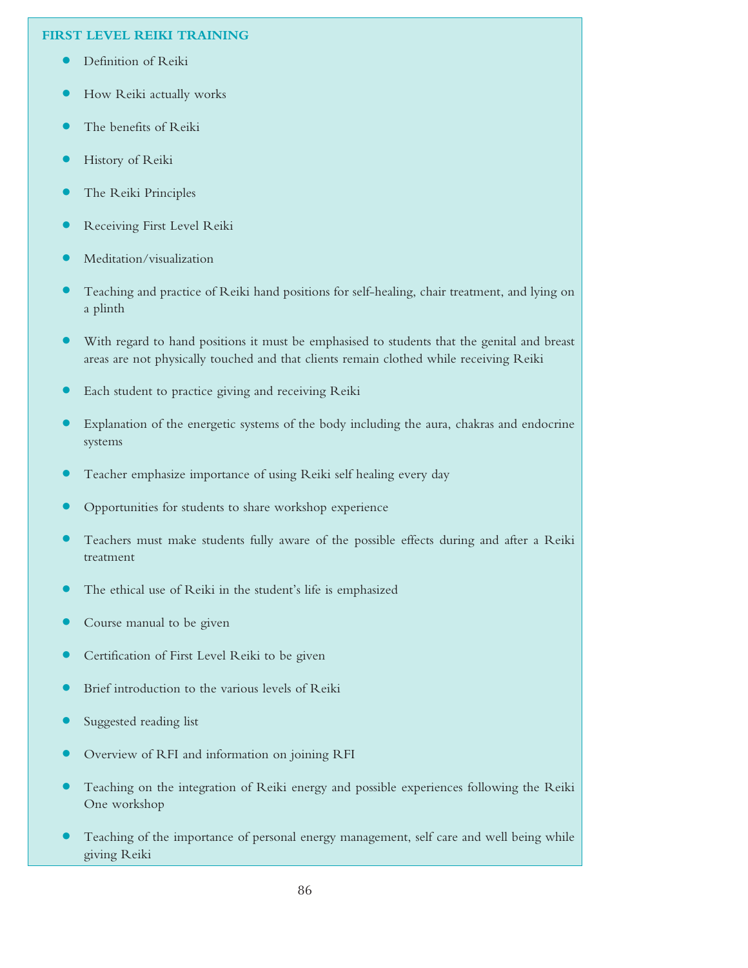### **FIRST LEVEL REIKI TRAINING**

- **•** Definition of Reiki
- **•** How Reiki actually works
- **•** The benefits of Reiki
- **•** History of Reiki
- **•** The Reiki Principles
- **•** Receiving First Level Reiki
- **•** Meditation/visualization
- **•** Teaching and practice of Reiki hand positions for self-healing, chair treatment, and lying on a plinth
- With regard to hand positions it must be emphasised to students that the genital and breast areas are not physically touched and that clients remain clothed while receiving Reiki
- **•** Each student to practice giving and receiving Reiki
- **•** Explanation of the energetic systems of the body including the aura, chakras and endocrine systems
- **•** Teacher emphasize importance of using Reiki self healing every day
- **•** Opportunities for students to share workshop experience
- **•** Teachers must make students fully aware of the possible effects during and after <sup>a</sup> Reiki treatment
- **•** The ethical use of Reiki in the student's life is emphasized
- **•** Course manual to be given
- **•** Certification of First Level Reiki to be given
- **•** Brief introduction to the various levels of Reiki
- **•** Suggested reading list
- **•** Overview of RFI and information on joining RFI
- **•** Teaching on the integration of Reiki energy and possible experiences following the Reiki One workshop
- **•** Teaching of the importance of personal energy management, self care and well being while giving Reiki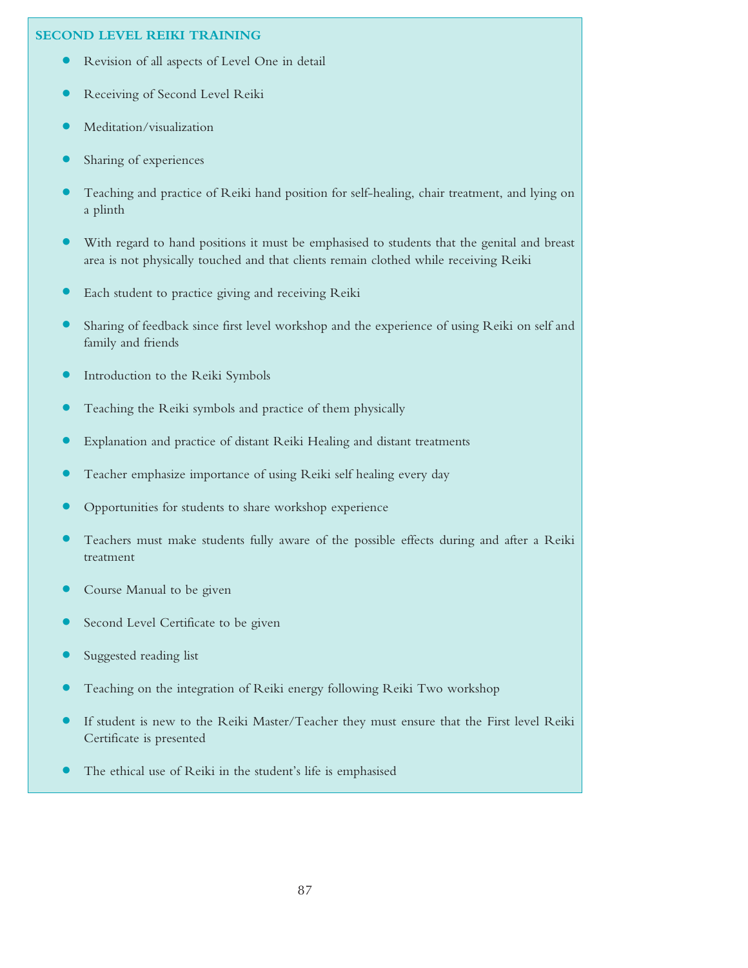# **SECOND LEVEL REIKI TRAINING**

- **•** Revision of all aspects of Level One in detail
- **•** Receiving of Second Level Reiki
- **•** Meditation/visualization
- **•** Sharing of experiences
- **•** Teaching and practice of Reiki hand position for self-healing, chair treatment, and lying on a plinth
- With regard to hand positions it must be emphasised to students that the genital and breast area is not physically touched and that clients remain clothed while receiving Reiki
- **•** Each student to practice giving and receiving Reiki
- **•** Sharing of feedback since first level workshop and the experience of using Reiki on self and family and friends
- **•** Introduction to the Reiki Symbols
- **•** Teaching the Reiki symbols and practice of them physically
- **•** Explanation and practice of distant Reiki Healing and distant treatments
- **•** Teacher emphasize importance of using Reiki self healing every day
- **•** Opportunities for students to share workshop experience
- **•** Teachers must make students fully aware of the possible effects during and after <sup>a</sup> Reiki treatment
- **•** Course Manual to be given
- **•** Second Level Certificate to be given
- **•** Suggested reading list
- **•** Teaching on the integration of Reiki energy following Reiki Two workshop
- **•** If student is new to the Reiki Master/Teacher they must ensure that the First level Reiki Certificate is presented
- **•** The ethical use of Reiki in the student's life is emphasised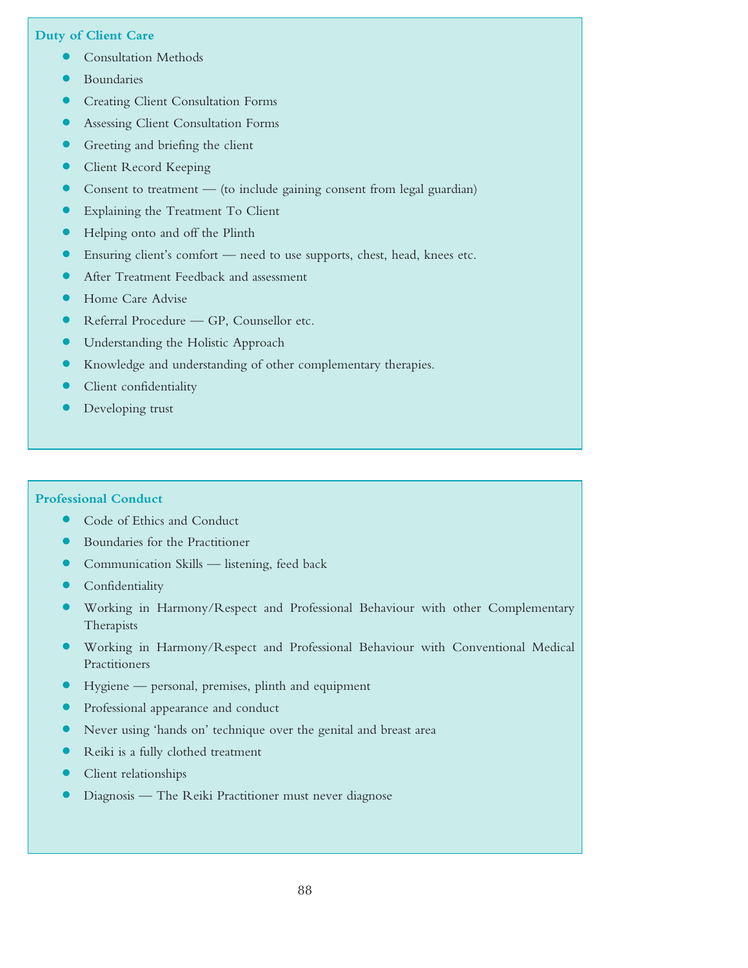### **Duty of Client Care**

- **•** Consultation Methods
- **•** Boundaries
- **•** Creating Client Consultation Forms
- **•** Assessing Client Consultation Forms
- **•** Greeting and briefing the client
- **•** Client Record Keeping
- **•** Consent to treatment (to include gaining consent from legal guardian)
- **•** Explaining the Treatment To Client
- **•** Helping onto and off the Plinth
- Ensuring client's comfort need to use supports, chest, head, knees etc.
- **•** After Treatment Feedback and assessment
- **•** Home Care Advise
- **•** Referral Procedure GP, Counsellor etc.
- **•** Understanding the Holistic Approach
- **•** Knowledge and understanding of other complementary therapies.
- **•** Client confidentiality
- **•** Developing trust

#### **Professional Conduct**

- **•** Code of Ethics and Conduct
- **•** Boundaries for the Practitioner
- **•** Communication Skills listening, feed back
- **•** Confidentiality
- **•** Working in Harmony/Respect and Professional Behaviour with other Complementary Therapists
- **•** Working in Harmony/Respect and Professional Behaviour with Conventional Medical Practitioners
- **•** Hygiene personal, premises, plinth and equipment
- **•** Professional appearance and conduct
- Never using 'hands on' technique over the genital and breast area
- **•** Reiki is <sup>a</sup> fully clothed treatment
- **•** Client relationships
- **•** Diagnosis The Reiki Practitioner must never diagnose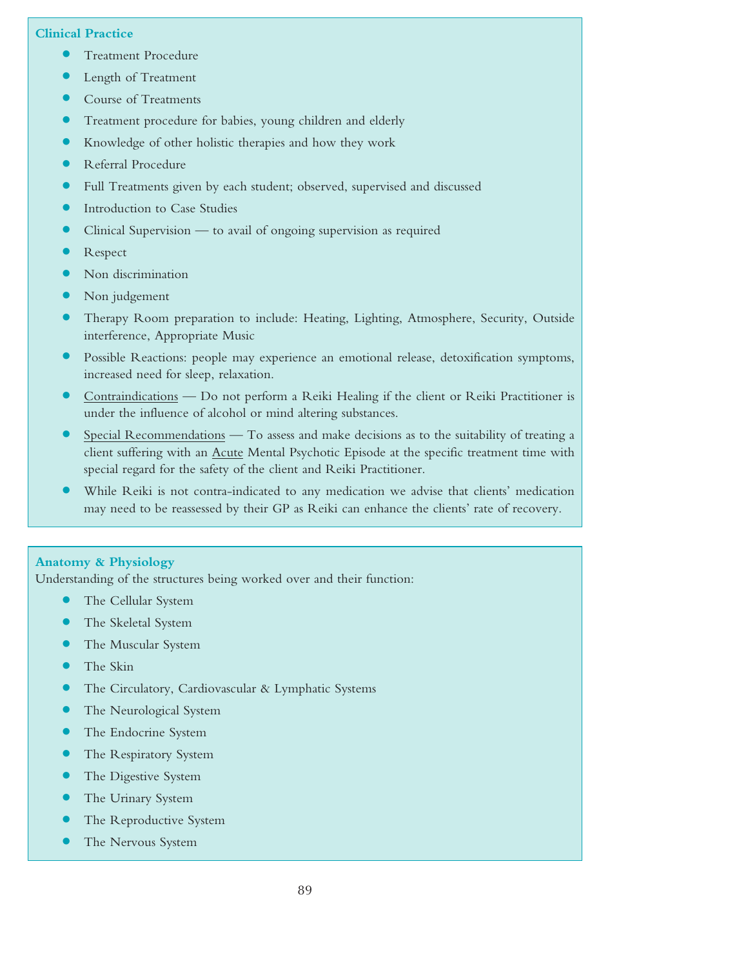## **Clinical Practice**

- **•** Treatment Procedure
- **•** Length of Treatment
- **•** Course of Treatments
- **•** Treatment procedure for babies, young children and elderly
- **•** Knowledge of other holistic therapies and how they work
- **•** Referral Procedure
- **•** Full Treatments given by each student; observed, supervised and discussed
- **•** Introduction to Case Studies
- **•** Clinical Supervision to avail of ongoing supervision as required
- **•** Respect
- **•** Non discrimination
- **•** Non judgement
- **•** Therapy Room preparation to include: Heating, Lighting, Atmosphere, Security, Outside interference, Appropriate Music
- **•** Possible Reactions: people may experience an emotional release, detoxification symptoms, increased need for sleep, relaxation.
- **•** Contraindications Do not perform <sup>a</sup> Reiki Healing if the client or Reiki Practitioner is under the influence of alcohol or mind altering substances.
- **•** Special Recommendations To assess and make decisions as to the suitability of treating <sup>a</sup> client suffering with an Acute Mental Psychotic Episode at the specific treatment time with special regard for the safety of the client and Reiki Practitioner.
- **•** While Reiki is not contra-indicated to any medication we advise that clients' medication may need to be reassessed by their GP as Reiki can enhance the clients' rate of recovery.

# **Anatomy & Physiology**

Understanding of the structures being worked over and their function:

- **•** The Cellular System
- **•** The Skeletal System
- **•** The Muscular System
- **•** The Skin
- **•** The Circulatory, Cardiovascular & Lymphatic Systems
- **•** The Neurological System
- **•** The Endocrine System
- **•** The Respiratory System
- **•** The Digestive System
- **•** The Urinary System
- **•** The Reproductive System
- **•** The Nervous System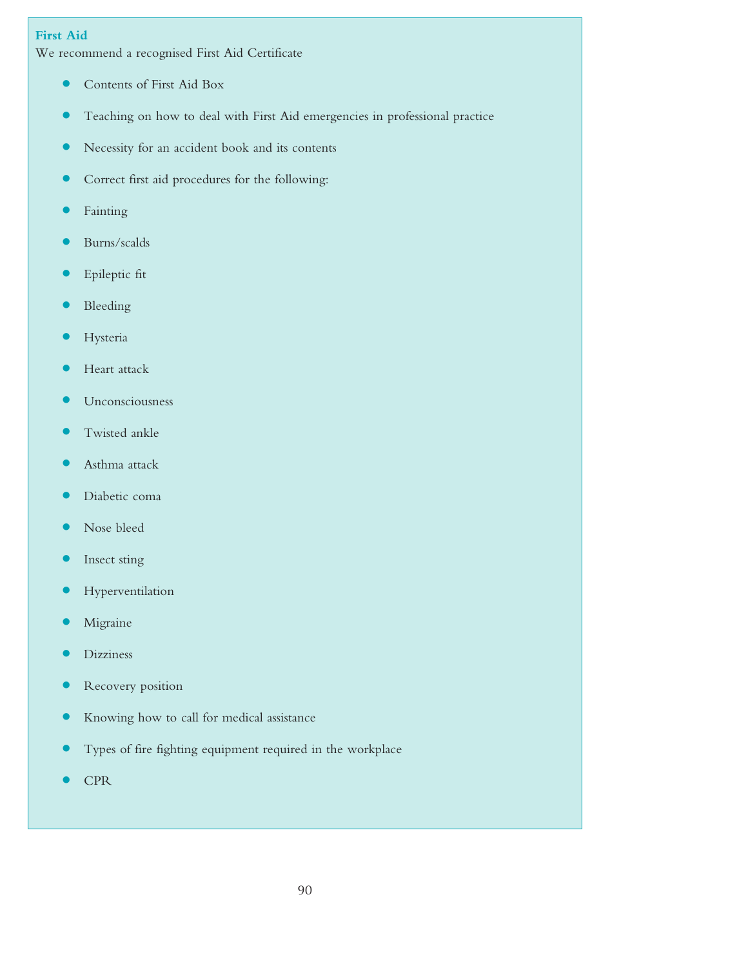# **First Aid**

We recommend a recognised First Aid Certificate

- **•** Contents of First Aid Box
- **•** Teaching on how to deal with First Aid emergencies in professional practice
- **•** Necessity for an accident book and its contents
- **•** Correct first aid procedures for the following:
- **•** Fainting
- **•** Burns/scalds
- **•** Epileptic fit
- **•** Bleeding
- **•** Hysteria
- **•** Heart attack
- **•** Unconsciousness
- **•** Twisted ankle
- **•** Asthma attack
- **•** Diabetic coma
- **•** Nose bleed
- **•** Insect sting
- **•** Hyperventilation
- **•** Migraine
- **•** Dizziness
- **•** Recovery position
- **•** Knowing how to call for medical assistance
- **•** Types of fire fighting equipment required in the workplace
- **•** CPR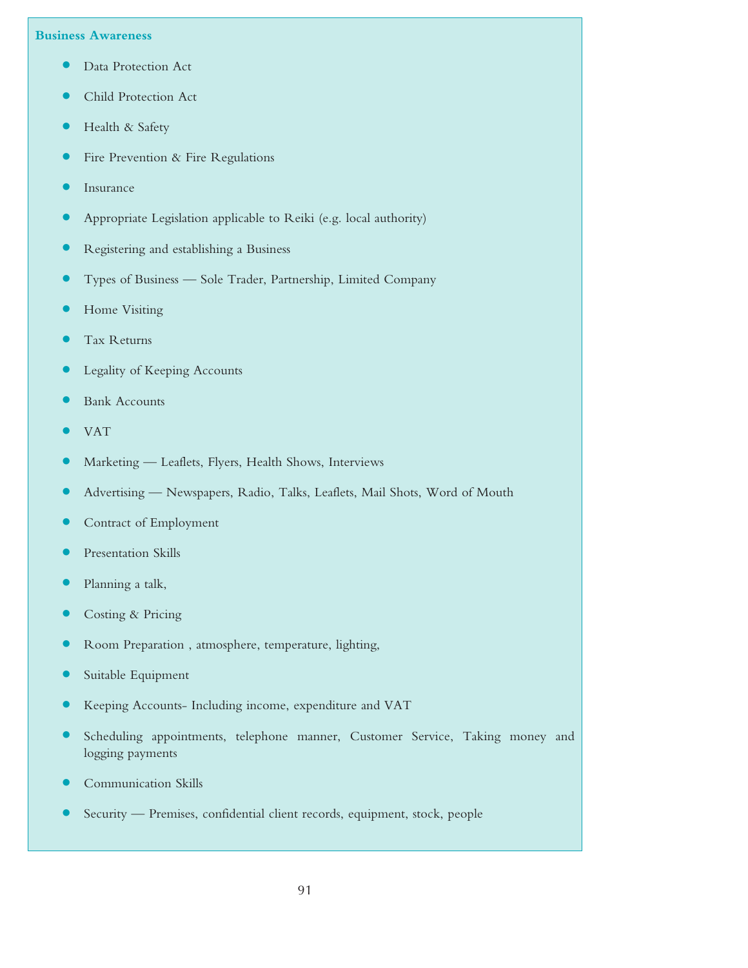#### **Business Awareness**

- **•** Data Protection Act
- **•** Child Protection Act
- **•** Health & Safety
- **•** Fire Prevention & Fire Regulations
- **•** Insurance
- **•** Appropriate Legislation applicable to Reiki (e.g. local authority)
- **•** Registering and establishing <sup>a</sup> Business
- **•** Types of Business Sole Trader, Partnership, Limited Company
- **•** Home Visiting
- **•** Tax Returns
- **•** Legality of Keeping Accounts
- **•** Bank Accounts
- **•** VAT
- **•** Marketing Leaflets, Flyers, Health Shows, Interviews
- **•** Advertising Newspapers, Radio, Talks, Leaflets, Mail Shots, Word of Mouth
- **•** Contract of Employment
- **•** Presentation Skills
- **•** Planning <sup>a</sup> talk,
- **•** Costing & Pricing
- **•** Room Preparation , atmosphere, temperature, lighting,
- **•** Suitable Equipment
- **•** Keeping Accounts- Including income, expenditure and VAT
- **•** Scheduling appointments, telephone manner, Customer Service, Taking money and logging payments
- **•** Communication Skills
- **•** Security Premises, confidential client records, equipment, stock, people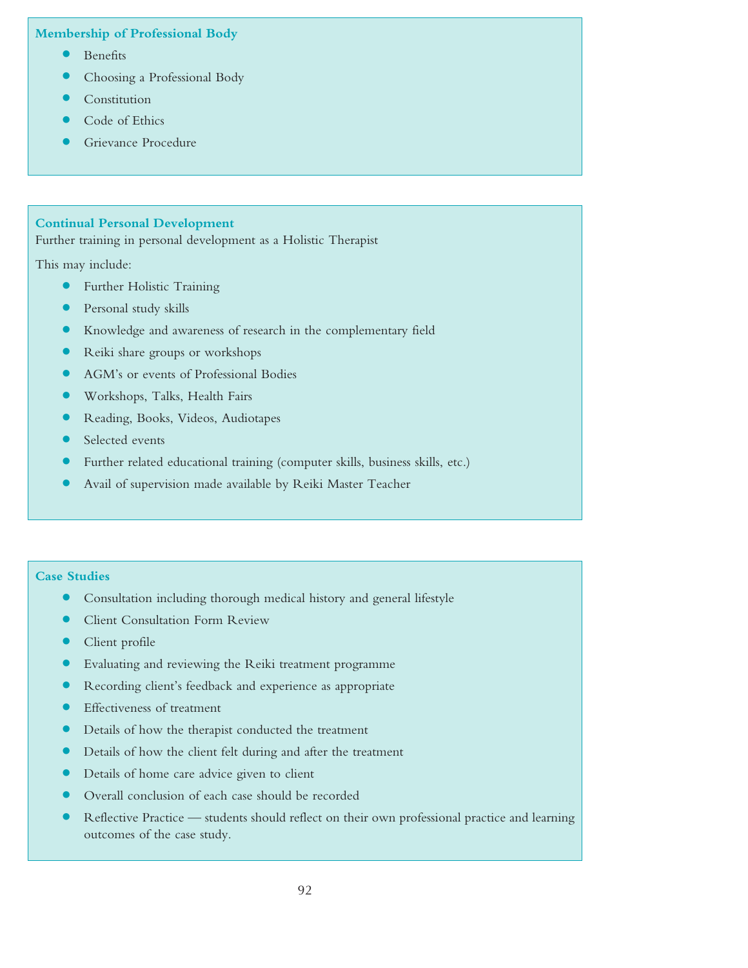**Membership of Professional Body**

- **•** Benefits
- **•** Choosing <sup>a</sup> Professional Body
- **•** Constitution
- **•** Code of Ethics
- **•** Grievance Procedure

# **Continual Personal Development**

Further training in personal development as a Holistic Therapist

This may include:

- **•** Further Holistic Training
- **•** Personal study skills
- **•** Knowledge and awareness of research in the complementary field
- **•** Reiki share groups or workshops
- **•** AGM's or events of Professional Bodies
- **•** Workshops, Talks, Health Fairs
- **•** Reading, Books, Videos, Audiotapes
- **•** Selected events
- **•** Further related educational training (computer skills, business skills, etc.)
- **•** Avail of supervision made available by Reiki Master Teacher

#### **Case Studies**

- **•** Consultation including thorough medical history and general lifestyle
- **•** Client Consultation Form Review
- **•** Client profile
- **•** Evaluating and reviewing the Reiki treatment programme
- **•** Recording client's feedback and experience as appropriate
- **•** Effectiveness of treatment
- **•** Details of how the therapist conducted the treatment
- **•** Details of how the client felt during and after the treatment
- **•** Details of home care advice given to client
- **•** Overall conclusion of each case should be recorded
- **•** Reflective Practice students should reflect on their own professional practice and learning outcomes of the case study.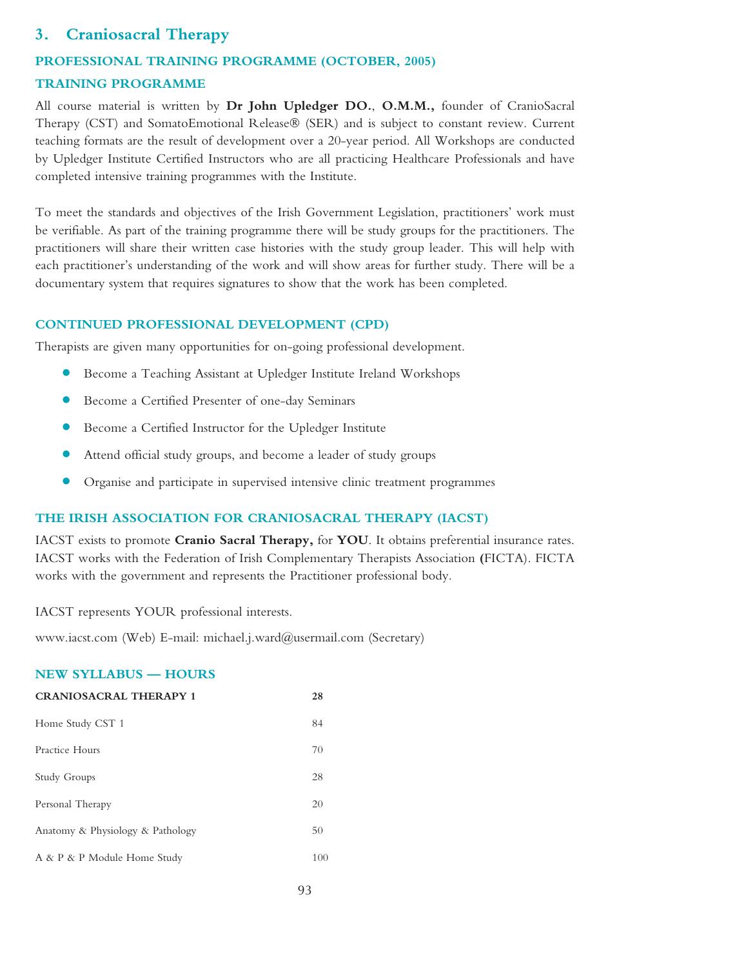# **3. Craniosacral Therapy**

# **PROFESSIONAL TRAINING PROGRAMME (OCTOBER, 2005) TRAINING PROGRAMME**

All course material is written by **Dr John Upledger DO.**, **O.M.M.,** founder of CranioSacral Therapy (CST) and SomatoEmotional Release® (SER) and is subject to constant review. Current teaching formats are the result of development over a 20-year period. All Workshops are conducted by Upledger Institute Certified Instructors who are all practicing Healthcare Professionals and have completed intensive training programmes with the Institute.

To meet the standards and objectives of the Irish Government Legislation, practitioners' work must be verifiable. As part of the training programme there will be study groups for the practitioners. The practitioners will share their written case histories with the study group leader. This will help with each practitioner's understanding of the work and will show areas for further study. There will be a documentary system that requires signatures to show that the work has been completed.

# **CONTINUED PROFESSIONAL DEVELOPMENT (CPD)**

Therapists are given many opportunities for on-going professional development.

- **•** Become <sup>a</sup> Teaching Assistant at Upledger Institute Ireland Workshops
- **•** Become <sup>a</sup> Certified Presenter of one-day Seminars
- **•** Become <sup>a</sup> Certified Instructor for the Upledger Institute
- **•** Attend official study groups, and become <sup>a</sup> leader of study groups
- **•** Organise and participate in supervised intensive clinic treatment programmes

# **THE IRISH ASSOCIATION FOR CRANIOSACRAL THERAPY (IACST)**

IACST exists to promote **Cranio Sacral Therapy,** for **YOU**. It obtains preferential insurance rates. IACST works with the Federation of Irish Complementary Therapists Association **(**FICTA). FICTA works with the government and represents the Practitioner professional body.

IACST represents YOUR professional interests.

www.iacst.com (Web) E-mail: michael.j.ward@usermail.com (Secretary)

# **NEW SYLLABUS — HOURS**

| <b>CRANIOSACRAL THERAPY 1</b>    | 28  |
|----------------------------------|-----|
| Home Study CST 1                 | 84  |
| Practice Hours                   | 70  |
| Study Groups                     | 28  |
| Personal Therapy                 | 20  |
| Anatomy & Physiology & Pathology | 50  |
| A & P & P Module Home Study      | 100 |
|                                  |     |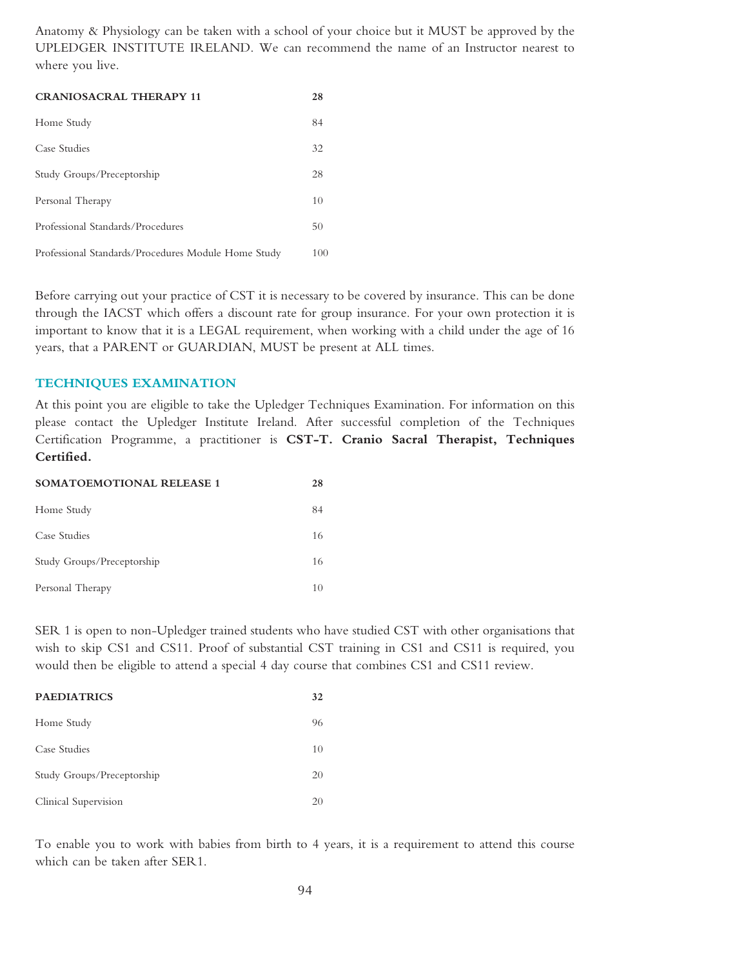Anatomy & Physiology can be taken with a school of your choice but it MUST be approved by the UPLEDGER INSTITUTE IRELAND. We can recommend the name of an Instructor nearest to where you live.

| <b>CRANIOSACRAL THERAPY 11</b>                      | 28  |
|-----------------------------------------------------|-----|
| Home Study                                          | 84  |
| Case Studies                                        | 32  |
| Study Groups/Preceptorship                          | 28  |
| Personal Therapy                                    | 10  |
| Professional Standards/Procedures                   | 50  |
| Professional Standards/Procedures Module Home Study | 100 |

Before carrying out your practice of CST it is necessary to be covered by insurance. This can be done through the IACST which offers a discount rate for group insurance. For your own protection it is important to know that it is a LEGAL requirement, when working with a child under the age of 16 years, that a PARENT or GUARDIAN, MUST be present at ALL times.

### **TECHNIQUES EXAMINATION**

At this point you are eligible to take the Upledger Techniques Examination. For information on this please contact the Upledger Institute Ireland. After successful completion of the Techniques Certification Programme, a practitioner is **CST-T. Cranio Sacral Therapist, Techniques Certified.**

| <b>SOMATOEMOTIONAL RELEASE 1</b> | 28 |
|----------------------------------|----|
| Home Study                       | 84 |
| Case Studies                     | 16 |
| Study Groups/Preceptorship       | 16 |
| Personal Therapy                 | 10 |

SER 1 is open to non-Upledger trained students who have studied CST with other organisations that wish to skip CS1 and CS11. Proof of substantial CST training in CS1 and CS11 is required, you would then be eligible to attend a special 4 day course that combines CS1 and CS11 review.

| <b>PAEDIATRICS</b>         | 32 |
|----------------------------|----|
| Home Study                 | 96 |
| Case Studies               | 10 |
| Study Groups/Preceptorship | 20 |
| Clinical Supervision       | 20 |

To enable you to work with babies from birth to 4 years, it is a requirement to attend this course which can be taken after SER1.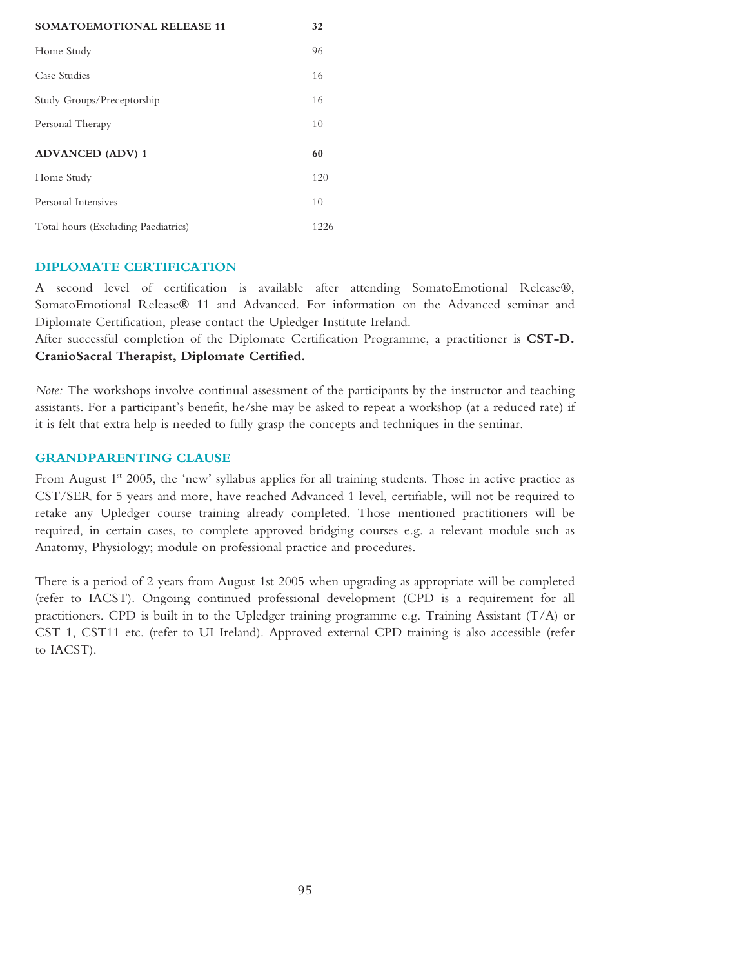| <b>SOMATOEMOTIONAL RELEASE 11</b>   | 32   |
|-------------------------------------|------|
| Home Study                          | 96   |
| Case Studies                        | 16   |
| Study Groups/Preceptorship          | 16   |
| Personal Therapy                    | 10   |
| <b>ADVANCED (ADV) 1</b>             | 60   |
| Home Study                          | 120  |
| Personal Intensives                 | 10   |
| Total hours (Excluding Paediatrics) | 1226 |

### **DIPLOMATE CERTIFICATION**

A second level of certification is available after attending SomatoEmotional Release®, SomatoEmotional Release® 11 and Advanced. For information on the Advanced seminar and Diplomate Certification, please contact the Upledger Institute Ireland.

After successful completion of the Diplomate Certification Programme, a practitioner is **CST-D. CranioSacral Therapist, Diplomate Certified.**

*Note:* The workshops involve continual assessment of the participants by the instructor and teaching assistants. For a participant's benefit, he/she may be asked to repeat a workshop (at a reduced rate) if it is felt that extra help is needed to fully grasp the concepts and techniques in the seminar.

# **GRANDPARENTING CLAUSE**

From August 1<sup>st</sup> 2005, the 'new' syllabus applies for all training students. Those in active practice as CST/SER for 5 years and more, have reached Advanced 1 level, certifiable, will not be required to retake any Upledger course training already completed. Those mentioned practitioners will be required, in certain cases, to complete approved bridging courses e.g. a relevant module such as Anatomy, Physiology; module on professional practice and procedures.

There is a period of 2 years from August 1st 2005 when upgrading as appropriate will be completed (refer to IACST). Ongoing continued professional development (CPD is a requirement for all practitioners. CPD is built in to the Upledger training programme e.g. Training Assistant (T/A) or CST 1, CST11 etc. (refer to UI Ireland). Approved external CPD training is also accessible (refer to IACST).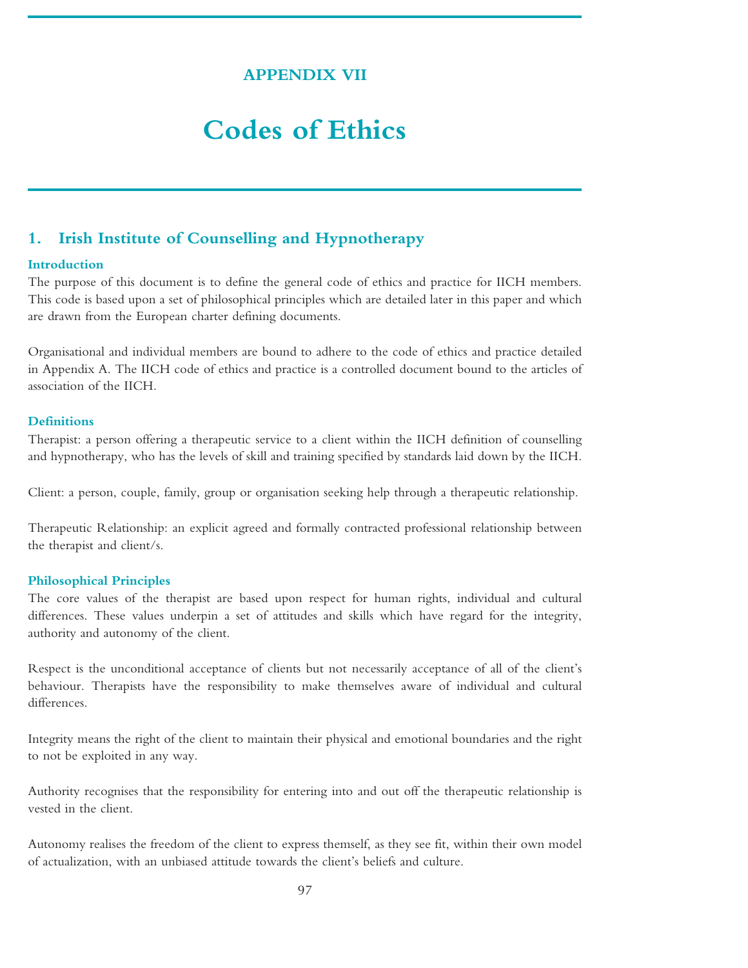# **APPENDIX VII**

# **Codes of Ethics**

# **1. Irish Institute of Counselling and Hypnotherapy**

#### **Introduction**

The purpose of this document is to define the general code of ethics and practice for IICH members. This code is based upon a set of philosophical principles which are detailed later in this paper and which are drawn from the European charter defining documents.

Organisational and individual members are bound to adhere to the code of ethics and practice detailed in Appendix A. The IICH code of ethics and practice is a controlled document bound to the articles of association of the IICH.

#### **Definitions**

Therapist: a person offering a therapeutic service to a client within the IICH definition of counselling and hypnotherapy, who has the levels of skill and training specified by standards laid down by the IICH.

Client: a person, couple, family, group or organisation seeking help through a therapeutic relationship.

Therapeutic Relationship: an explicit agreed and formally contracted professional relationship between the therapist and client/s.

#### **Philosophical Principles**

The core values of the therapist are based upon respect for human rights, individual and cultural differences. These values underpin a set of attitudes and skills which have regard for the integrity, authority and autonomy of the client.

Respect is the unconditional acceptance of clients but not necessarily acceptance of all of the client's behaviour. Therapists have the responsibility to make themselves aware of individual and cultural differences.

Integrity means the right of the client to maintain their physical and emotional boundaries and the right to not be exploited in any way.

Authority recognises that the responsibility for entering into and out off the therapeutic relationship is vested in the client.

Autonomy realises the freedom of the client to express themself, as they see fit, within their own model of actualization, with an unbiased attitude towards the client's beliefs and culture.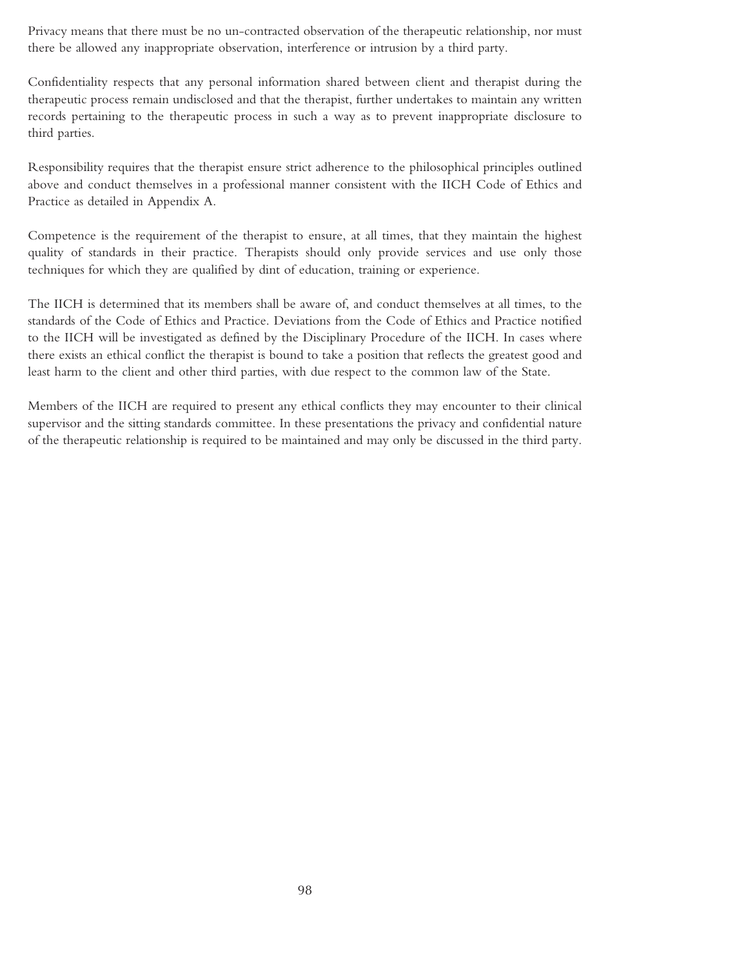Privacy means that there must be no un-contracted observation of the therapeutic relationship, nor must there be allowed any inappropriate observation, interference or intrusion by a third party.

Confidentiality respects that any personal information shared between client and therapist during the therapeutic process remain undisclosed and that the therapist, further undertakes to maintain any written records pertaining to the therapeutic process in such a way as to prevent inappropriate disclosure to third parties.

Responsibility requires that the therapist ensure strict adherence to the philosophical principles outlined above and conduct themselves in a professional manner consistent with the IICH Code of Ethics and Practice as detailed in Appendix A.

Competence is the requirement of the therapist to ensure, at all times, that they maintain the highest quality of standards in their practice. Therapists should only provide services and use only those techniques for which they are qualified by dint of education, training or experience.

The IICH is determined that its members shall be aware of, and conduct themselves at all times, to the standards of the Code of Ethics and Practice. Deviations from the Code of Ethics and Practice notified to the IICH will be investigated as defined by the Disciplinary Procedure of the IICH. In cases where there exists an ethical conflict the therapist is bound to take a position that reflects the greatest good and least harm to the client and other third parties, with due respect to the common law of the State.

Members of the IICH are required to present any ethical conflicts they may encounter to their clinical supervisor and the sitting standards committee. In these presentations the privacy and confidential nature of the therapeutic relationship is required to be maintained and may only be discussed in the third party.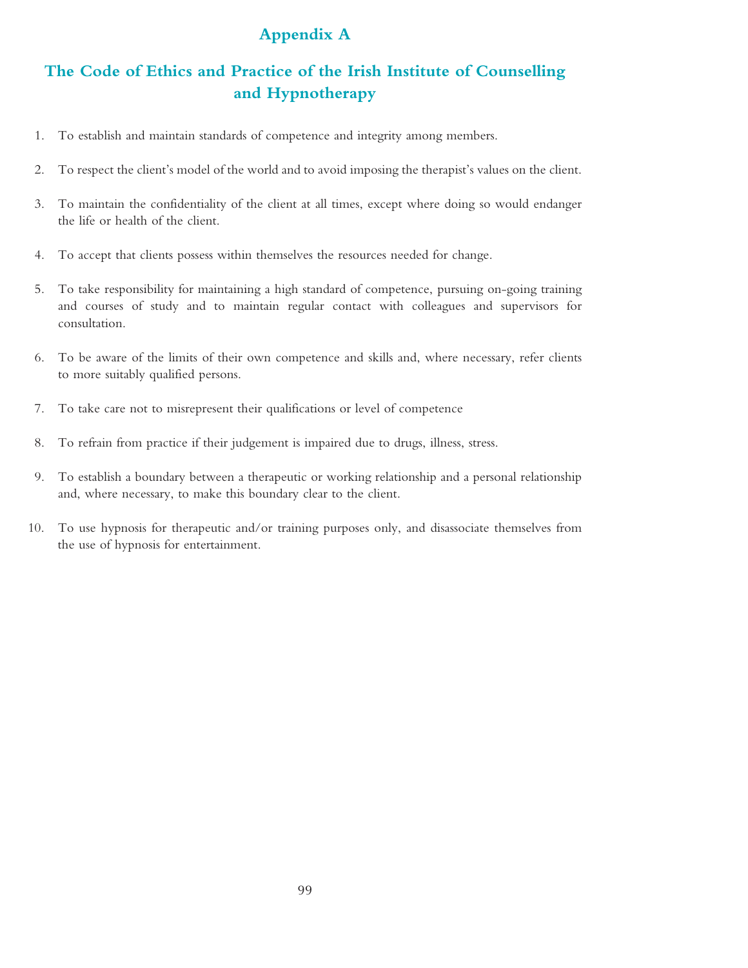# **Appendix A**

# **The Code of Ethics and Practice of the Irish Institute of Counselling and Hypnotherapy**

- 1. To establish and maintain standards of competence and integrity among members.
- 2. To respect the client's model of the world and to avoid imposing the therapist's values on the client.
- 3. To maintain the confidentiality of the client at all times, except where doing so would endanger the life or health of the client.
- 4. To accept that clients possess within themselves the resources needed for change.
- 5. To take responsibility for maintaining a high standard of competence, pursuing on-going training and courses of study and to maintain regular contact with colleagues and supervisors for consultation.
- 6. To be aware of the limits of their own competence and skills and, where necessary, refer clients to more suitably qualified persons.
- 7. To take care not to misrepresent their qualifications or level of competence
- 8. To refrain from practice if their judgement is impaired due to drugs, illness, stress.
- 9. To establish a boundary between a therapeutic or working relationship and a personal relationship and, where necessary, to make this boundary clear to the client.
- 10. To use hypnosis for therapeutic and/or training purposes only, and disassociate themselves from the use of hypnosis for entertainment.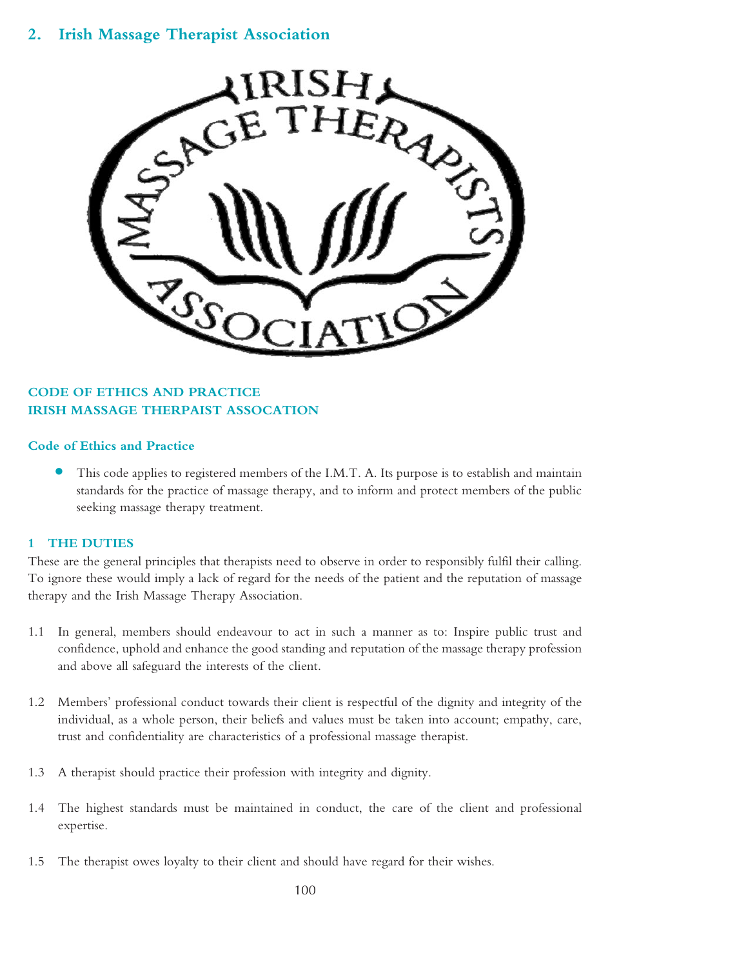# **2. Irish Massage Therapist Association**



# **CODE OF ETHICS AND PRACTICE IRISH MASSAGE THERPAIST ASSOCATION**

#### **Code of Ethics and Practice**

• This code applies to registered members of the I.M.T. A. Its purpose is to establish and maintain standards for the practice of massage therapy, and to inform and protect members of the public seeking massage therapy treatment.

#### **1 THE DUTIES**

These are the general principles that therapists need to observe in order to responsibly fulfil their calling. To ignore these would imply a lack of regard for the needs of the patient and the reputation of massage therapy and the Irish Massage Therapy Association.

- 1.1 In general, members should endeavour to act in such a manner as to: Inspire public trust and confidence, uphold and enhance the good standing and reputation of the massage therapy profession and above all safeguard the interests of the client.
- 1.2 Members' professional conduct towards their client is respectful of the dignity and integrity of the individual, as a whole person, their beliefs and values must be taken into account; empathy, care, trust and confidentiality are characteristics of a professional massage therapist.
- 1.3 A therapist should practice their profession with integrity and dignity.
- 1.4 The highest standards must be maintained in conduct, the care of the client and professional expertise.
- 1.5 The therapist owes loyalty to their client and should have regard for their wishes.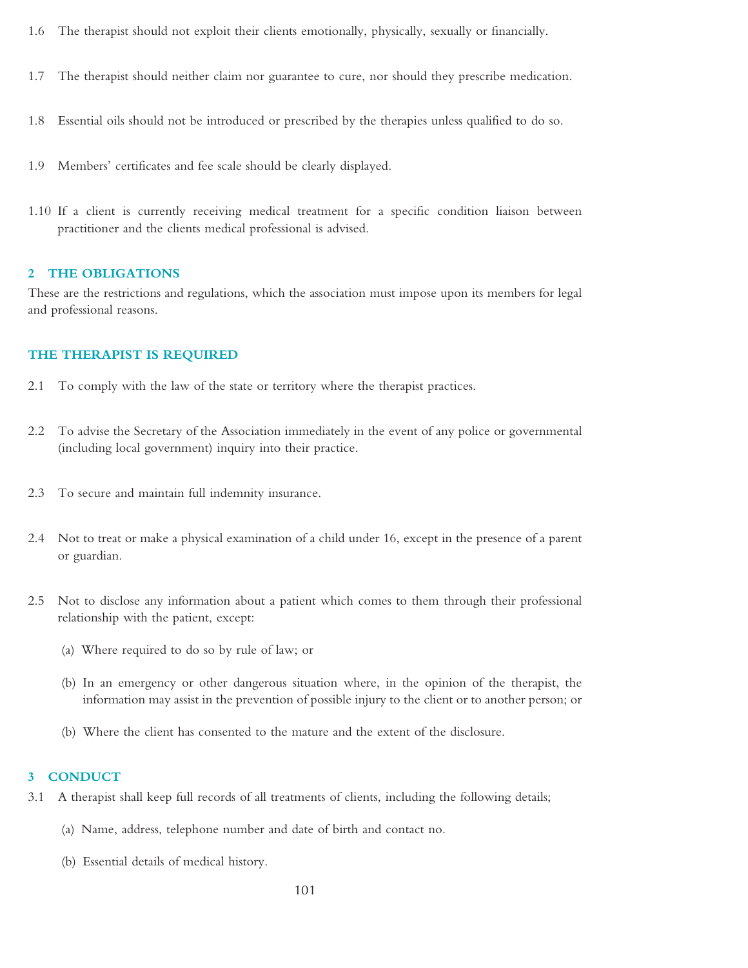- 1.6 The therapist should not exploit their clients emotionally, physically, sexually or financially.
- 1.7 The therapist should neither claim nor guarantee to cure, nor should they prescribe medication.
- 1.8 Essential oils should not be introduced or prescribed by the therapies unless qualified to do so.
- 1.9 Members' certificates and fee scale should be clearly displayed.
- 1.10 If a client is currently receiving medical treatment for a specific condition liaison between practitioner and the clients medical professional is advised.

#### **2 THE OBLIGATIONS**

These are the restrictions and regulations, which the association must impose upon its members for legal and professional reasons.

#### **THE THERAPIST IS REQUIRED**

- 2.1 To comply with the law of the state or territory where the therapist practices.
- 2.2 To advise the Secretary of the Association immediately in the event of any police or governmental (including local government) inquiry into their practice.
- 2.3 To secure and maintain full indemnity insurance.
- 2.4 Not to treat or make a physical examination of a child under 16, except in the presence of a parent or guardian.
- 2.5 Not to disclose any information about a patient which comes to them through their professional relationship with the patient, except:
	- (a) Where required to do so by rule of law; or
	- (b) In an emergency or other dangerous situation where, in the opinion of the therapist, the information may assist in the prevention of possible injury to the client or to another person; or
	- (b) Where the client has consented to the mature and the extent of the disclosure.

#### **3 CONDUCT**

- 3.1 A therapist shall keep full records of all treatments of clients, including the following details;
	- (a) Name, address, telephone number and date of birth and contact no.
	- (b) Essential details of medical history.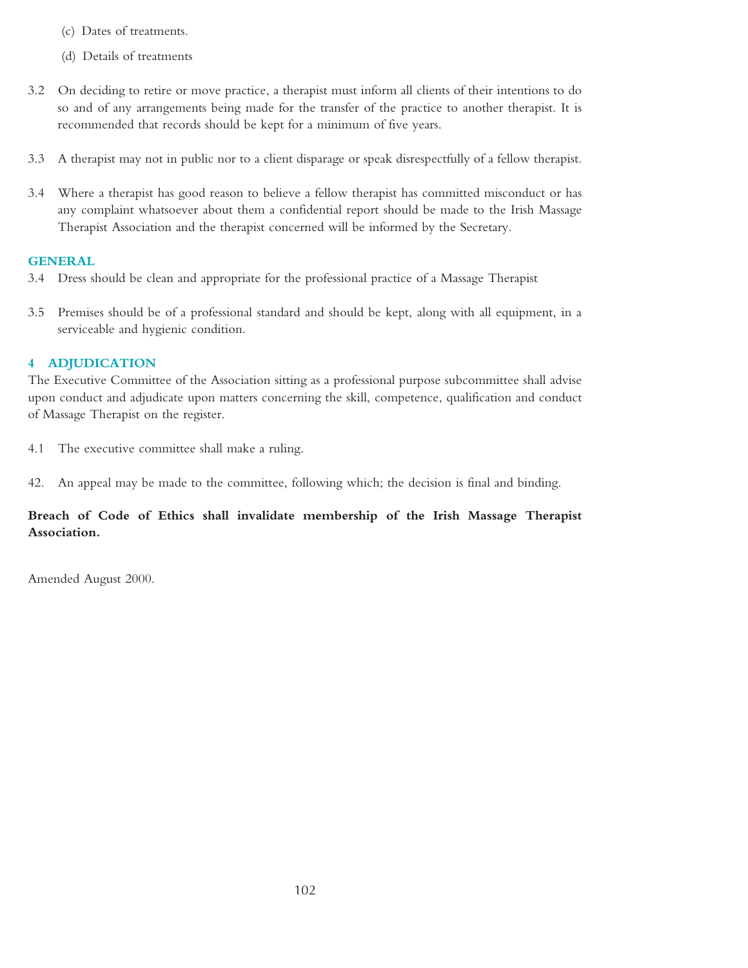- (c) Dates of treatments.
- (d) Details of treatments
- 3.2 On deciding to retire or move practice, a therapist must inform all clients of their intentions to do so and of any arrangements being made for the transfer of the practice to another therapist. It is recommended that records should be kept for a minimum of five years.
- 3.3 A therapist may not in public nor to a client disparage or speak disrespectfully of a fellow therapist.
- 3.4 Where a therapist has good reason to believe a fellow therapist has committed misconduct or has any complaint whatsoever about them a confidential report should be made to the Irish Massage Therapist Association and the therapist concerned will be informed by the Secretary.

#### **GENERAL**

- 3.4 Dress should be clean and appropriate for the professional practice of a Massage Therapist
- 3.5 Premises should be of a professional standard and should be kept, along with all equipment, in a serviceable and hygienic condition.

### **4 ADJUDICATION**

The Executive Committee of the Association sitting as a professional purpose subcommittee shall advise upon conduct and adjudicate upon matters concerning the skill, competence, qualification and conduct of Massage Therapist on the register.

- 4.1 The executive committee shall make a ruling.
- 42. An appeal may be made to the committee, following which; the decision is final and binding.

# **Breach of Code of Ethics shall invalidate membership of the Irish Massage Therapist Association.**

Amended August 2000.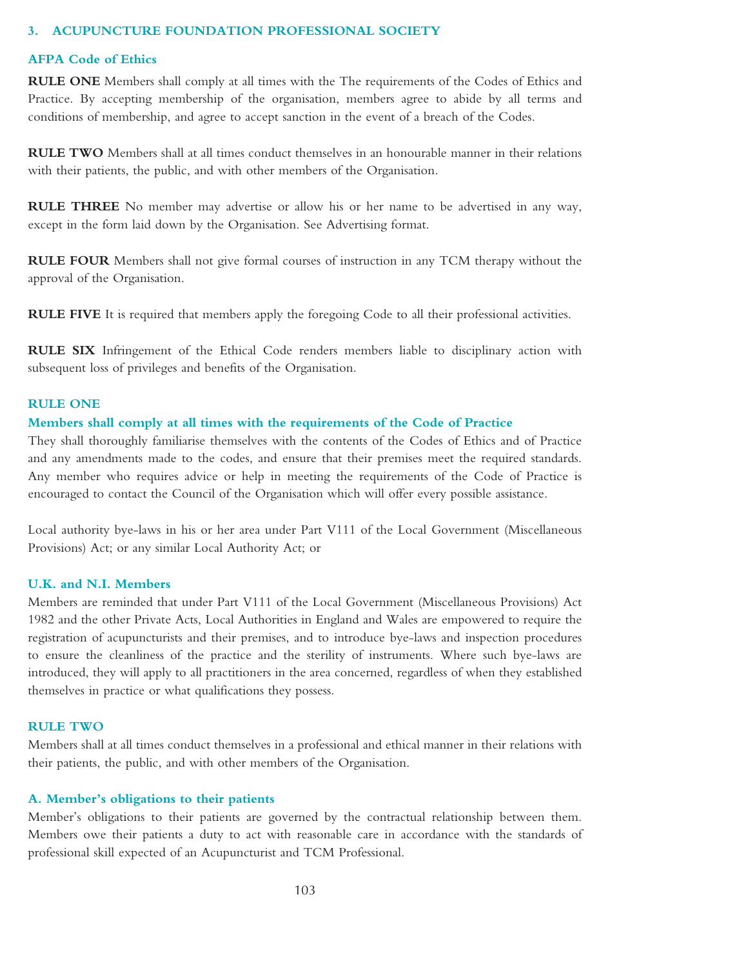#### **3. ACUPUNCTURE FOUNDATION PROFESSIONAL SOCIETY**

#### **AFPA Code of Ethics**

**RULE ONE** Members shall comply at all times with the The requirements of the Codes of Ethics and Practice. By accepting membership of the organisation, members agree to abide by all terms and conditions of membership, and agree to accept sanction in the event of a breach of the Codes.

**RULE TWO** Members shall at all times conduct themselves in an honourable manner in their relations with their patients, the public, and with other members of the Organisation.

**RULE THREE** No member may advertise or allow his or her name to be advertised in any way, except in the form laid down by the Organisation. See Advertising format.

**RULE FOUR** Members shall not give formal courses of instruction in any TCM therapy without the approval of the Organisation.

**RULE FIVE** It is required that members apply the foregoing Code to all their professional activities.

**RULE SIX** Infringement of the Ethical Code renders members liable to disciplinary action with subsequent loss of privileges and benefits of the Organisation.

#### **RULE ONE**

#### **Members shall comply at all times with the requirements of the Code of Practice**

They shall thoroughly familiarise themselves with the contents of the Codes of Ethics and of Practice and any amendments made to the codes, and ensure that their premises meet the required standards. Any member who requires advice or help in meeting the requirements of the Code of Practice is encouraged to contact the Council of the Organisation which will offer every possible assistance.

Local authority bye-laws in his or her area under Part V111 of the Local Government (Miscellaneous Provisions) Act; or any similar Local Authority Act; or

#### **U.K. and N.I. Members**

Members are reminded that under Part V111 of the Local Government (Miscellaneous Provisions) Act 1982 and the other Private Acts, Local Authorities in England and Wales are empowered to require the registration of acupuncturists and their premises, and to introduce bye-laws and inspection procedures to ensure the cleanliness of the practice and the sterility of instruments. Where such bye-laws are introduced, they will apply to all practitioners in the area concerned, regardless of when they established themselves in practice or what qualifications they possess.

#### **RULE TWO**

Members shall at all times conduct themselves in a professional and ethical manner in their relations with their patients, the public, and with other members of the Organisation.

#### **A. Member's obligations to their patients**

Member's obligations to their patients are governed by the contractual relationship between them. Members owe their patients a duty to act with reasonable care in accordance with the standards of professional skill expected of an Acupuncturist and TCM Professional.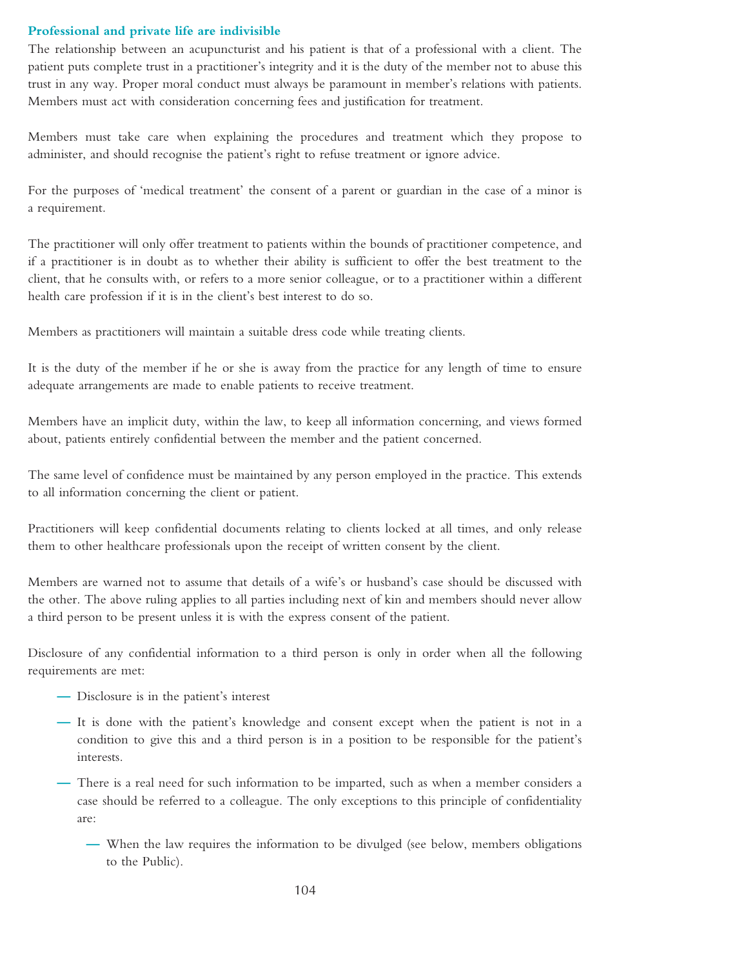#### **Professional and private life are indivisible**

The relationship between an acupuncturist and his patient is that of a professional with a client. The patient puts complete trust in a practitioner's integrity and it is the duty of the member not to abuse this trust in any way. Proper moral conduct must always be paramount in member's relations with patients. Members must act with consideration concerning fees and justification for treatment.

Members must take care when explaining the procedures and treatment which they propose to administer, and should recognise the patient's right to refuse treatment or ignore advice.

For the purposes of 'medical treatment' the consent of a parent or guardian in the case of a minor is a requirement.

The practitioner will only offer treatment to patients within the bounds of practitioner competence, and if a practitioner is in doubt as to whether their ability is sufficient to offer the best treatment to the client, that he consults with, or refers to a more senior colleague, or to a practitioner within a different health care profession if it is in the client's best interest to do so.

Members as practitioners will maintain a suitable dress code while treating clients.

It is the duty of the member if he or she is away from the practice for any length of time to ensure adequate arrangements are made to enable patients to receive treatment.

Members have an implicit duty, within the law, to keep all information concerning, and views formed about, patients entirely confidential between the member and the patient concerned.

The same level of confidence must be maintained by any person employed in the practice. This extends to all information concerning the client or patient.

Practitioners will keep confidential documents relating to clients locked at all times, and only release them to other healthcare professionals upon the receipt of written consent by the client.

Members are warned not to assume that details of a wife's or husband's case should be discussed with the other. The above ruling applies to all parties including next of kin and members should never allow a third person to be present unless it is with the express consent of the patient.

Disclosure of any confidential information to a third person is only in order when all the following requirements are met:

- **—** Disclosure is in the patient's interest
- **—** It is done with the patient's knowledge and consent except when the patient is not in a condition to give this and a third person is in a position to be responsible for the patient's interests.
- **—** There is a real need for such information to be imparted, such as when a member considers a case should be referred to a colleague. The only exceptions to this principle of confidentiality are:
	- **—** When the law requires the information to be divulged (see below, members obligations to the Public).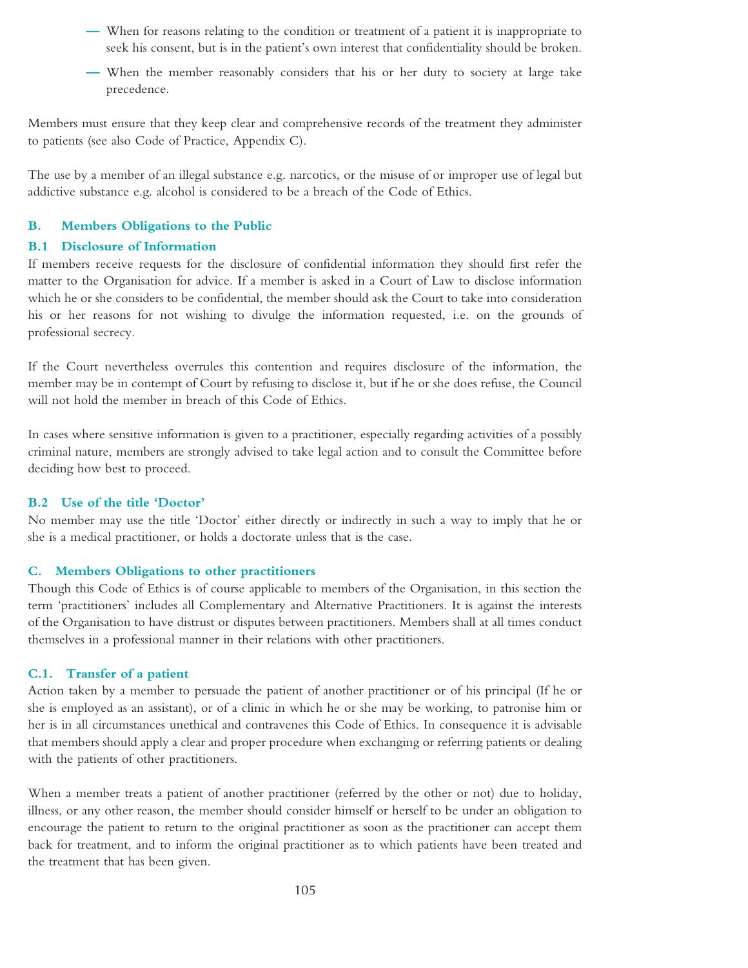- **—** When for reasons relating to the condition or treatment of a patient it is inappropriate to seek his consent, but is in the patient's own interest that confidentiality should be broken.
- **—** When the member reasonably considers that his or her duty to society at large take precedence.

Members must ensure that they keep clear and comprehensive records of the treatment they administer to patients (see also Code of Practice, Appendix C).

The use by a member of an illegal substance e.g. narcotics, or the misuse of or improper use of legal but addictive substance e.g. alcohol is considered to be a breach of the Code of Ethics.

# **B. Members Obligations to the Public**

#### **B.1 Disclosure of Information**

If members receive requests for the disclosure of confidential information they should first refer the matter to the Organisation for advice. If a member is asked in a Court of Law to disclose information which he or she considers to be confidential, the member should ask the Court to take into consideration his or her reasons for not wishing to divulge the information requested, i.e. on the grounds of professional secrecy.

If the Court nevertheless overrules this contention and requires disclosure of the information, the member may be in contempt of Court by refusing to disclose it, but if he or she does refuse, the Council will not hold the member in breach of this Code of Ethics.

In cases where sensitive information is given to a practitioner, especially regarding activities of a possibly criminal nature, members are strongly advised to take legal action and to consult the Committee before deciding how best to proceed.

#### **B.2 Use of the title 'Doctor'**

No member may use the title 'Doctor' either directly or indirectly in such a way to imply that he or she is a medical practitioner, or holds a doctorate unless that is the case.

# **C. Members Obligations to other practitioners**

Though this Code of Ethics is of course applicable to members of the Organisation, in this section the term 'practitioners' includes all Complementary and Alternative Practitioners. It is against the interests of the Organisation to have distrust or disputes between practitioners. Members shall at all times conduct themselves in a professional manner in their relations with other practitioners.

#### **C.1. Transfer of a patient**

Action taken by a member to persuade the patient of another practitioner or of his principal (If he or she is employed as an assistant), or of a clinic in which he or she may be working, to patronise him or her is in all circumstances unethical and contravenes this Code of Ethics. In consequence it is advisable that members should apply a clear and proper procedure when exchanging or referring patients or dealing with the patients of other practitioners.

When a member treats a patient of another practitioner (referred by the other or not) due to holiday, illness, or any other reason, the member should consider himself or herself to be under an obligation to encourage the patient to return to the original practitioner as soon as the practitioner can accept them back for treatment, and to inform the original practitioner as to which patients have been treated and the treatment that has been given.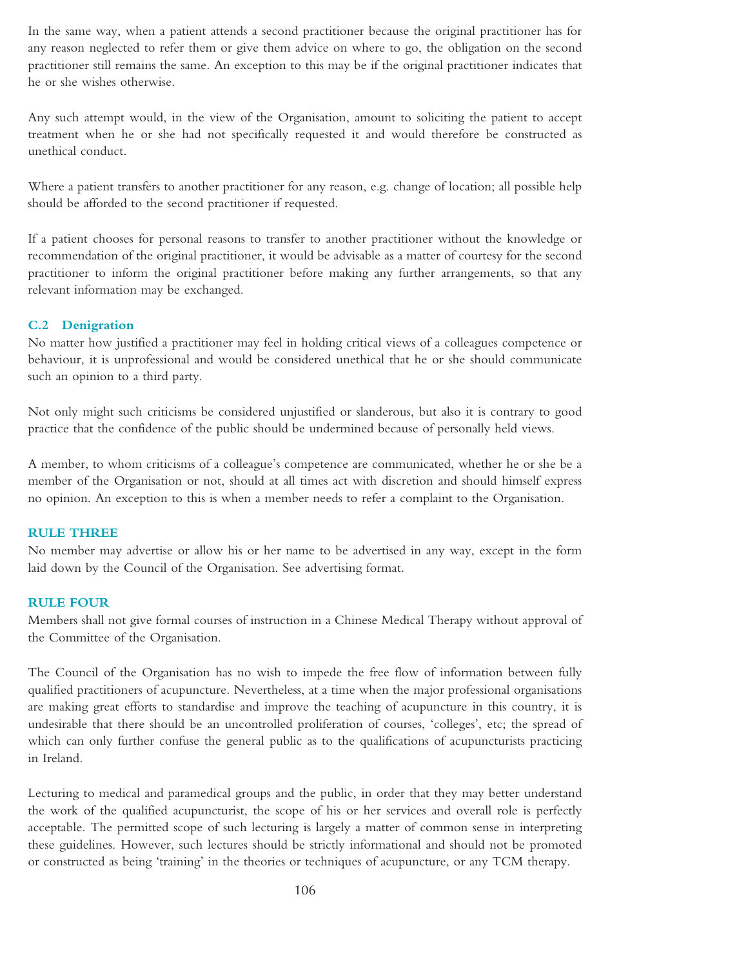In the same way, when a patient attends a second practitioner because the original practitioner has for any reason neglected to refer them or give them advice on where to go, the obligation on the second practitioner still remains the same. An exception to this may be if the original practitioner indicates that he or she wishes otherwise.

Any such attempt would, in the view of the Organisation, amount to soliciting the patient to accept treatment when he or she had not specifically requested it and would therefore be constructed as unethical conduct.

Where a patient transfers to another practitioner for any reason, e.g. change of location; all possible help should be afforded to the second practitioner if requested.

If a patient chooses for personal reasons to transfer to another practitioner without the knowledge or recommendation of the original practitioner, it would be advisable as a matter of courtesy for the second practitioner to inform the original practitioner before making any further arrangements, so that any relevant information may be exchanged.

#### **C.2 Denigration**

No matter how justified a practitioner may feel in holding critical views of a colleagues competence or behaviour, it is unprofessional and would be considered unethical that he or she should communicate such an opinion to a third party.

Not only might such criticisms be considered unjustified or slanderous, but also it is contrary to good practice that the confidence of the public should be undermined because of personally held views.

A member, to whom criticisms of a colleague's competence are communicated, whether he or she be a member of the Organisation or not, should at all times act with discretion and should himself express no opinion. An exception to this is when a member needs to refer a complaint to the Organisation.

#### **RULE THREE**

No member may advertise or allow his or her name to be advertised in any way, except in the form laid down by the Council of the Organisation. See advertising format.

#### **RULE FOUR**

Members shall not give formal courses of instruction in a Chinese Medical Therapy without approval of the Committee of the Organisation.

The Council of the Organisation has no wish to impede the free flow of information between fully qualified practitioners of acupuncture. Nevertheless, at a time when the major professional organisations are making great efforts to standardise and improve the teaching of acupuncture in this country, it is undesirable that there should be an uncontrolled proliferation of courses, 'colleges', etc; the spread of which can only further confuse the general public as to the qualifications of acupuncturists practicing in Ireland.

Lecturing to medical and paramedical groups and the public, in order that they may better understand the work of the qualified acupuncturist, the scope of his or her services and overall role is perfectly acceptable. The permitted scope of such lecturing is largely a matter of common sense in interpreting these guidelines. However, such lectures should be strictly informational and should not be promoted or constructed as being 'training' in the theories or techniques of acupuncture, or any TCM therapy.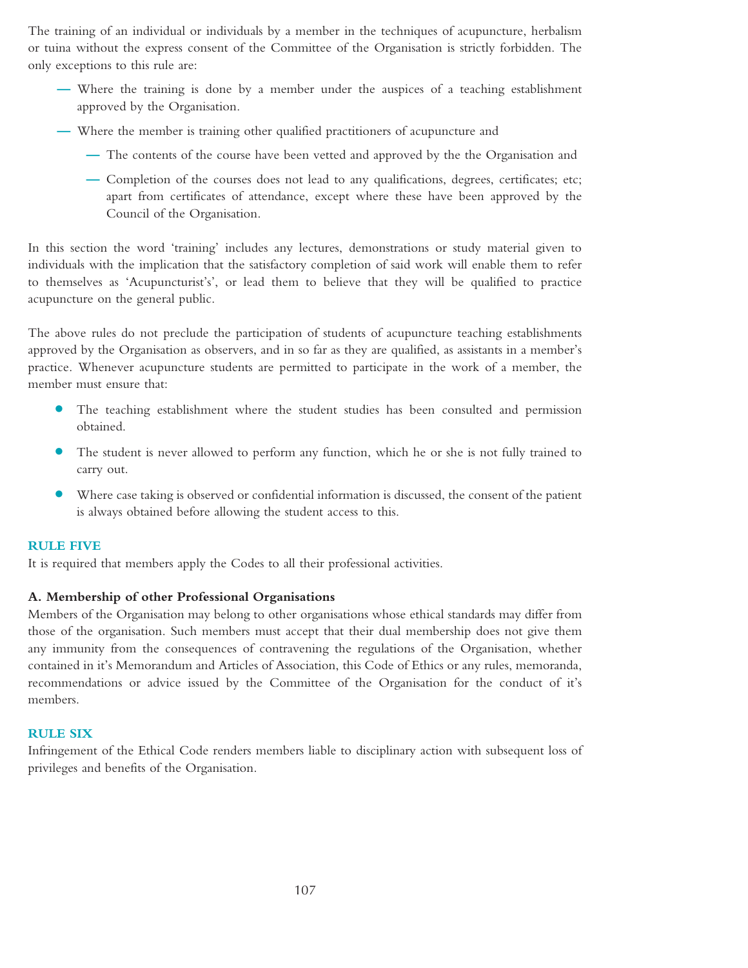The training of an individual or individuals by a member in the techniques of acupuncture, herbalism or tuina without the express consent of the Committee of the Organisation is strictly forbidden. The only exceptions to this rule are:

- **—** Where the training is done by a member under the auspices of a teaching establishment approved by the Organisation.
- **—** Where the member is training other qualified practitioners of acupuncture and
	- **—** The contents of the course have been vetted and approved by the the Organisation and
	- **—** Completion of the courses does not lead to any qualifications, degrees, certificates; etc; apart from certificates of attendance, except where these have been approved by the Council of the Organisation.

In this section the word 'training' includes any lectures, demonstrations or study material given to individuals with the implication that the satisfactory completion of said work will enable them to refer to themselves as 'Acupuncturist's', or lead them to believe that they will be qualified to practice acupuncture on the general public.

The above rules do not preclude the participation of students of acupuncture teaching establishments approved by the Organisation as observers, and in so far as they are qualified, as assistants in a member's practice. Whenever acupuncture students are permitted to participate in the work of a member, the member must ensure that:

- **•** The teaching establishment where the student studies has been consulted and permission obtained.
- **•** The student is never allowed to perform any function, which he or she is not fully trained to carry out.
- **•** Where case taking is observed or confidential information is discussed, the consent of the patient is always obtained before allowing the student access to this.

#### **RULE FIVE**

It is required that members apply the Codes to all their professional activities.

#### **A. Membership of other Professional Organisations**

Members of the Organisation may belong to other organisations whose ethical standards may differ from those of the organisation. Such members must accept that their dual membership does not give them any immunity from the consequences of contravening the regulations of the Organisation, whether contained in it's Memorandum and Articles of Association, this Code of Ethics or any rules, memoranda, recommendations or advice issued by the Committee of the Organisation for the conduct of it's members.

#### **RULE SIX**

Infringement of the Ethical Code renders members liable to disciplinary action with subsequent loss of privileges and benefits of the Organisation.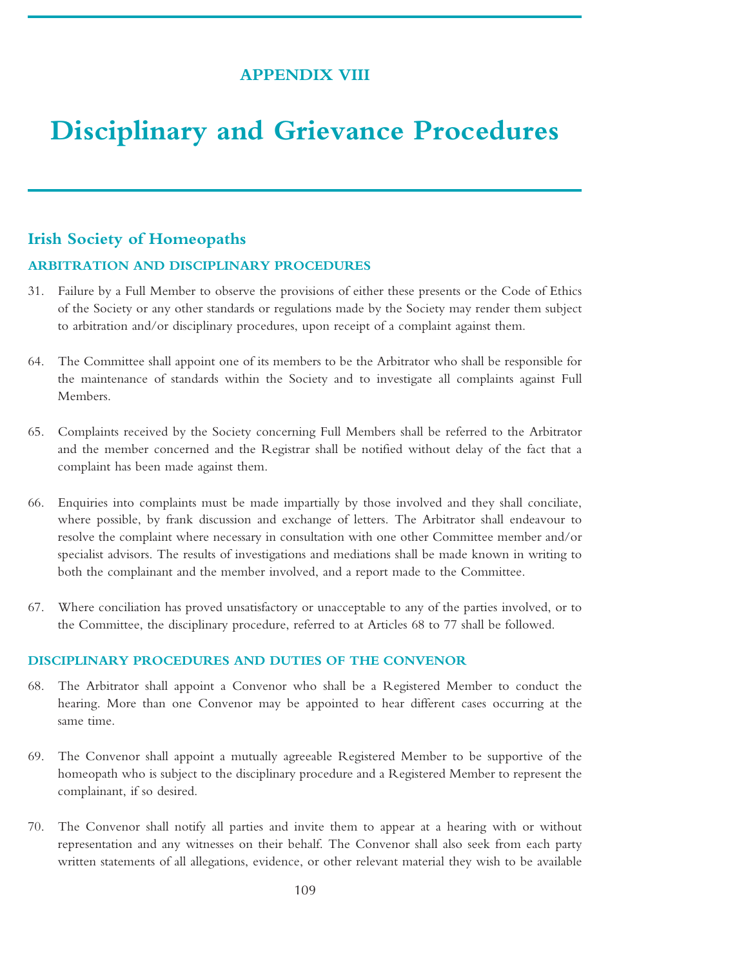# **APPENDIX VIII**

# **Disciplinary and Grievance Procedures**

# **Irish Society of Homeopaths**

#### **ARBITRATION AND DISCIPLINARY PROCEDURES**

- 31. Failure by a Full Member to observe the provisions of either these presents or the Code of Ethics of the Society or any other standards or regulations made by the Society may render them subject to arbitration and/or disciplinary procedures, upon receipt of a complaint against them.
- 64. The Committee shall appoint one of its members to be the Arbitrator who shall be responsible for the maintenance of standards within the Society and to investigate all complaints against Full Members.
- 65. Complaints received by the Society concerning Full Members shall be referred to the Arbitrator and the member concerned and the Registrar shall be notified without delay of the fact that a complaint has been made against them.
- 66. Enquiries into complaints must be made impartially by those involved and they shall conciliate, where possible, by frank discussion and exchange of letters. The Arbitrator shall endeavour to resolve the complaint where necessary in consultation with one other Committee member and/or specialist advisors. The results of investigations and mediations shall be made known in writing to both the complainant and the member involved, and a report made to the Committee.
- 67. Where conciliation has proved unsatisfactory or unacceptable to any of the parties involved, or to the Committee, the disciplinary procedure, referred to at Articles 68 to 77 shall be followed.

## **DISCIPLINARY PROCEDURES AND DUTIES OF THE CONVENOR**

- 68. The Arbitrator shall appoint a Convenor who shall be a Registered Member to conduct the hearing. More than one Convenor may be appointed to hear different cases occurring at the same time.
- 69. The Convenor shall appoint a mutually agreeable Registered Member to be supportive of the homeopath who is subject to the disciplinary procedure and a Registered Member to represent the complainant, if so desired.
- 70. The Convenor shall notify all parties and invite them to appear at a hearing with or without representation and any witnesses on their behalf. The Convenor shall also seek from each party written statements of all allegations, evidence, or other relevant material they wish to be available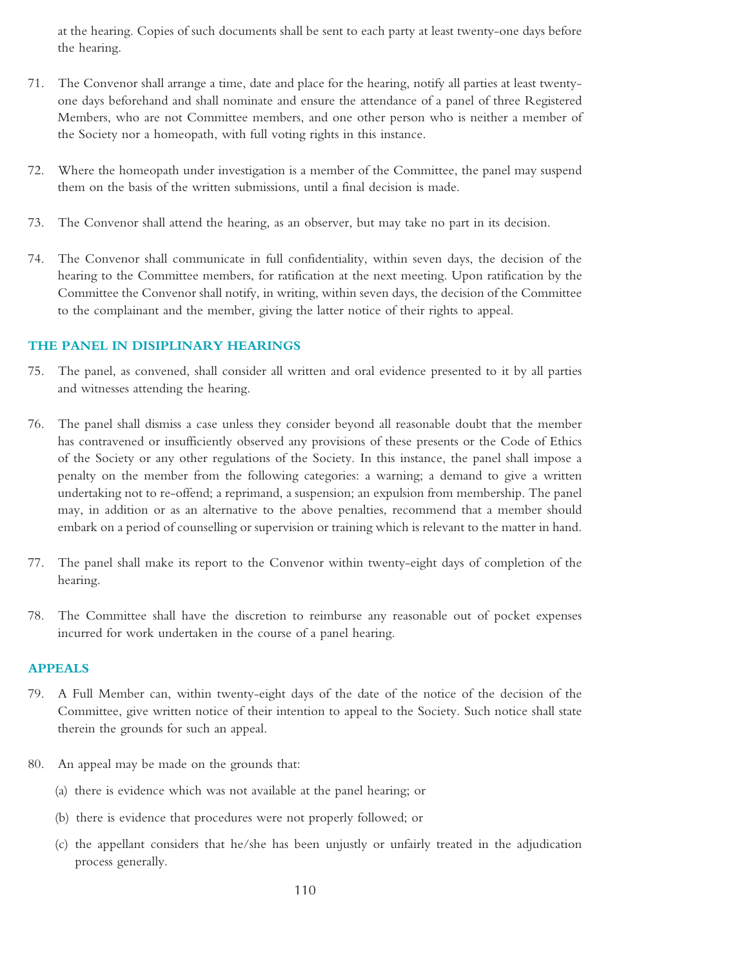at the hearing. Copies of such documents shall be sent to each party at least twenty-one days before the hearing.

- 71. The Convenor shall arrange a time, date and place for the hearing, notify all parties at least twentyone days beforehand and shall nominate and ensure the attendance of a panel of three Registered Members, who are not Committee members, and one other person who is neither a member of the Society nor a homeopath, with full voting rights in this instance.
- 72. Where the homeopath under investigation is a member of the Committee, the panel may suspend them on the basis of the written submissions, until a final decision is made.
- 73. The Convenor shall attend the hearing, as an observer, but may take no part in its decision.
- 74. The Convenor shall communicate in full confidentiality, within seven days, the decision of the hearing to the Committee members, for ratification at the next meeting. Upon ratification by the Committee the Convenor shall notify, in writing, within seven days, the decision of the Committee to the complainant and the member, giving the latter notice of their rights to appeal.

## **THE PANEL IN DISIPLINARY HEARINGS**

- 75. The panel, as convened, shall consider all written and oral evidence presented to it by all parties and witnesses attending the hearing.
- 76. The panel shall dismiss a case unless they consider beyond all reasonable doubt that the member has contravened or insufficiently observed any provisions of these presents or the Code of Ethics of the Society or any other regulations of the Society. In this instance, the panel shall impose a penalty on the member from the following categories: a warning; a demand to give a written undertaking not to re-offend; a reprimand, a suspension; an expulsion from membership. The panel may, in addition or as an alternative to the above penalties, recommend that a member should embark on a period of counselling or supervision or training which is relevant to the matter in hand.
- 77. The panel shall make its report to the Convenor within twenty-eight days of completion of the hearing.
- 78. The Committee shall have the discretion to reimburse any reasonable out of pocket expenses incurred for work undertaken in the course of a panel hearing.

## **APPEALS**

- 79. A Full Member can, within twenty-eight days of the date of the notice of the decision of the Committee, give written notice of their intention to appeal to the Society. Such notice shall state therein the grounds for such an appeal.
- 80. An appeal may be made on the grounds that:
	- (a) there is evidence which was not available at the panel hearing; or
	- (b) there is evidence that procedures were not properly followed; or
	- (c) the appellant considers that he/she has been unjustly or unfairly treated in the adjudication process generally.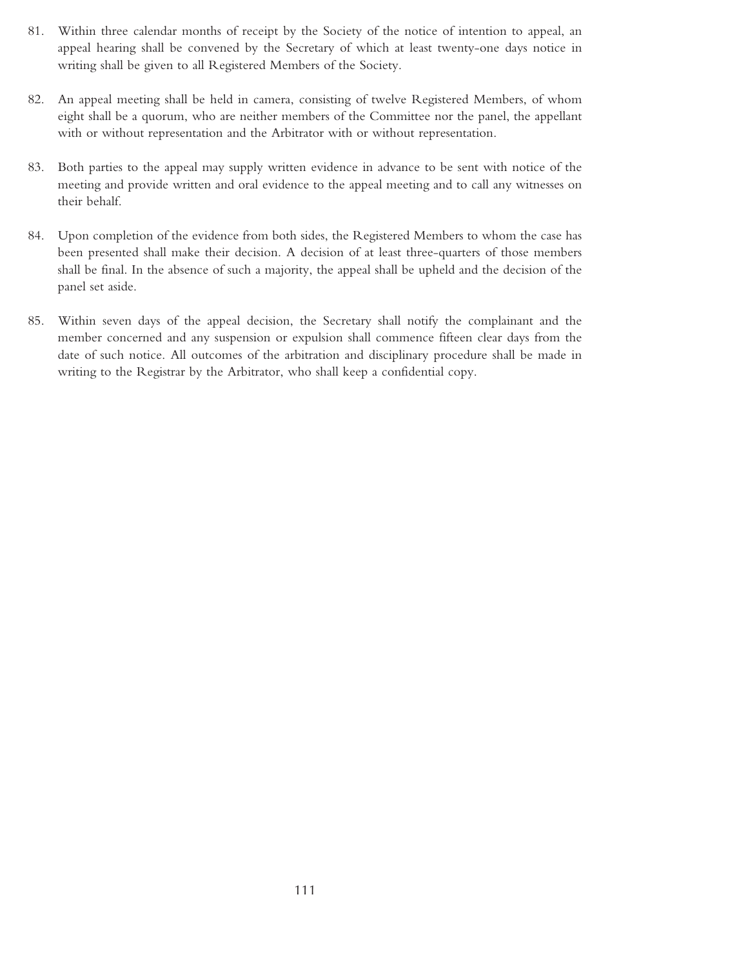- 81. Within three calendar months of receipt by the Society of the notice of intention to appeal, an appeal hearing shall be convened by the Secretary of which at least twenty-one days notice in writing shall be given to all Registered Members of the Society.
- 82. An appeal meeting shall be held in camera, consisting of twelve Registered Members, of whom eight shall be a quorum, who are neither members of the Committee nor the panel, the appellant with or without representation and the Arbitrator with or without representation.
- 83. Both parties to the appeal may supply written evidence in advance to be sent with notice of the meeting and provide written and oral evidence to the appeal meeting and to call any witnesses on their behalf.
- 84. Upon completion of the evidence from both sides, the Registered Members to whom the case has been presented shall make their decision. A decision of at least three-quarters of those members shall be final. In the absence of such a majority, the appeal shall be upheld and the decision of the panel set aside.
- 85. Within seven days of the appeal decision, the Secretary shall notify the complainant and the member concerned and any suspension or expulsion shall commence fifteen clear days from the date of such notice. All outcomes of the arbitration and disciplinary procedure shall be made in writing to the Registrar by the Arbitrator, who shall keep a confidential copy.